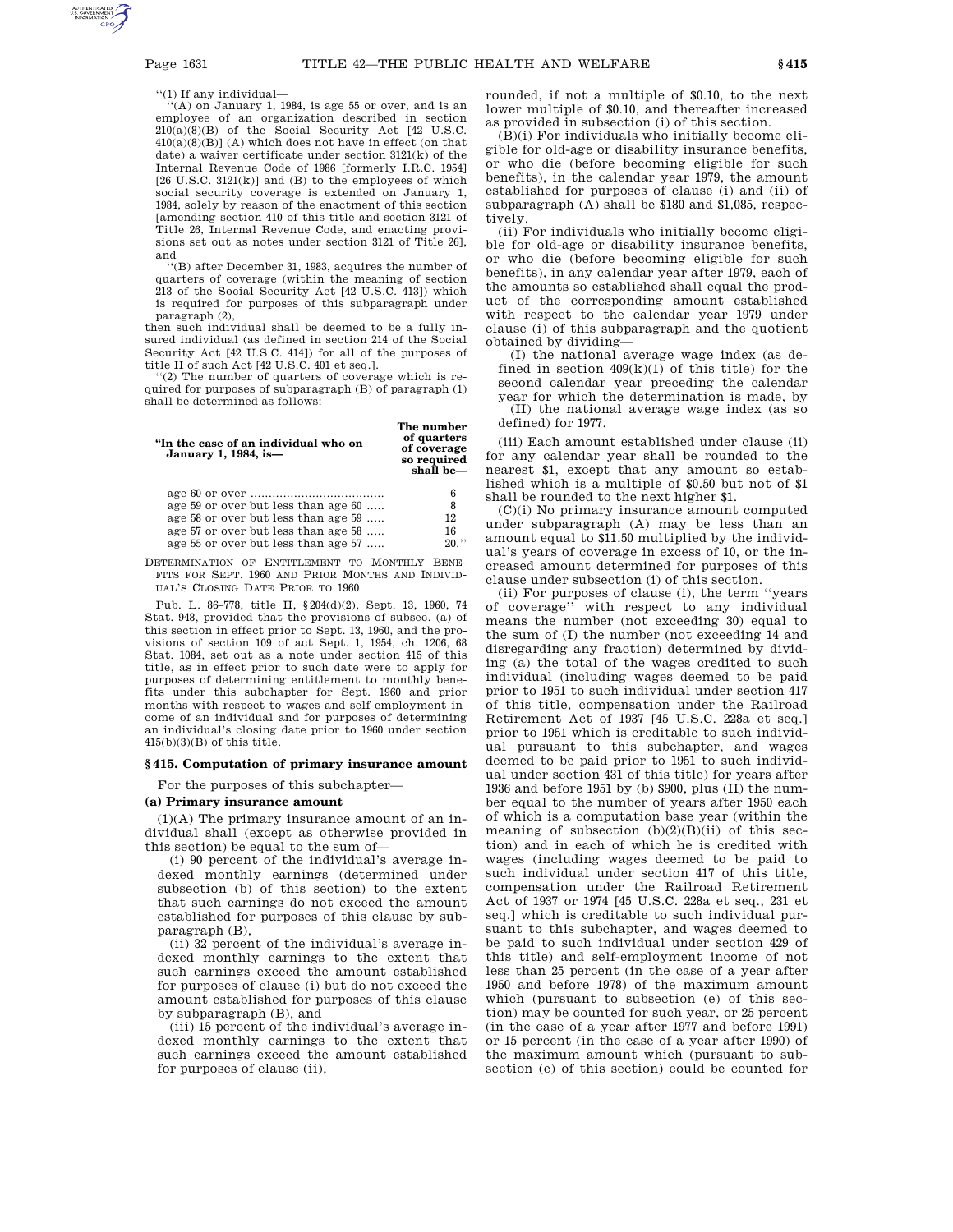''(1) If any individual—

''(A) on January 1, 1984, is age 55 or over, and is an employee of an organization described in section 210(a)(8)(B) of the Social Security Act [42 U.S.C.  $410(a)(8)(B)$ ] (A) which does not have in effect (on that date) a waiver certificate under section 3121(k) of the Internal Revenue Code of 1986 [formerly I.R.C. 1954]  $[26$  U.S.C.  $3121(k)$ ] and  $(B)$  to the employees of which social security coverage is extended on January 1, 1984, solely by reason of the enactment of this section [amending section 410 of this title and section 3121 of Title 26, Internal Revenue Code, and enacting provisions set out as notes under section 3121 of Title 26], and

''(B) after December 31, 1983, acquires the number of quarters of coverage (within the meaning of section 213 of the Social Security Act [42 U.S.C. 413]) which is required for purposes of this subparagraph under paragraph (2),

then such individual shall be deemed to be a fully insured individual (as defined in section 214 of the Social Security Act [42 U.S.C. 414]) for all of the purposes of title II of such Act [42 U.S.C. 401 et seq.].

''(2) The number of quarters of coverage which is required for purposes of subparagraph (B) of paragraph (1) shall be determined as follows:

| "In the case of an individual who on<br>January 1, 1984, is- | The number<br>of quarters<br>of coverage<br>so required<br>shall be- |
|--------------------------------------------------------------|----------------------------------------------------------------------|
|                                                              | 6                                                                    |
| age 59 or over but less than age 60                          | 8                                                                    |
| age 58 or over but less than age 59                          | 12                                                                   |
| age 57 or over but less than age 58                          | 16                                                                   |
| age 55 or over but less than age 57                          | 20.                                                                  |

DETERMINATION OF ENTITLEMENT TO MONTHLY BENE-FITS FOR SEPT. 1960 AND PRIOR MONTHS AND INDIVID-UAL'S CLOSING DATE PRIOR TO 1960

Pub. L. 86–778, title II, §204(d)(2), Sept. 13, 1960, 74 Stat. 948, provided that the provisions of subsec. (a) of this section in effect prior to Sept. 13, 1960, and the provisions of section 109 of act Sept. 1, 1954, ch. 1206, 68 Stat. 1084, set out as a note under section 415 of this title, as in effect prior to such date were to apply for purposes of determining entitlement to monthly benefits under this subchapter for Sept. 1960 and prior months with respect to wages and self-employment income of an individual and for purposes of determining an individual's closing date prior to 1960 under section  $415(b)(3)(B)$  of this title.

#### **§ 415. Computation of primary insurance amount**

For the purposes of this subchapter—

# **(a) Primary insurance amount**

(1)(A) The primary insurance amount of an individual shall (except as otherwise provided in this section) be equal to the sum of—

(i) 90 percent of the individual's average indexed monthly earnings (determined under subsection (b) of this section) to the extent that such earnings do not exceed the amount established for purposes of this clause by subparagraph (B),

(ii) 32 percent of the individual's average indexed monthly earnings to the extent that such earnings exceed the amount established for purposes of clause (i) but do not exceed the amount established for purposes of this clause by subparagraph (B), and

(iii) 15 percent of the individual's average indexed monthly earnings to the extent that such earnings exceed the amount established for purposes of clause (ii),

rounded, if not a multiple of \$0.10, to the next lower multiple of \$0.10, and thereafter increased as provided in subsection (i) of this section.

 $(\bar{B})(i)$  For individuals who initially become eligible for old-age or disability insurance benefits, or who die (before becoming eligible for such benefits), in the calendar year 1979, the amount established for purposes of clause (i) and (ii) of subparagraph (A) shall be \$180 and \$1,085, respectively.

(ii) For individuals who initially become eligible for old-age or disability insurance benefits, or who die (before becoming eligible for such benefits), in any calendar year after 1979, each of the amounts so established shall equal the product of the corresponding amount established with respect to the calendar year 1979 under clause (i) of this subparagraph and the quotient obtained by dividing—

(I) the national average wage index (as defined in section  $409(k)(1)$  of this title) for the second calendar year preceding the calendar year for which the determination is made, by (II) the national average wage index (as so defined) for 1977.

(iii) Each amount established under clause (ii) for any calendar year shall be rounded to the nearest \$1, except that any amount so established which is a multiple of \$0.50 but not of \$1 shall be rounded to the next higher \$1.

(C)(i) No primary insurance amount computed under subparagraph (A) may be less than an amount equal to \$11.50 multiplied by the individual's years of coverage in excess of 10, or the increased amount determined for purposes of this clause under subsection (i) of this section.

(ii) For purposes of clause (i), the term ''years of coverage'' with respect to any individual means the number (not exceeding 30) equal to the sum of (I) the number (not exceeding 14 and disregarding any fraction) determined by dividing (a) the total of the wages credited to such individual (including wages deemed to be paid prior to 1951 to such individual under section 417 of this title, compensation under the Railroad Retirement Act of 1937 [45 U.S.C. 228a et seq.] prior to 1951 which is creditable to such individual pursuant to this subchapter, and wages deemed to be paid prior to 1951 to such individual under section 431 of this title) for years after 1936 and before 1951 by (b) \$900, plus (II) the number equal to the number of years after 1950 each of which is a computation base year (within the meaning of subsection  $(b)(2)(B)(ii)$  of this section) and in each of which he is credited with wages (including wages deemed to be paid to such individual under section 417 of this title, compensation under the Railroad Retirement Act of 1937 or 1974 [45 U.S.C. 228a et seq., 231 et seq.] which is creditable to such individual pursuant to this subchapter, and wages deemed to be paid to such individual under section 429 of this title) and self-employment income of not less than 25 percent (in the case of a year after 1950 and before 1978) of the maximum amount which (pursuant to subsection (e) of this section) may be counted for such year, or 25 percent (in the case of a year after 1977 and before 1991) or 15 percent (in the case of a year after 1990) of the maximum amount which (pursuant to subsection (e) of this section) could be counted for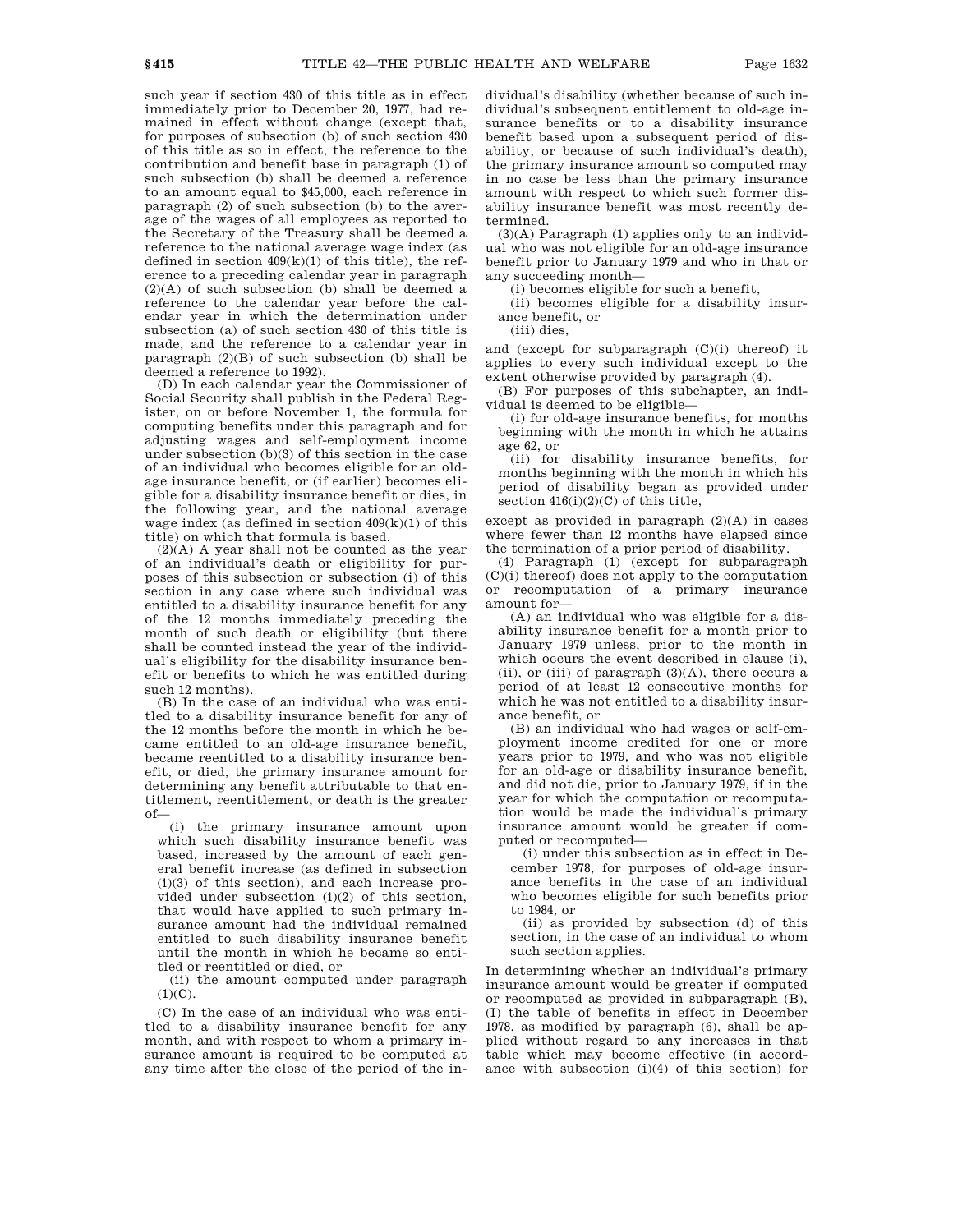such year if section 430 of this title as in effect immediately prior to December 20, 1977, had remained in effect without change (except that, for purposes of subsection (b) of such section 430 of this title as so in effect, the reference to the contribution and benefit base in paragraph (1) of such subsection (b) shall be deemed a reference to an amount equal to \$45,000, each reference in paragraph (2) of such subsection (b) to the average of the wages of all employees as reported to the Secretary of the Treasury shall be deemed a reference to the national average wage index (as defined in section  $409(k)(1)$  of this title), the reference to a preceding calendar year in paragraph  $(2)(A)$  of such subsection (b) shall be deemed a reference to the calendar year before the calendar year in which the determination under subsection (a) of such section 430 of this title is made, and the reference to a calendar year in paragraph  $(2)(B)$  of such subsection (b) shall be deemed a reference to 1992).

(D) In each calendar year the Commissioner of Social Security shall publish in the Federal Register, on or before November 1, the formula for computing benefits under this paragraph and for adjusting wages and self-employment income under subsection (b)(3) of this section in the case of an individual who becomes eligible for an oldage insurance benefit, or (if earlier) becomes eligible for a disability insurance benefit or dies, in the following year, and the national average wage index (as defined in section  $409(k)(1)$  of this title) on which that formula is based.

(2)(A) A year shall not be counted as the year of an individual's death or eligibility for purposes of this subsection or subsection (i) of this section in any case where such individual was entitled to a disability insurance benefit for any of the 12 months immediately preceding the month of such death or eligibility (but there shall be counted instead the year of the individual's eligibility for the disability insurance benefit or benefits to which he was entitled during such 12 months).

(B) In the case of an individual who was entitled to a disability insurance benefit for any of the 12 months before the month in which he became entitled to an old-age insurance benefit, became reentitled to a disability insurance benefit, or died, the primary insurance amount for determining any benefit attributable to that entitlement, reentitlement, or death is the greater of—

(i) the primary insurance amount upon which such disability insurance benefit was based, increased by the amount of each general benefit increase (as defined in subsection (i)(3) of this section), and each increase provided under subsection (i)(2) of this section, that would have applied to such primary insurance amount had the individual remained entitled to such disability insurance benefit until the month in which he became so entitled or reentitled or died, or

(ii) the amount computed under paragraph  $(1)(C)$ .

(C) In the case of an individual who was entitled to a disability insurance benefit for any month, and with respect to whom a primary insurance amount is required to be computed at any time after the close of the period of the individual's disability (whether because of such individual's subsequent entitlement to old-age insurance benefits or to a disability insurance benefit based upon a subsequent period of disability, or because of such individual's death), the primary insurance amount so computed may in no case be less than the primary insurance amount with respect to which such former disability insurance benefit was most recently determined.

(3)(A) Paragraph (1) applies only to an individual who was not eligible for an old-age insurance benefit prior to January 1979 and who in that or any succeeding month—

(i) becomes eligible for such a benefit,

(ii) becomes eligible for a disability insurance benefit, or

(iii) dies,

and (except for subparagraph (C)(i) thereof) it applies to every such individual except to the extent otherwise provided by paragraph (4).

(B) For purposes of this subchapter, an individual is deemed to be eligible—

(i) for old-age insurance benefits, for months beginning with the month in which he attains age 62, or

(ii) for disability insurance benefits, for months beginning with the month in which his period of disability began as provided under section  $416(i)(2)(C)$  of this title,

except as provided in paragraph (2)(A) in cases where fewer than 12 months have elapsed since the termination of a prior period of disability.

(4) Paragraph (1) (except for subparagraph (C)(i) thereof) does not apply to the computation or recomputation of a primary insurance amount for—

(A) an individual who was eligible for a disability insurance benefit for a month prior to January 1979 unless, prior to the month in which occurs the event described in clause (i), (ii), or (iii) of paragraph  $(3)(A)$ , there occurs a period of at least 12 consecutive months for which he was not entitled to a disability insurance benefit, or

(B) an individual who had wages or self-employment income credited for one or more years prior to 1979, and who was not eligible for an old-age or disability insurance benefit, and did not die, prior to January 1979, if in the year for which the computation or recomputation would be made the individual's primary insurance amount would be greater if computed or recomputed—

(i) under this subsection as in effect in December 1978, for purposes of old-age insurance benefits in the case of an individual who becomes eligible for such benefits prior to 1984, or

(ii) as provided by subsection (d) of this section, in the case of an individual to whom such section applies.

In determining whether an individual's primary insurance amount would be greater if computed or recomputed as provided in subparagraph (B), (I) the table of benefits in effect in December 1978, as modified by paragraph (6), shall be applied without regard to any increases in that table which may become effective (in accordance with subsection (i)(4) of this section) for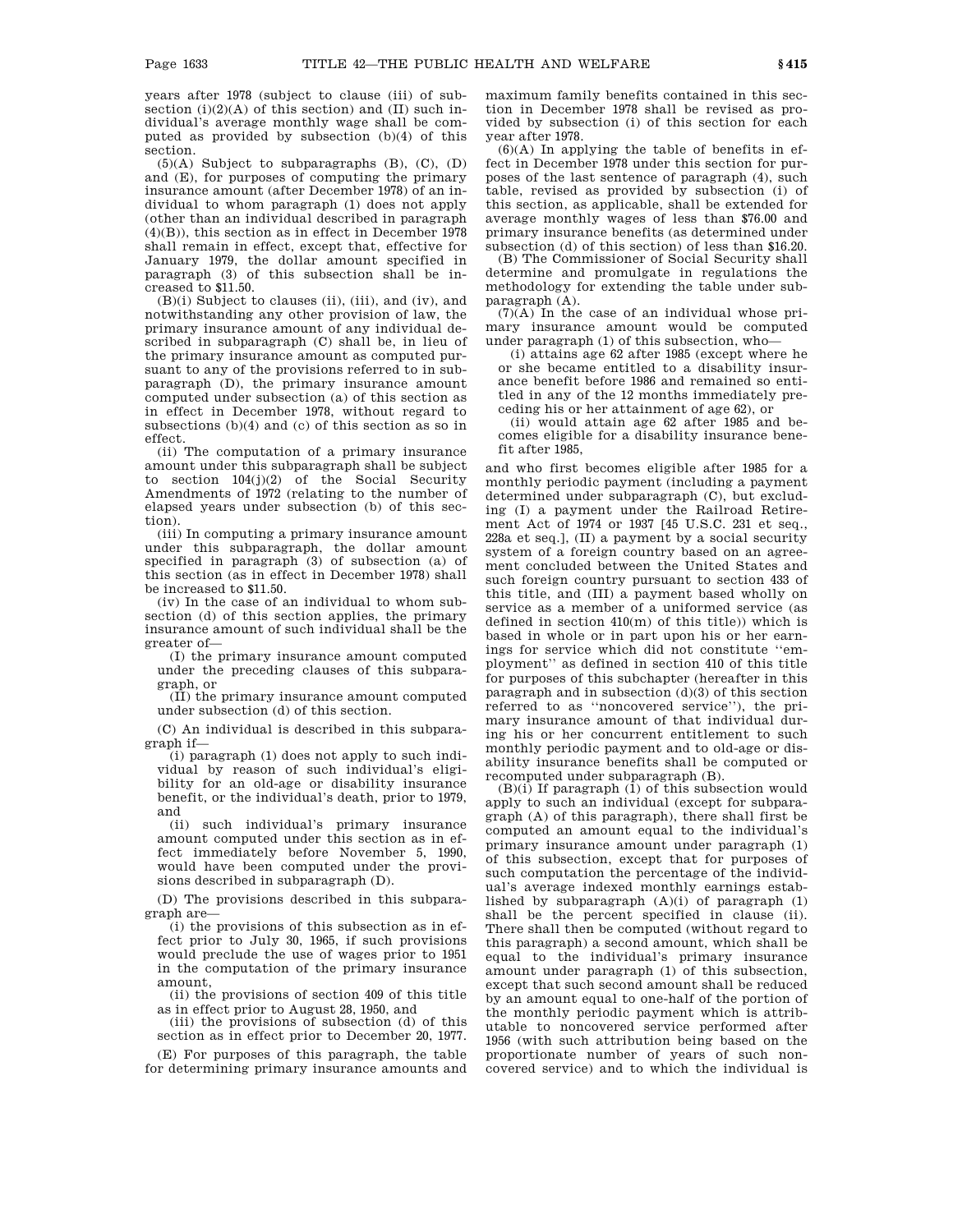years after 1978 (subject to clause (iii) of subsection  $(i)(2)(A)$  of this section) and  $(II)$  such individual's average monthly wage shall be computed as provided by subsection (b)(4) of this section.

(5)(A) Subject to subparagraphs (B), (C), (D) and (E), for purposes of computing the primary insurance amount (after December 1978) of an individual to whom paragraph (1) does not apply (other than an individual described in paragraph (4)(B)), this section as in effect in December 1978 shall remain in effect, except that, effective for January 1979, the dollar amount specified in paragraph (3) of this subsection shall be increased to \$11.50.

(B)(i) Subject to clauses (ii), (iii), and (iv), and notwithstanding any other provision of law, the primary insurance amount of any individual described in subparagraph (C) shall be, in lieu of the primary insurance amount as computed pursuant to any of the provisions referred to in subparagraph (D), the primary insurance amount computed under subsection (a) of this section as in effect in December 1978, without regard to subsections (b)(4) and (c) of this section as so in effect.

(ii) The computation of a primary insurance amount under this subparagraph shall be subject to section 104(j)(2) of the Social Security Amendments of 1972 (relating to the number of elapsed years under subsection (b) of this section).

(iii) In computing a primary insurance amount under this subparagraph, the dollar amount specified in paragraph (3) of subsection (a) of this section (as in effect in December 1978) shall be increased to \$11.50.

(iv) In the case of an individual to whom subsection (d) of this section applies, the primary insurance amount of such individual shall be the greater of—

(I) the primary insurance amount computed under the preceding clauses of this subparagraph, or

(II) the primary insurance amount computed under subsection (d) of this section.

(C) An individual is described in this subparagraph if—

(i) paragraph (1) does not apply to such individual by reason of such individual's eligibility for an old-age or disability insurance benefit, or the individual's death, prior to 1979, and

(ii) such individual's primary insurance amount computed under this section as in effect immediately before November 5, 1990, would have been computed under the provisions described in subparagraph (D).

(D) The provisions described in this subparagraph are—

(i) the provisions of this subsection as in effect prior to July 30, 1965, if such provisions would preclude the use of wages prior to 1951 in the computation of the primary insurance amount,

(ii) the provisions of section 409 of this title as in effect prior to August 28, 1950, and

(iii) the provisions of subsection (d) of this section as in effect prior to December 20, 1977.

(E) For purposes of this paragraph, the table for determining primary insurance amounts and

maximum family benefits contained in this section in December 1978 shall be revised as provided by subsection (i) of this section for each year after 1978.

(6)(A) In applying the table of benefits in effect in December 1978 under this section for purposes of the last sentence of paragraph (4), such table, revised as provided by subsection (i) of this section, as applicable, shall be extended for average monthly wages of less than \$76.00 and primary insurance benefits (as determined under subsection (d) of this section) of less than \$16.20.

(B) The Commissioner of Social Security shall determine and promulgate in regulations the methodology for extending the table under subparagraph (A).

 $(7)(A)$  In the case of an individual whose primary insurance amount would be computed under paragraph (1) of this subsection, who—

(i) attains age 62 after 1985 (except where he or she became entitled to a disability insurance benefit before 1986 and remained so entitled in any of the 12 months immediately preceding his or her attainment of age 62), or

(ii) would attain age 62 after 1985 and becomes eligible for a disability insurance benefit after 1985,

and who first becomes eligible after 1985 for a monthly periodic payment (including a payment determined under subparagraph (C), but excluding (I) a payment under the Railroad Retirement Act of 1974 or 1937 [45 U.S.C. 231 et seq., 228a et seq.], (II) a payment by a social security system of a foreign country based on an agreement concluded between the United States and such foreign country pursuant to section 433 of this title, and (III) a payment based wholly on service as a member of a uniformed service (as defined in section 410(m) of this title)) which is based in whole or in part upon his or her earnings for service which did not constitute ''employment'' as defined in section 410 of this title for purposes of this subchapter (hereafter in this paragraph and in subsection (d)(3) of this section referred to as ''noncovered service''), the primary insurance amount of that individual during his or her concurrent entitlement to such monthly periodic payment and to old-age or disability insurance benefits shall be computed or recomputed under subparagraph (B).

(B)(i) If paragraph (1) of this subsection would apply to such an individual (except for subparagraph (A) of this paragraph), there shall first be computed an amount equal to the individual's primary insurance amount under paragraph (1) of this subsection, except that for purposes of such computation the percentage of the individual's average indexed monthly earnings established by subparagraph (A)(i) of paragraph (1) shall be the percent specified in clause (ii). There shall then be computed (without regard to this paragraph) a second amount, which shall be equal to the individual's primary insurance amount under paragraph (1) of this subsection, except that such second amount shall be reduced by an amount equal to one-half of the portion of the monthly periodic payment which is attributable to noncovered service performed after 1956 (with such attribution being based on the proportionate number of years of such noncovered service) and to which the individual is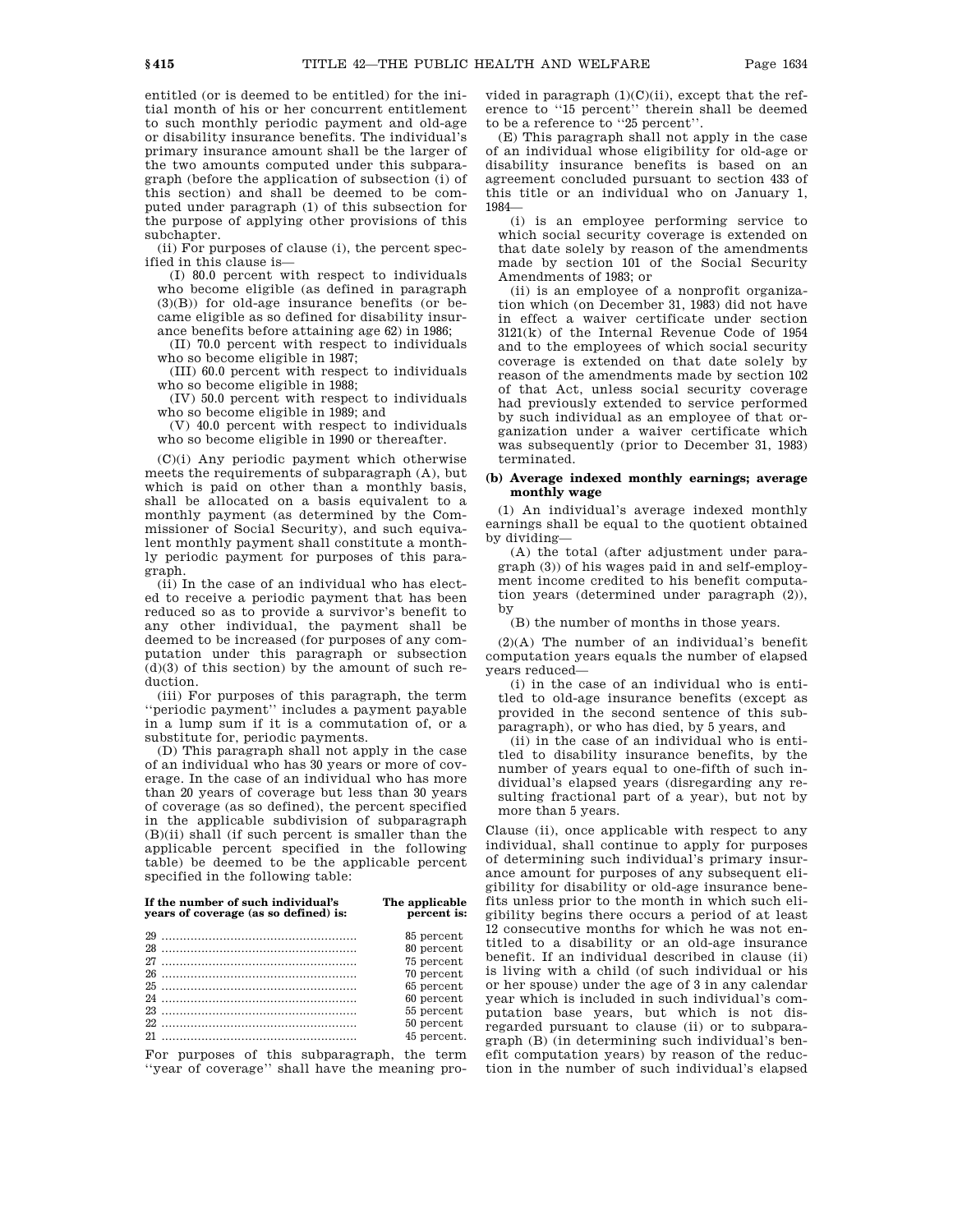entitled (or is deemed to be entitled) for the initial month of his or her concurrent entitlement to such monthly periodic payment and old-age or disability insurance benefits. The individual's primary insurance amount shall be the larger of the two amounts computed under this subparagraph (before the application of subsection (i) of this section) and shall be deemed to be computed under paragraph (1) of this subsection for the purpose of applying other provisions of this subchapter.

(ii) For purposes of clause (i), the percent specified in this clause is—

(I) 80.0 percent with respect to individuals who become eligible (as defined in paragraph  $(3)(B)$ ) for old-age insurance benefits (or became eligible as so defined for disability insurance benefits before attaining age 62) in 1986;

(II) 70.0 percent with respect to individuals who so become eligible in 1987;

(III) 60.0 percent with respect to individuals who so become eligible in 1988;

(IV) 50.0 percent with respect to individuals who so become eligible in 1989; and

(V) 40.0 percent with respect to individuals who so become eligible in 1990 or thereafter.

(C)(i) Any periodic payment which otherwise meets the requirements of subparagraph (A), but which is paid on other than a monthly basis, shall be allocated on a basis equivalent to a monthly payment (as determined by the Commissioner of Social Security), and such equivalent monthly payment shall constitute a monthly periodic payment for purposes of this paragraph.

(ii) In the case of an individual who has elected to receive a periodic payment that has been reduced so as to provide a survivor's benefit to any other individual, the payment shall be deemed to be increased (for purposes of any computation under this paragraph or subsection  $(d)(3)$  of this section) by the amount of such reduction.

(iii) For purposes of this paragraph, the term ''periodic payment'' includes a payment payable in a lump sum if it is a commutation of, or a substitute for, periodic payments.

(D) This paragraph shall not apply in the case of an individual who has 30 years or more of coverage. In the case of an individual who has more than 20 years of coverage but less than 30 years of coverage (as so defined), the percent specified in the applicable subdivision of subparagraph (B)(ii) shall (if such percent is smaller than the applicable percent specified in the following table) be deemed to be the applicable percent specified in the following table:

| If the number of such individual's<br>years of coverage (as so defined) is: | The applicable<br>percent is: |
|-----------------------------------------------------------------------------|-------------------------------|
|                                                                             | 85 percent                    |
|                                                                             | 80 percent                    |
|                                                                             | 75 percent                    |
|                                                                             | 70 percent                    |
|                                                                             | 65 percent                    |
|                                                                             | 60 percent                    |
|                                                                             | 55 percent                    |
|                                                                             | 50 percent                    |
|                                                                             | 45 percent.                   |

For purposes of this subparagraph, the term ''year of coverage'' shall have the meaning provided in paragraph  $(1)(C)(ii)$ , except that the reference to ''15 percent'' therein shall be deemed to be a reference to ''25 percent''.

(E) This paragraph shall not apply in the case of an individual whose eligibility for old-age or disability insurance benefits is based on an agreement concluded pursuant to section 433 of this title or an individual who on January 1, 1984—

(i) is an employee performing service to which social security coverage is extended on that date solely by reason of the amendments made by section 101 of the Social Security Amendments of 1983; or

(ii) is an employee of a nonprofit organization which (on December 31, 1983) did not have in effect a waiver certificate under section 3121(k) of the Internal Revenue Code of 1954 and to the employees of which social security coverage is extended on that date solely by reason of the amendments made by section 102 of that Act, unless social security coverage had previously extended to service performed by such individual as an employee of that organization under a waiver certificate which was subsequently (prior to December 31, 1983) terminated.

# **(b) Average indexed monthly earnings; average monthly wage**

(1) An individual's average indexed monthly earnings shall be equal to the quotient obtained by dividing—

(A) the total (after adjustment under paragraph (3)) of his wages paid in and self-employment income credited to his benefit computation years (determined under paragraph (2)), by

(B) the number of months in those years.

(2)(A) The number of an individual's benefit computation years equals the number of elapsed years reduced—

(i) in the case of an individual who is entitled to old-age insurance benefits (except as provided in the second sentence of this subparagraph), or who has died, by 5 years, and

(ii) in the case of an individual who is entitled to disability insurance benefits, by the number of years equal to one-fifth of such individual's elapsed years (disregarding any resulting fractional part of a year), but not by more than 5 years.

Clause (ii), once applicable with respect to any individual, shall continue to apply for purposes of determining such individual's primary insurance amount for purposes of any subsequent eligibility for disability or old-age insurance benefits unless prior to the month in which such eligibility begins there occurs a period of at least 12 consecutive months for which he was not entitled to a disability or an old-age insurance benefit. If an individual described in clause (ii) is living with a child (of such individual or his or her spouse) under the age of 3 in any calendar year which is included in such individual's computation base years, but which is not disregarded pursuant to clause (ii) or to subparagraph (B) (in determining such individual's benefit computation years) by reason of the reduction in the number of such individual's elapsed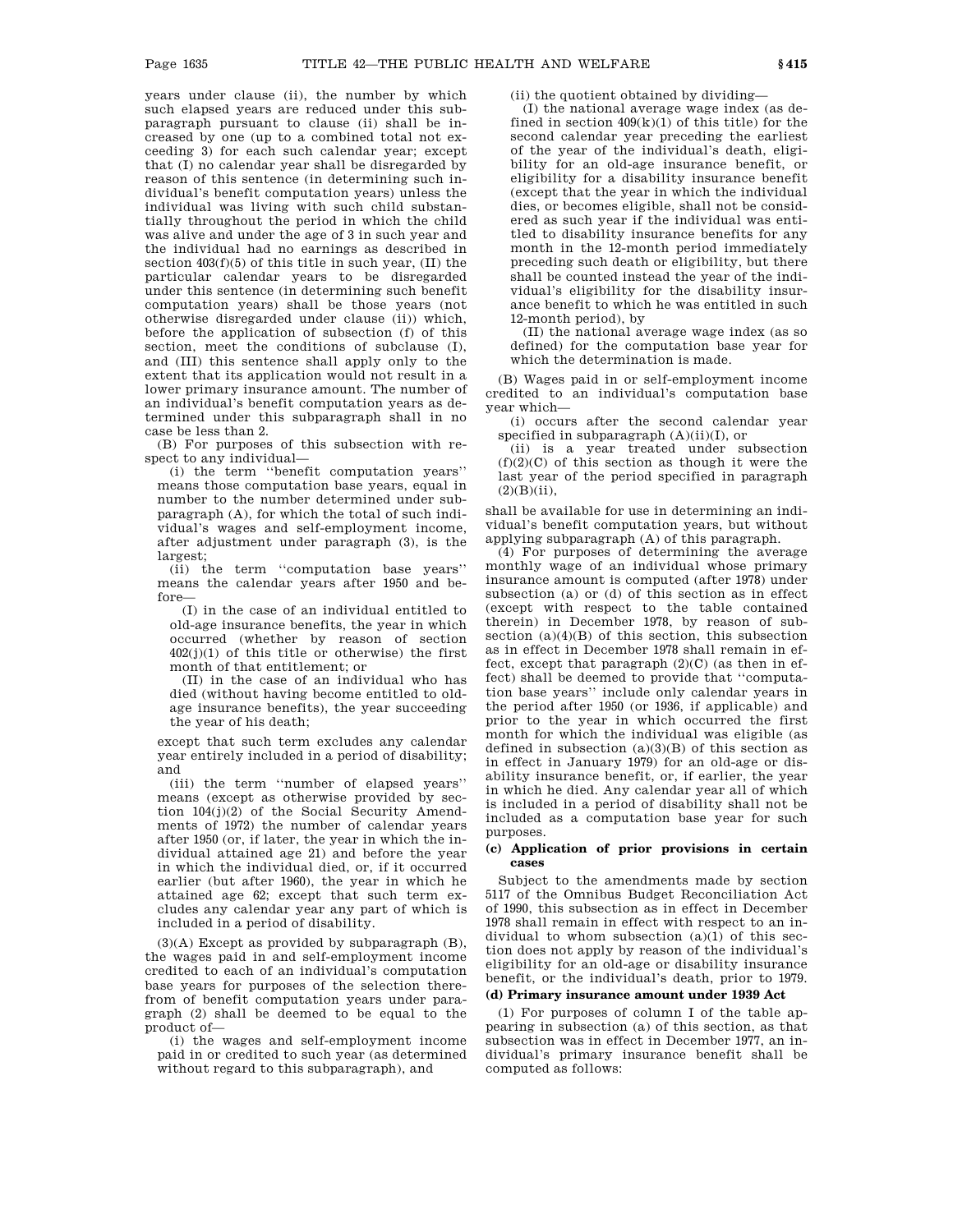years under clause (ii), the number by which such elapsed years are reduced under this subparagraph pursuant to clause (ii) shall be increased by one (up to a combined total not exceeding 3) for each such calendar year; except that (I) no calendar year shall be disregarded by reason of this sentence (in determining such individual's benefit computation years) unless the individual was living with such child substantially throughout the period in which the child was alive and under the age of 3 in such year and the individual had no earnings as described in section  $403(f)(5)$  of this title in such year, (II) the particular calendar years to be disregarded under this sentence (in determining such benefit computation years) shall be those years (not otherwise disregarded under clause (ii)) which, before the application of subsection (f) of this section, meet the conditions of subclause (I), and (III) this sentence shall apply only to the extent that its application would not result in a lower primary insurance amount. The number of an individual's benefit computation years as determined under this subparagraph shall in no case be less than 2.

(B) For purposes of this subsection with respect to any individual—

(i) the term ''benefit computation years'' means those computation base years, equal in number to the number determined under subparagraph (A), for which the total of such individual's wages and self-employment income, after adjustment under paragraph (3), is the largest;

(ii) the term ''computation base years'' means the calendar years after 1950 and before—

(I) in the case of an individual entitled to old-age insurance benefits, the year in which occurred (whether by reason of section  $402(j)(1)$  of this title or otherwise) the first month of that entitlement; or

(II) in the case of an individual who has died (without having become entitled to oldage insurance benefits), the year succeeding the year of his death;

except that such term excludes any calendar year entirely included in a period of disability; and

(iii) the term ''number of elapsed years'' means (except as otherwise provided by section 104(j)(2) of the Social Security Amendments of 1972) the number of calendar years after 1950 (or, if later, the year in which the individual attained age 21) and before the year in which the individual died, or, if it occurred earlier (but after 1960), the year in which he attained age 62; except that such term excludes any calendar year any part of which is included in a period of disability.

(3)(A) Except as provided by subparagraph (B), the wages paid in and self-employment income credited to each of an individual's computation base years for purposes of the selection therefrom of benefit computation years under paragraph (2) shall be deemed to be equal to the product of—

(i) the wages and self-employment income paid in or credited to such year (as determined without regard to this subparagraph), and

(ii) the quotient obtained by dividing—

(I) the national average wage index (as defined in section  $409(k)(1)$  of this title) for the second calendar year preceding the earliest of the year of the individual's death, eligibility for an old-age insurance benefit, or eligibility for a disability insurance benefit (except that the year in which the individual dies, or becomes eligible, shall not be considered as such year if the individual was entitled to disability insurance benefits for any month in the 12-month period immediately preceding such death or eligibility, but there shall be counted instead the year of the individual's eligibility for the disability insurance benefit to which he was entitled in such 12-month period), by

(II) the national average wage index (as so defined) for the computation base year for which the determination is made.

(B) Wages paid in or self-employment income credited to an individual's computation base year which—

(i) occurs after the second calendar year specified in subparagraph  $(A)(ii)(I)$ , or

(ii) is a year treated under subsection  $(f)(2)(C)$  of this section as though it were the last year of the period specified in paragraph  $(2)(B)(ii)$ ,

shall be available for use in determining an individual's benefit computation years, but without applying subparagraph (A) of this paragraph.

(4) For purposes of determining the average monthly wage of an individual whose primary insurance amount is computed (after 1978) under subsection (a) or (d) of this section as in effect (except with respect to the table contained therein) in December 1978, by reason of subsection  $(a)(4)(B)$  of this section, this subsection as in effect in December 1978 shall remain in effect, except that paragraph  $(2)(C)$  (as then in effect) shall be deemed to provide that ''computation base years'' include only calendar years in the period after 1950 (or 1936, if applicable) and prior to the year in which occurred the first month for which the individual was eligible (as defined in subsection  $(a)(3)(B)$  of this section as in effect in January 1979) for an old-age or disability insurance benefit, or, if earlier, the year in which he died. Any calendar year all of which is included in a period of disability shall not be included as a computation base year for such purposes.

# **(c) Application of prior provisions in certain cases**

Subject to the amendments made by section 5117 of the Omnibus Budget Reconciliation Act of 1990, this subsection as in effect in December 1978 shall remain in effect with respect to an individual to whom subsection  $(a)(1)$  of this section does not apply by reason of the individual's eligibility for an old-age or disability insurance benefit, or the individual's death, prior to 1979.

# **(d) Primary insurance amount under 1939 Act**

(1) For purposes of column I of the table appearing in subsection (a) of this section, as that subsection was in effect in December 1977, an individual's primary insurance benefit shall be computed as follows: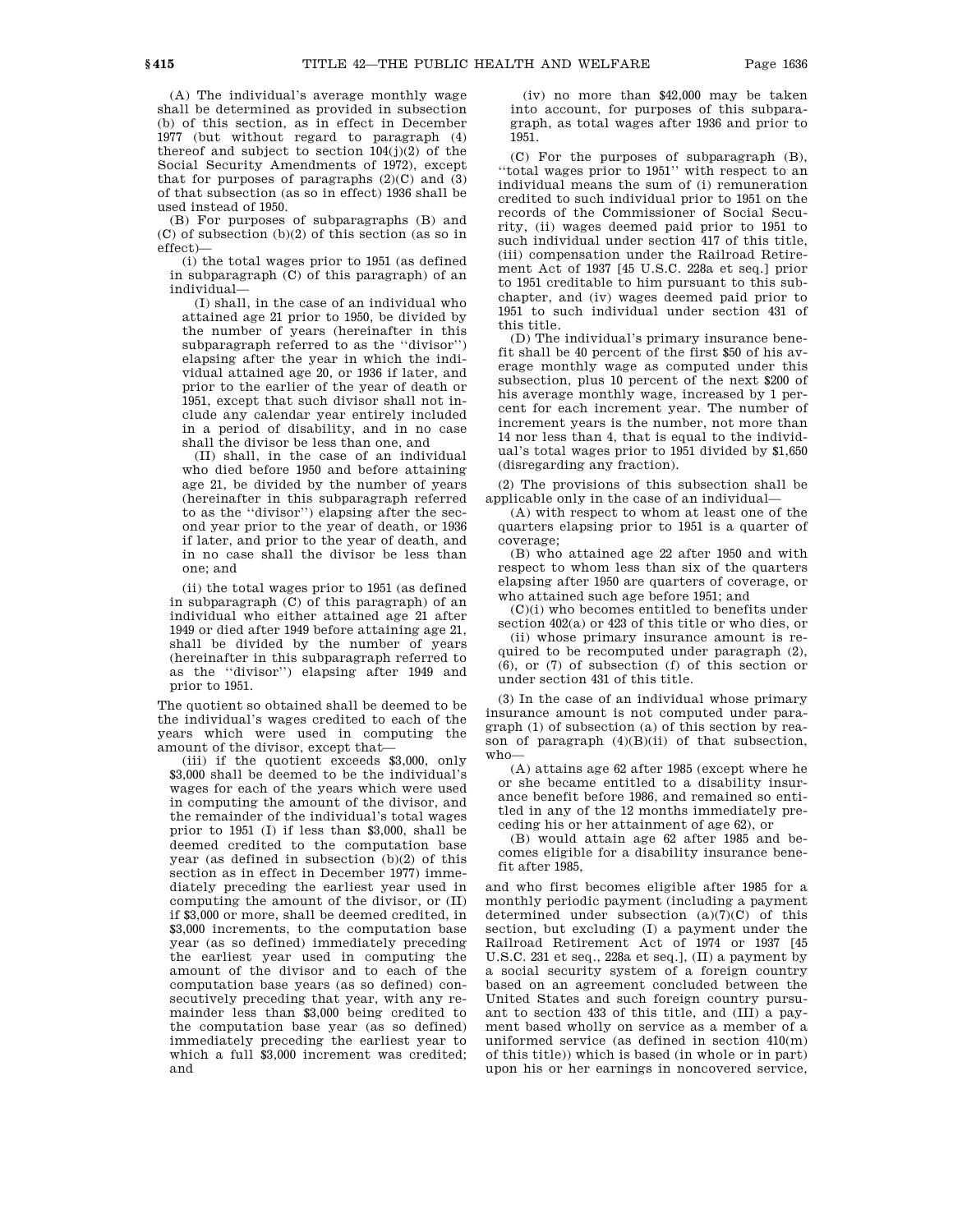(A) The individual's average monthly wage shall be determined as provided in subsection (b) of this section, as in effect in December 1977 (but without regard to paragraph (4) thereof and subject to section  $104(j)(2)$  of the Social Security Amendments of 1972), except that for purposes of paragraphs  $(2)(C)$  and  $(3)$ of that subsection (as so in effect) 1936 shall be used instead of 1950.

(B) For purposes of subparagraphs (B) and (C) of subsection (b)(2) of this section (as so in effect)—

(i) the total wages prior to 1951 (as defined in subparagraph (C) of this paragraph) of an individual—

(I) shall, in the case of an individual who attained age 21 prior to 1950, be divided by the number of years (hereinafter in this subparagraph referred to as the ''divisor'') elapsing after the year in which the individual attained age 20, or 1936 if later, and prior to the earlier of the year of death or 1951, except that such divisor shall not include any calendar year entirely included in a period of disability, and in no case shall the divisor be less than one, and

(II) shall, in the case of an individual who died before 1950 and before attaining age 21, be divided by the number of years (hereinafter in this subparagraph referred to as the ''divisor'') elapsing after the second year prior to the year of death, or 1936 if later, and prior to the year of death, and in no case shall the divisor be less than one; and

(ii) the total wages prior to 1951 (as defined in subparagraph (C) of this paragraph) of an individual who either attained age 21 after 1949 or died after 1949 before attaining age 21, shall be divided by the number of years (hereinafter in this subparagraph referred to as the ''divisor'') elapsing after 1949 and prior to 1951.

The quotient so obtained shall be deemed to be the individual's wages credited to each of the years which were used in computing the amount of the divisor, except that—

(iii) if the quotient exceeds \$3,000, only \$3,000 shall be deemed to be the individual's wages for each of the years which were used in computing the amount of the divisor, and the remainder of the individual's total wages prior to 1951 (I) if less than \$3,000, shall be deemed credited to the computation base year (as defined in subsection (b)(2) of this section as in effect in December 1977) immediately preceding the earliest year used in computing the amount of the divisor, or (II) if \$3,000 or more, shall be deemed credited, in \$3,000 increments, to the computation base year (as so defined) immediately preceding the earliest year used in computing the amount of the divisor and to each of the computation base years (as so defined) consecutively preceding that year, with any remainder less than \$3,000 being credited to the computation base year (as so defined) immediately preceding the earliest year to which a full \$3,000 increment was credited; and

(iv) no more than \$42,000 may be taken into account, for purposes of this subparagraph, as total wages after 1936 and prior to 1951.

(C) For the purposes of subparagraph (B), "total wages prior to 1951" with respect to an individual means the sum of (i) remuneration credited to such individual prior to 1951 on the records of the Commissioner of Social Security, (ii) wages deemed paid prior to 1951 to such individual under section 417 of this title, (iii) compensation under the Railroad Retirement Act of 1937 [45 U.S.C. 228a et seq.] prior to 1951 creditable to him pursuant to this subchapter, and (iv) wages deemed paid prior to 1951 to such individual under section 431 of this title.

(D) The individual's primary insurance benefit shall be 40 percent of the first \$50 of his average monthly wage as computed under this subsection, plus 10 percent of the next \$200 of his average monthly wage, increased by 1 percent for each increment year. The number of increment years is the number, not more than 14 nor less than 4, that is equal to the individual's total wages prior to 1951 divided by \$1,650 (disregarding any fraction).

(2) The provisions of this subsection shall be applicable only in the case of an individual—

(A) with respect to whom at least one of the quarters elapsing prior to 1951 is a quarter of coverage;

(B) who attained age 22 after 1950 and with respect to whom less than six of the quarters elapsing after 1950 are quarters of coverage, or who attained such age before 1951; and

(C)(i) who becomes entitled to benefits under section 402(a) or 423 of this title or who dies, or

(ii) whose primary insurance amount is required to be recomputed under paragraph (2), (6), or (7) of subsection (f) of this section or under section 431 of this title.

(3) In the case of an individual whose primary insurance amount is not computed under paragraph (1) of subsection (a) of this section by reason of paragraph  $(4)(B)(ii)$  of that subsection, who—

(A) attains age 62 after 1985 (except where he or she became entitled to a disability insurance benefit before 1986, and remained so entitled in any of the 12 months immediately preceding his or her attainment of age 62), or

(B) would attain age 62 after 1985 and becomes eligible for a disability insurance benefit after 1985,

and who first becomes eligible after 1985 for a monthly periodic payment (including a payment determined under subsection (a)(7)(C) of this section, but excluding (I) a payment under the Railroad Retirement Act of 1974 or 1937 [45 U.S.C. 231 et seq., 228a et seq.], (II) a payment by a social security system of a foreign country based on an agreement concluded between the United States and such foreign country pursuant to section 433 of this title, and (III) a payment based wholly on service as a member of a uniformed service (as defined in section 410(m) of this title)) which is based (in whole or in part) upon his or her earnings in noncovered service,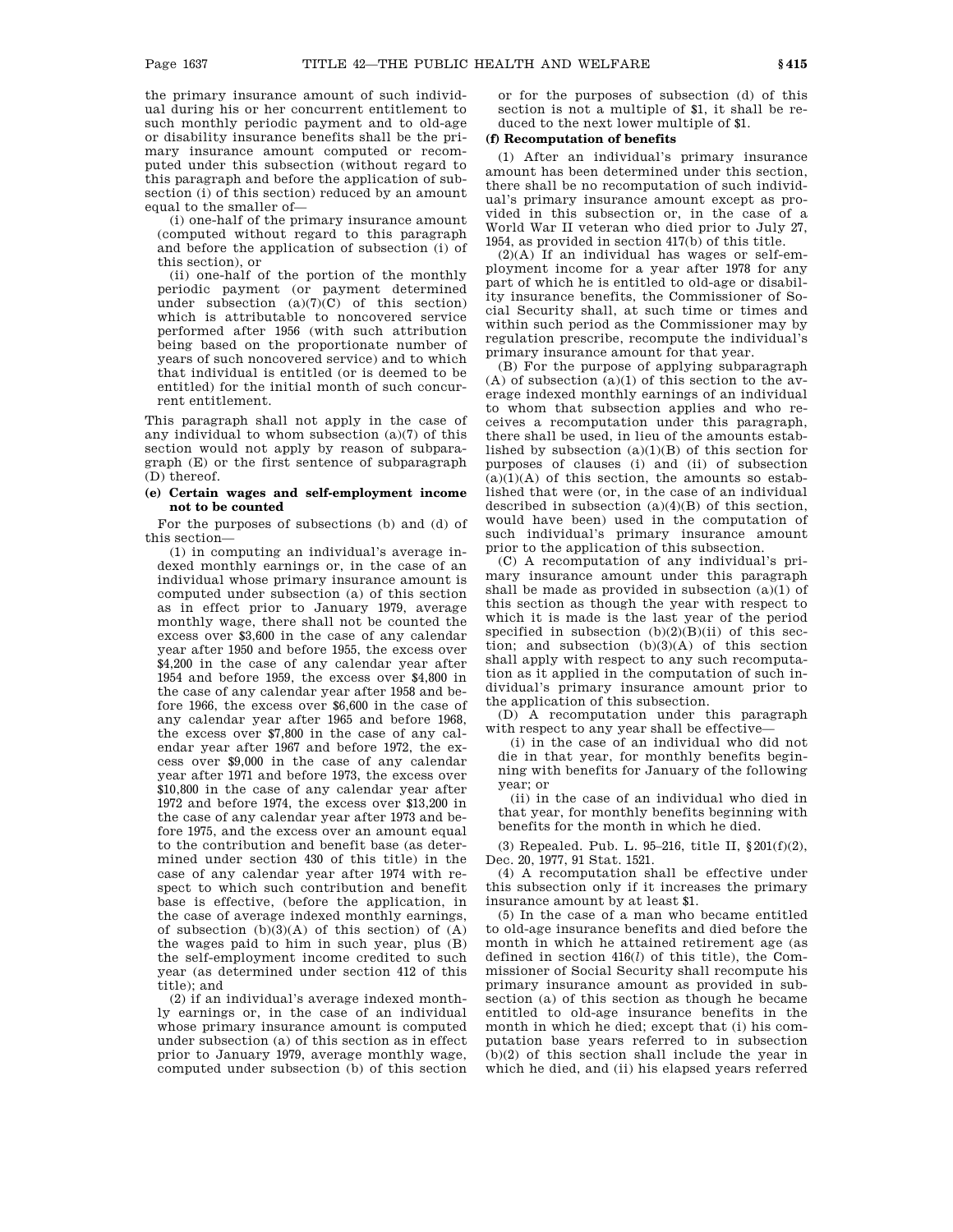the primary insurance amount of such individual during his or her concurrent entitlement to such monthly periodic payment and to old-age or disability insurance benefits shall be the primary insurance amount computed or recomputed under this subsection (without regard to this paragraph and before the application of subsection (i) of this section) reduced by an amount equal to the smaller of—

(i) one-half of the primary insurance amount (computed without regard to this paragraph and before the application of subsection (i) of this section), or

(ii) one-half of the portion of the monthly periodic payment (or payment determined under subsection  $(a)(7)(C)$  of this section) which is attributable to noncovered service performed after 1956 (with such attribution being based on the proportionate number of years of such noncovered service) and to which that individual is entitled (or is deemed to be entitled) for the initial month of such concurrent entitlement.

This paragraph shall not apply in the case of any individual to whom subsection (a)(7) of this section would not apply by reason of subparagraph (E) or the first sentence of subparagraph (D) thereof.

# **(e) Certain wages and self-employment income not to be counted**

For the purposes of subsections (b) and (d) of this section—

(1) in computing an individual's average indexed monthly earnings or, in the case of an individual whose primary insurance amount is computed under subsection (a) of this section as in effect prior to January 1979, average monthly wage, there shall not be counted the excess over \$3,600 in the case of any calendar year after 1950 and before 1955, the excess over \$4,200 in the case of any calendar year after 1954 and before 1959, the excess over \$4,800 in the case of any calendar year after 1958 and before 1966, the excess over \$6,600 in the case of any calendar year after 1965 and before 1968, the excess over \$7,800 in the case of any calendar year after 1967 and before 1972, the excess over \$9,000 in the case of any calendar year after 1971 and before 1973, the excess over \$10,800 in the case of any calendar year after 1972 and before 1974, the excess over \$13,200 in the case of any calendar year after 1973 and before 1975, and the excess over an amount equal to the contribution and benefit base (as determined under section 430 of this title) in the case of any calendar year after 1974 with respect to which such contribution and benefit base is effective, (before the application, in the case of average indexed monthly earnings, of subsection  $(b)(3)(A)$  of this section) of  $(A)$ the wages paid to him in such year, plus (B) the self-employment income credited to such year (as determined under section 412 of this title); and

(2) if an individual's average indexed monthly earnings or, in the case of an individual whose primary insurance amount is computed under subsection (a) of this section as in effect prior to January 1979, average monthly wage, computed under subsection (b) of this section

or for the purposes of subsection (d) of this section is not a multiple of \$1, it shall be reduced to the next lower multiple of \$1.

# **(f) Recomputation of benefits**

(1) After an individual's primary insurance amount has been determined under this section, there shall be no recomputation of such individual's primary insurance amount except as provided in this subsection or, in the case of a World War II veteran who died prior to July 27, 1954, as provided in section 417(b) of this title.

 $(2)(A)$  If an individual has wages or self-employment income for a year after 1978 for any part of which he is entitled to old-age or disability insurance benefits, the Commissioner of Social Security shall, at such time or times and within such period as the Commissioner may by regulation prescribe, recompute the individual's primary insurance amount for that year.

(B) For the purpose of applying subparagraph  $(A)$  of subsection  $(a)(1)$  of this section to the average indexed monthly earnings of an individual to whom that subsection applies and who receives a recomputation under this paragraph, there shall be used, in lieu of the amounts established by subsection (a)(1)(B) of this section for purposes of clauses (i) and (ii) of subsection  $(a)(1)(A)$  of this section, the amounts so established that were (or, in the case of an individual described in subsection  $(a)(4)(B)$  of this section, would have been) used in the computation of such individual's primary insurance amount prior to the application of this subsection.

(C) A recomputation of any individual's primary insurance amount under this paragraph shall be made as provided in subsection  $(a)(1)$  of this section as though the year with respect to which it is made is the last year of the period specified in subsection  $(b)(2)(B)(ii)$  of this section; and subsection (b)(3)(A) of this section shall apply with respect to any such recomputation as it applied in the computation of such individual's primary insurance amount prior to the application of this subsection.

(D) A recomputation under this paragraph with respect to any year shall be effective-

(i) in the case of an individual who did not die in that year, for monthly benefits beginning with benefits for January of the following year; or

(ii) in the case of an individual who died in that year, for monthly benefits beginning with benefits for the month in which he died.

(3) Repealed. Pub. L. 95–216, title II, §201(f)(2), Dec. 20, 1977, 91 Stat. 1521.

(4) A recomputation shall be effective under this subsection only if it increases the primary insurance amount by at least \$1.

(5) In the case of a man who became entitled to old-age insurance benefits and died before the month in which he attained retirement age (as defined in section 416(*l*) of this title), the Commissioner of Social Security shall recompute his primary insurance amount as provided in subsection (a) of this section as though he became entitled to old-age insurance benefits in the month in which he died; except that (i) his computation base years referred to in subsection (b)(2) of this section shall include the year in which he died, and (ii) his elapsed years referred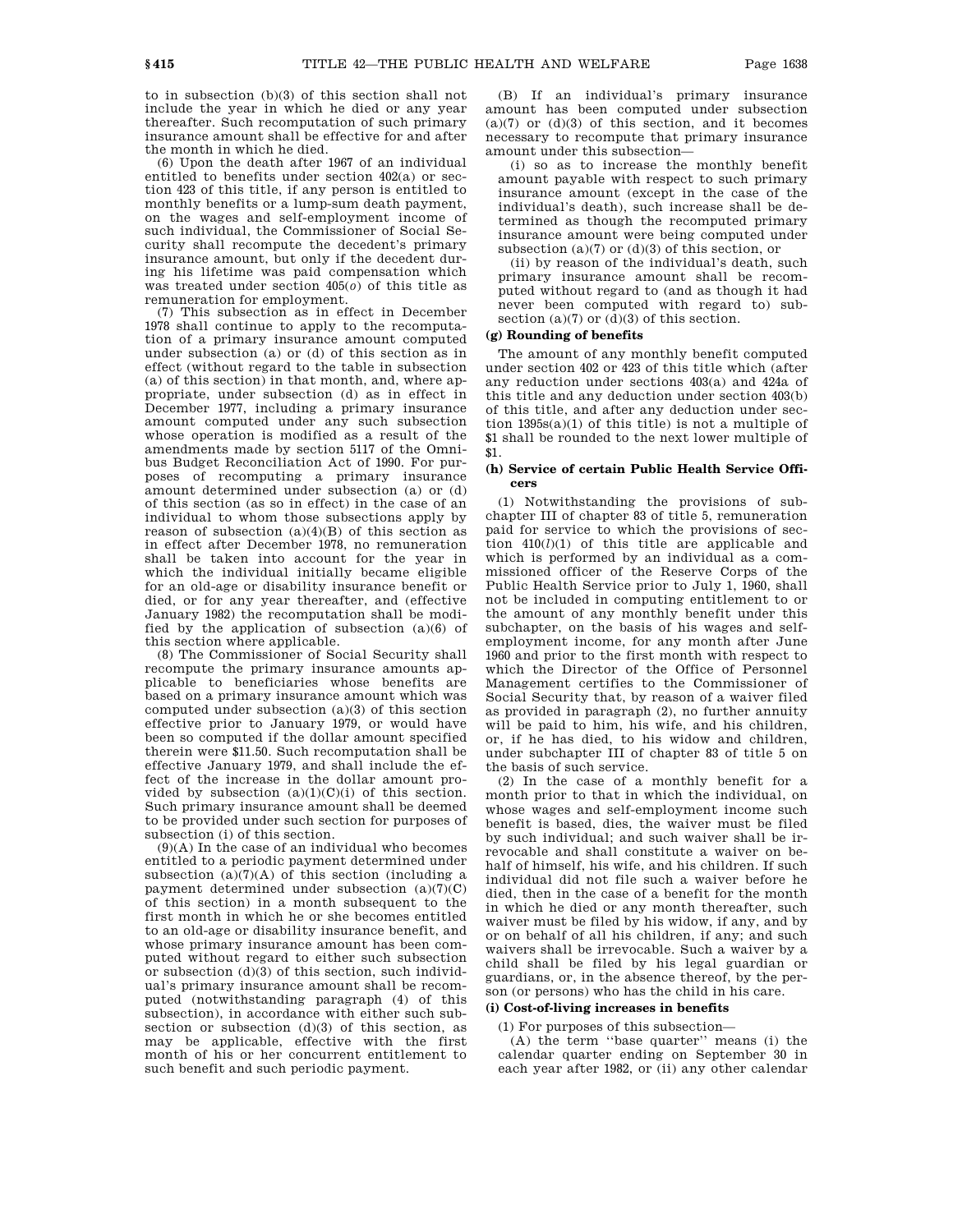to in subsection (b)(3) of this section shall not include the year in which he died or any year thereafter. Such recomputation of such primary insurance amount shall be effective for and after the month in which he died.

(6) Upon the death after 1967 of an individual entitled to benefits under section 402(a) or section 423 of this title, if any person is entitled to monthly benefits or a lump-sum death payment, on the wages and self-employment income of such individual, the Commissioner of Social Security shall recompute the decedent's primary insurance amount, but only if the decedent during his lifetime was paid compensation which was treated under section 405(*o*) of this title as remuneration for employment.

(7) This subsection as in effect in December 1978 shall continue to apply to the recomputation of a primary insurance amount computed under subsection (a) or (d) of this section as in effect (without regard to the table in subsection (a) of this section) in that month, and, where appropriate, under subsection (d) as in effect in December 1977, including a primary insurance amount computed under any such subsection whose operation is modified as a result of the amendments made by section 5117 of the Omnibus Budget Reconciliation Act of 1990. For purposes of recomputing a primary insurance amount determined under subsection (a) or (d) of this section (as so in effect) in the case of an individual to whom those subsections apply by reason of subsection  $(a)(4)(B)$  of this section as in effect after December 1978, no remuneration shall be taken into account for the year in which the individual initially became eligible for an old-age or disability insurance benefit or died, or for any year thereafter, and (effective January 1982) the recomputation shall be modified by the application of subsection (a)(6) of this section where applicable.

(8) The Commissioner of Social Security shall recompute the primary insurance amounts applicable to beneficiaries whose benefits are based on a primary insurance amount which was computed under subsection (a)(3) of this section effective prior to January 1979, or would have been so computed if the dollar amount specified therein were \$11.50. Such recomputation shall be effective January 1979, and shall include the effect of the increase in the dollar amount provided by subsection  $(a)(1)(C)(i)$  of this section. Such primary insurance amount shall be deemed to be provided under such section for purposes of subsection (i) of this section.

 $(9)(A)$  In the case of an individual who becomes entitled to a periodic payment determined under subsection  $(a)(7)(A)$  of this section (including a payment determined under subsection  $(a)(7)(C)$ of this section) in a month subsequent to the first month in which he or she becomes entitled to an old-age or disability insurance benefit, and whose primary insurance amount has been computed without regard to either such subsection or subsection (d)(3) of this section, such individual's primary insurance amount shall be recomputed (notwithstanding paragraph (4) of this subsection), in accordance with either such subsection or subsection (d)(3) of this section, as may be applicable, effective with the first month of his or her concurrent entitlement to such benefit and such periodic payment.

(B) If an individual's primary insurance amount has been computed under subsection  $(a)(7)$  or  $(d)(3)$  of this section, and it becomes necessary to recompute that primary insurance amount under this subsection—

(i) so as to increase the monthly benefit amount payable with respect to such primary insurance amount (except in the case of the individual's death), such increase shall be determined as though the recomputed primary insurance amount were being computed under subsection  $(a)(7)$  or  $(d)(3)$  of this section, or

(ii) by reason of the individual's death, such primary insurance amount shall be recomputed without regard to (and as though it had never been computed with regard to) subsection  $(a)(7)$  or  $(d)(3)$  of this section.

## **(g) Rounding of benefits**

The amount of any monthly benefit computed under section 402 or 423 of this title which (after any reduction under sections 403(a) and 424a of this title and any deduction under section 403(b) of this title, and after any deduction under section 1395s(a)(1) of this title) is not a multiple of \$1 shall be rounded to the next lower multiple of \$1.

# **(h) Service of certain Public Health Service Officers**

(1) Notwithstanding the provisions of subchapter III of chapter 83 of title 5, remuneration paid for service to which the provisions of section 410(*l*)(1) of this title are applicable and which is performed by an individual as a commissioned officer of the Reserve Corps of the Public Health Service prior to July 1, 1960, shall not be included in computing entitlement to or the amount of any monthly benefit under this subchapter, on the basis of his wages and selfemployment income, for any month after June 1960 and prior to the first month with respect to which the Director of the Office of Personnel Management certifies to the Commissioner of Social Security that, by reason of a waiver filed as provided in paragraph (2), no further annuity will be paid to him, his wife, and his children, or, if he has died, to his widow and children, under subchapter III of chapter 83 of title 5 on the basis of such service.

(2) In the case of a monthly benefit for a month prior to that in which the individual, on whose wages and self-employment income such benefit is based, dies, the waiver must be filed by such individual; and such waiver shall be irrevocable and shall constitute a waiver on behalf of himself, his wife, and his children. If such individual did not file such a waiver before he died, then in the case of a benefit for the month in which he died or any month thereafter, such waiver must be filed by his widow, if any, and by or on behalf of all his children, if any; and such waivers shall be irrevocable. Such a waiver by a child shall be filed by his legal guardian or guardians, or, in the absence thereof, by the person (or persons) who has the child in his care.

# **(i) Cost-of-living increases in benefits**

(1) For purposes of this subsection—

(A) the term ''base quarter'' means (i) the calendar quarter ending on September 30 in each year after 1982, or (ii) any other calendar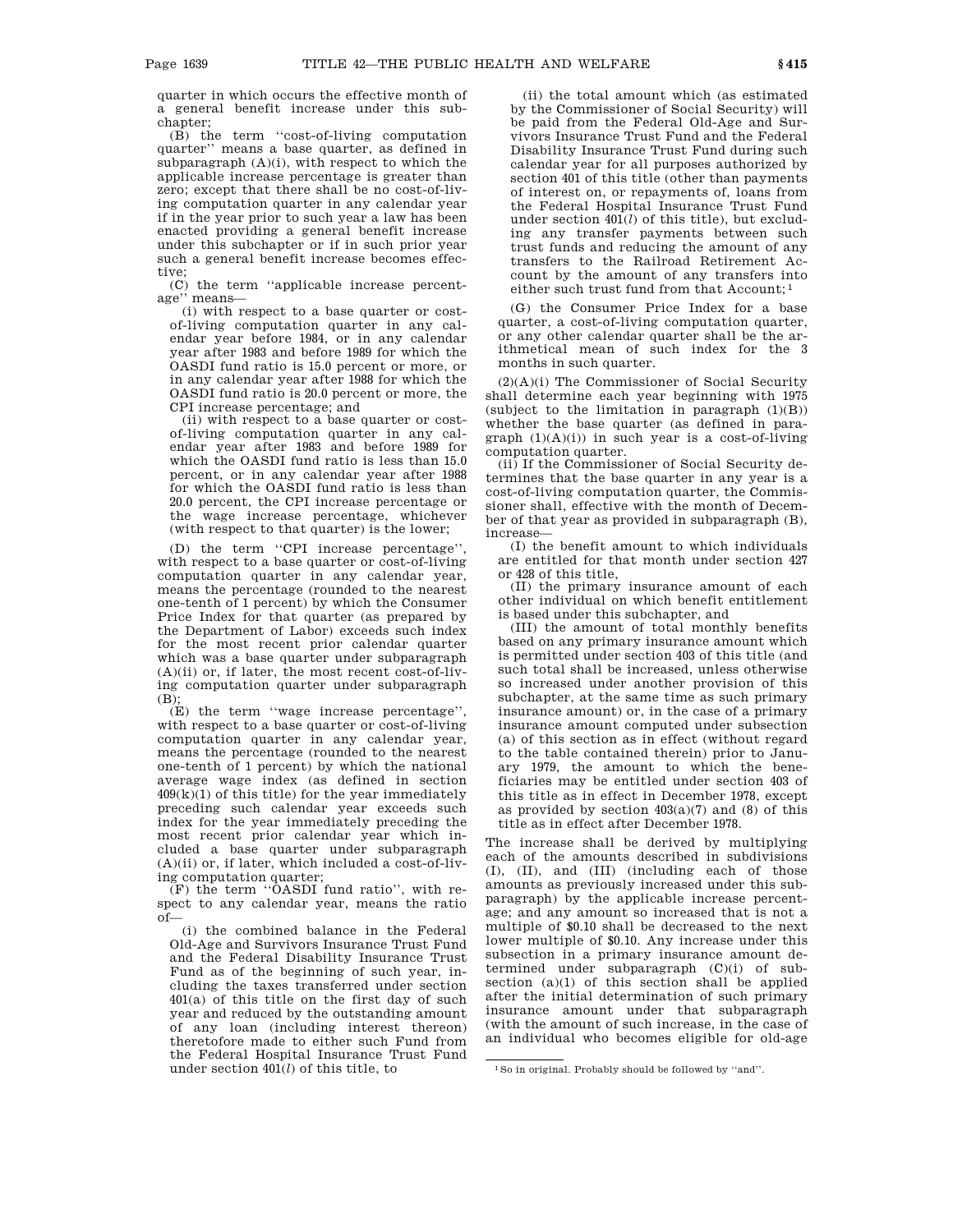quarter in which occurs the effective month of a general benefit increase under this subchapter;

(B) the term ''cost-of-living computation quarter'' means a base quarter, as defined in subparagraph  $(A)(i)$ , with respect to which the applicable increase percentage is greater than zero; except that there shall be no cost-of-living computation quarter in any calendar year if in the year prior to such year a law has been enacted providing a general benefit increase under this subchapter or if in such prior year such a general benefit increase becomes effective;

(C) the term ''applicable increase percentage'' means—

(i) with respect to a base quarter or costof-living computation quarter in any calendar year before 1984, or in any calendar year after 1983 and before 1989 for which the OASDI fund ratio is 15.0 percent or more, or in any calendar year after 1988 for which the OASDI fund ratio is 20.0 percent or more, the CPI increase percentage; and

(ii) with respect to a base quarter or costof-living computation quarter in any calendar year after 1983 and before 1989 for which the OASDI fund ratio is less than 15.0 percent, or in any calendar year after 1988 for which the OASDI fund ratio is less than 20.0 percent, the CPI increase percentage or the wage increase percentage, whichever (with respect to that quarter) is the lower;

(D) the term ''CPI increase percentage'', with respect to a base quarter or cost-of-living computation quarter in any calendar year, means the percentage (rounded to the nearest one-tenth of 1 percent) by which the Consumer Price Index for that quarter (as prepared by the Department of Labor) exceeds such index for the most recent prior calendar quarter which was a base quarter under subparagraph  $(A)(ii)$  or, if later, the most recent cost-of-living computation quarter under subparagraph (B);

(E) the term ''wage increase percentage'', with respect to a base quarter or cost-of-living computation quarter in any calendar year, means the percentage (rounded to the nearest one-tenth of 1 percent) by which the national average wage index (as defined in section  $409(k)(1)$  of this title) for the year immediately preceding such calendar year exceeds such index for the year immediately preceding the most recent prior calendar year which included a base quarter under subparagraph (A)(ii) or, if later, which included a cost-of-living computation quarter;

(F) the term ''OASDI fund ratio'', with respect to any calendar year, means the ratio of—

(i) the combined balance in the Federal Old-Age and Survivors Insurance Trust Fund and the Federal Disability Insurance Trust Fund as of the beginning of such year, including the taxes transferred under section 401(a) of this title on the first day of such year and reduced by the outstanding amount of any loan (including interest thereon) theretofore made to either such Fund from the Federal Hospital Insurance Trust Fund under section 401(*l*) of this title, to

(ii) the total amount which (as estimated by the Commissioner of Social Security) will be paid from the Federal Old-Age and Survivors Insurance Trust Fund and the Federal Disability Insurance Trust Fund during such calendar year for all purposes authorized by section 401 of this title (other than payments of interest on, or repayments of, loans from the Federal Hospital Insurance Trust Fund under section 401(*l*) of this title), but excluding any transfer payments between such trust funds and reducing the amount of any transfers to the Railroad Retirement Account by the amount of any transfers into either such trust fund from that Account; 1

(G) the Consumer Price Index for a base quarter, a cost-of-living computation quarter, or any other calendar quarter shall be the arithmetical mean of such index for the 3 months in such quarter.

(2)(A)(i) The Commissioner of Social Security shall determine each year beginning with 1975 (subject to the limitation in paragraph  $(1)(B)$ ) whether the base quarter (as defined in paragraph  $(1)(A)(i)$  in such year is a cost-of-living computation quarter.

(ii) If the Commissioner of Social Security determines that the base quarter in any year is a cost-of-living computation quarter, the Commissioner shall, effective with the month of December of that year as provided in subparagraph (B), increase—

(I) the benefit amount to which individuals are entitled for that month under section 427 or 428 of this title,

(II) the primary insurance amount of each other individual on which benefit entitlement is based under this subchapter, and

(III) the amount of total monthly benefits based on any primary insurance amount which is permitted under section 403 of this title (and such total shall be increased, unless otherwise so increased under another provision of this subchapter, at the same time as such primary insurance amount) or, in the case of a primary insurance amount computed under subsection (a) of this section as in effect (without regard to the table contained therein) prior to January 1979, the amount to which the beneficiaries may be entitled under section 403 of this title as in effect in December 1978, except as provided by section  $403(a)(7)$  and  $(8)$  of this title as in effect after December 1978.

The increase shall be derived by multiplying each of the amounts described in subdivisions (I), (II), and (III) (including each of those amounts as previously increased under this subparagraph) by the applicable increase percentage; and any amount so increased that is not a multiple of \$0.10 shall be decreased to the next lower multiple of \$0.10. Any increase under this subsection in a primary insurance amount determined under subparagraph (C)(i) of subsection  $(a)(1)$  of this section shall be applied after the initial determination of such primary insurance amount under that subparagraph (with the amount of such increase, in the case of an individual who becomes eligible for old-age

<sup>1</sup>So in original. Probably should be followed by ''and''.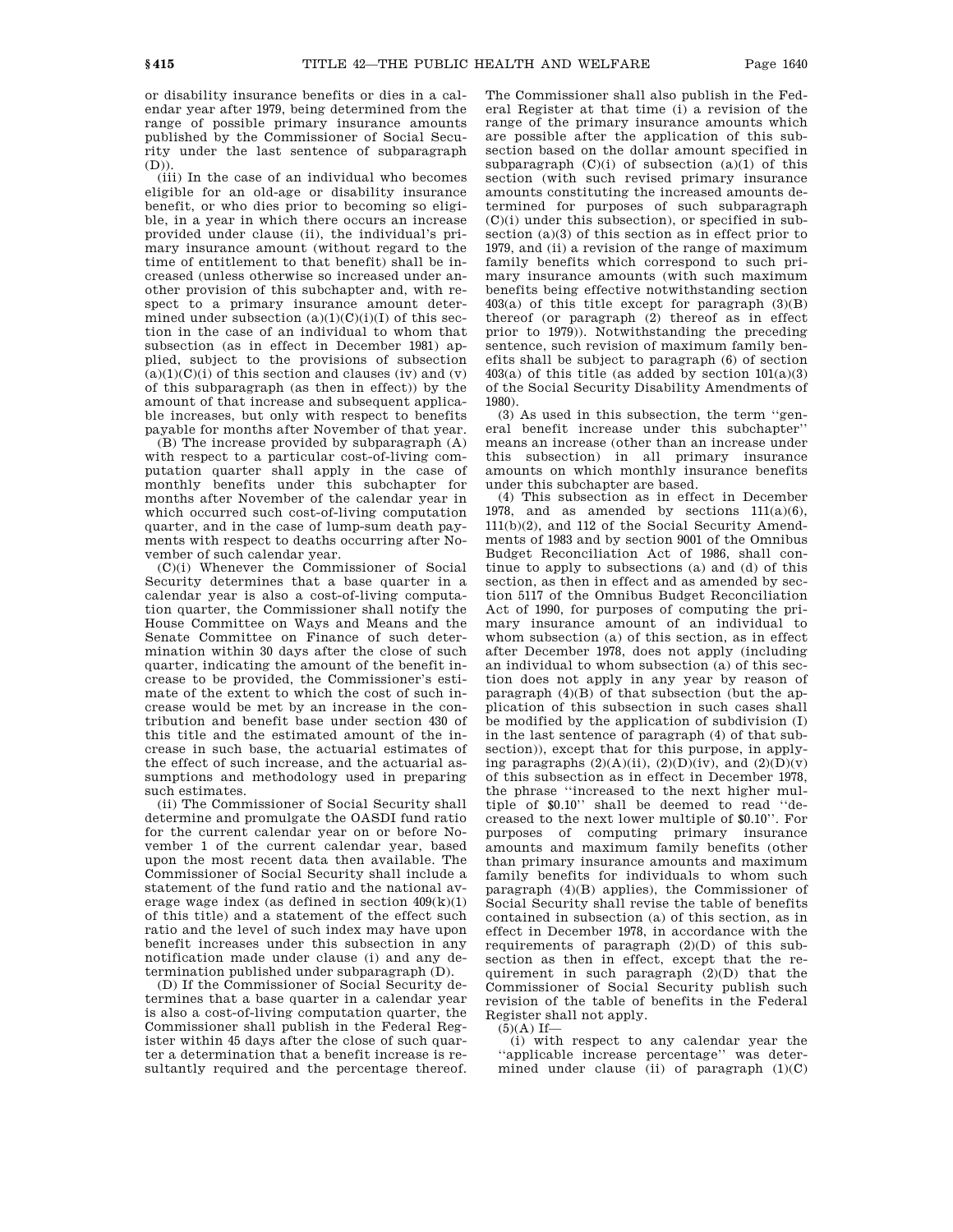or disability insurance benefits or dies in a calendar year after 1979, being determined from the range of possible primary insurance amounts published by the Commissioner of Social Security under the last sentence of subparagraph (D)).

 $\overrightarrow{f}$  (iii) In the case of an individual who becomes eligible for an old-age or disability insurance benefit, or who dies prior to becoming so eligible, in a year in which there occurs an increase provided under clause (ii), the individual's primary insurance amount (without regard to the time of entitlement to that benefit) shall be increased (unless otherwise so increased under another provision of this subchapter and, with respect to a primary insurance amount determined under subsection  $(a)(1)(C)(i)(I)$  of this section in the case of an individual to whom that subsection (as in effect in December 1981) applied, subject to the provisions of subsection  $(a)(1)(C)(i)$  of this section and clauses (iv) and (v) of this subparagraph (as then in effect)) by the amount of that increase and subsequent applicable increases, but only with respect to benefits payable for months after November of that year.

(B) The increase provided by subparagraph (A) with respect to a particular cost-of-living computation quarter shall apply in the case of monthly benefits under this subchapter for months after November of the calendar year in which occurred such cost-of-living computation quarter, and in the case of lump-sum death payments with respect to deaths occurring after November of such calendar year.

(C)(i) Whenever the Commissioner of Social Security determines that a base quarter in a calendar year is also a cost-of-living computation quarter, the Commissioner shall notify the House Committee on Ways and Means and the Senate Committee on Finance of such determination within 30 days after the close of such quarter, indicating the amount of the benefit increase to be provided, the Commissioner's estimate of the extent to which the cost of such increase would be met by an increase in the contribution and benefit base under section 430 of this title and the estimated amount of the increase in such base, the actuarial estimates of the effect of such increase, and the actuarial assumptions and methodology used in preparing such estimates.

(ii) The Commissioner of Social Security shall determine and promulgate the OASDI fund ratio for the current calendar year on or before November 1 of the current calendar year, based upon the most recent data then available. The Commissioner of Social Security shall include a statement of the fund ratio and the national average wage index (as defined in section  $409(k)(1)$ ) of this title) and a statement of the effect such ratio and the level of such index may have upon benefit increases under this subsection in any notification made under clause (i) and any determination published under subparagraph (D).

(D) If the Commissioner of Social Security determines that a base quarter in a calendar year is also a cost-of-living computation quarter, the Commissioner shall publish in the Federal Register within 45 days after the close of such quarter a determination that a benefit increase is resultantly required and the percentage thereof. The Commissioner shall also publish in the Federal Register at that time (i) a revision of the range of the primary insurance amounts which are possible after the application of this subsection based on the dollar amount specified in subparagraph  $(C)(i)$  of subsection  $(a)(1)$  of this section (with such revised primary insurance amounts constituting the increased amounts determined for purposes of such subparagraph (C)(i) under this subsection), or specified in subsection (a)(3) of this section as in effect prior to 1979, and (ii) a revision of the range of maximum family benefits which correspond to such primary insurance amounts (with such maximum benefits being effective notwithstanding section  $403(a)$  of this title except for paragraph  $(3)(B)$ thereof (or paragraph  $(2)$  thereof as in effect prior to 1979)). Notwithstanding the preceding sentence, such revision of maximum family benefits shall be subject to paragraph (6) of section  $403(a)$  of this title (as added by section  $101(a)(3)$ ) of the Social Security Disability Amendments of 1980).

(3) As used in this subsection, the term ''general benefit increase under this subchapter'' means an increase (other than an increase under this subsection) in all primary insurance amounts on which monthly insurance benefits under this subchapter are based.

(4) This subsection as in effect in December 1978, and as amended by sections  $111(a)(6)$ , 111(b)(2), and 112 of the Social Security Amendments of 1983 and by section 9001 of the Omnibus Budget Reconciliation Act of 1986, shall continue to apply to subsections (a) and (d) of this section, as then in effect and as amended by section 5117 of the Omnibus Budget Reconciliation Act of 1990, for purposes of computing the primary insurance amount of an individual to whom subsection (a) of this section, as in effect after December 1978, does not apply (including an individual to whom subsection (a) of this section does not apply in any year by reason of paragraph (4)(B) of that subsection (but the application of this subsection in such cases shall be modified by the application of subdivision (I) in the last sentence of paragraph (4) of that subsection)), except that for this purpose, in applying paragraphs  $(2)(A)(ii)$ ,  $(2)(D)(iv)$ , and  $(2)(D)(v)$ of this subsection as in effect in December 1978, the phrase ''increased to the next higher multiple of \$0.10'' shall be deemed to read ''decreased to the next lower multiple of \$0.10''. For purposes of computing primary insurance amounts and maximum family benefits (other than primary insurance amounts and maximum family benefits for individuals to whom such paragraph (4)(B) applies), the Commissioner of Social Security shall revise the table of benefits contained in subsection (a) of this section, as in effect in December 1978, in accordance with the requirements of paragraph (2)(D) of this subsection as then in effect, except that the requirement in such paragraph (2)(D) that the Commissioner of Social Security publish such revision of the table of benefits in the Federal Register shall not apply.

 $(5)(A)$  If-

(i) with respect to any calendar year the ''applicable increase percentage'' was determined under clause (ii) of paragraph (1)(C)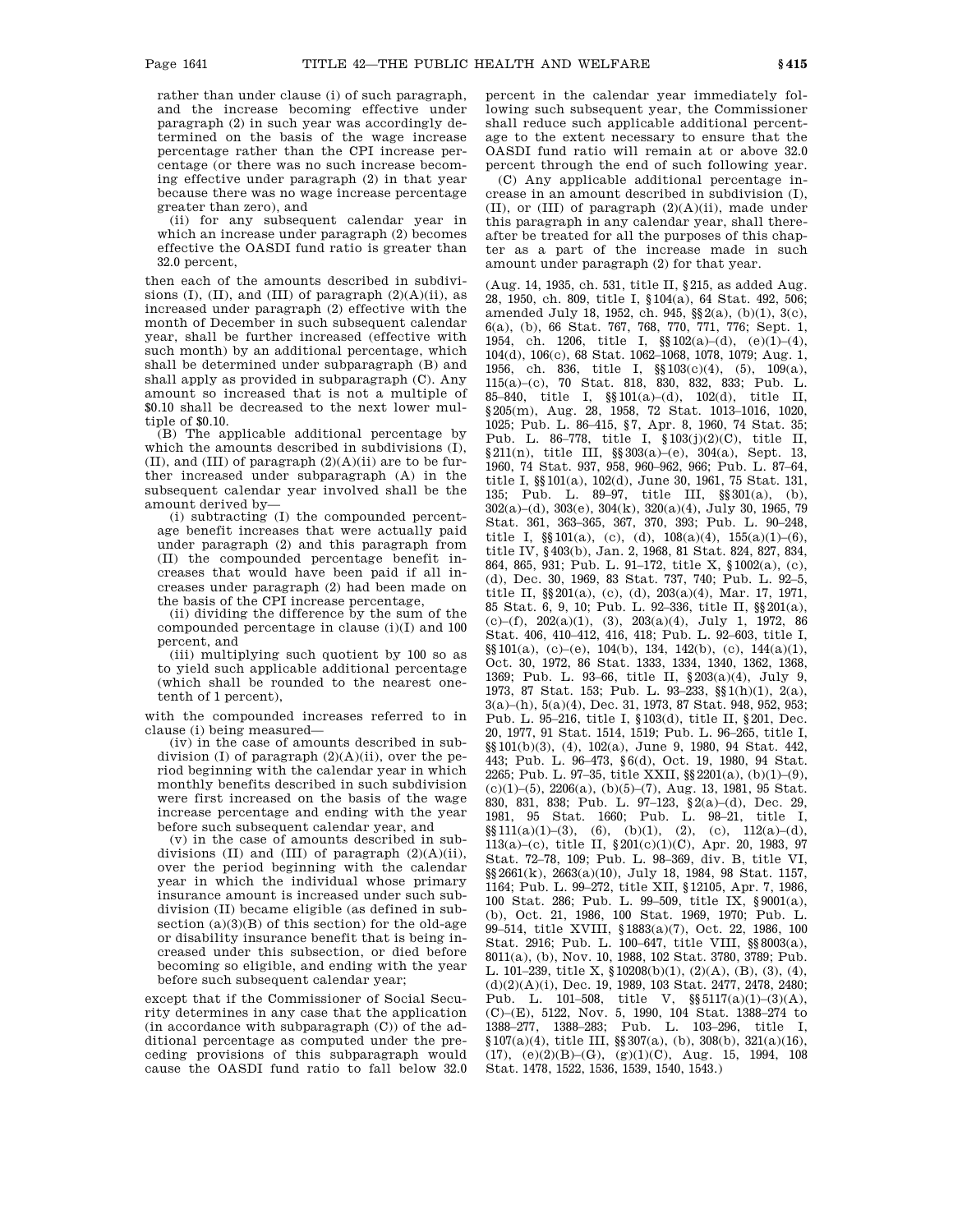rather than under clause (i) of such paragraph, and the increase becoming effective under paragraph (2) in such year was accordingly determined on the basis of the wage increase percentage rather than the CPI increase percentage (or there was no such increase becoming effective under paragraph (2) in that year because there was no wage increase percentage greater than zero), and

(ii) for any subsequent calendar year in which an increase under paragraph (2) becomes effective the OASDI fund ratio is greater than 32.0 percent,

then each of the amounts described in subdivisions (I), (II), and (III) of paragraph  $(2)(A)(ii)$ , as increased under paragraph (2) effective with the month of December in such subsequent calendar year, shall be further increased (effective with such month) by an additional percentage, which shall be determined under subparagraph (B) and shall apply as provided in subparagraph (C). Any amount so increased that is not a multiple of \$0.10 shall be decreased to the next lower multiple of \$0.10.

(B) The applicable additional percentage by which the amounts described in subdivisions (I), (II), and (III) of paragraph  $(2)(A)(ii)$  are to be further increased under subparagraph (A) in the subsequent calendar year involved shall be the amount derived by—

(i) subtracting (I) the compounded percentage benefit increases that were actually paid under paragraph (2) and this paragraph from (II) the compounded percentage benefit increases that would have been paid if all increases under paragraph (2) had been made on the basis of the CPI increase percentage,

(ii) dividing the difference by the sum of the compounded percentage in clause (i)(I) and 100 percent, and

(iii) multiplying such quotient by 100 so as to yield such applicable additional percentage (which shall be rounded to the nearest onetenth of 1 percent),

with the compounded increases referred to in clause (i) being measured—

(iv) in the case of amounts described in subdivision (I) of paragraph  $(2)(A)(ii)$ , over the period beginning with the calendar year in which monthly benefits described in such subdivision were first increased on the basis of the wage increase percentage and ending with the year before such subsequent calendar year, and

(v) in the case of amounts described in subdivisions  $(II)$  and  $(III)$  of paragraph  $(2)(A)(ii)$ , over the period beginning with the calendar year in which the individual whose primary insurance amount is increased under such subdivision (II) became eligible (as defined in subsection  $(a)(3)(B)$  of this section) for the old-age or disability insurance benefit that is being increased under this subsection, or died before becoming so eligible, and ending with the year before such subsequent calendar year;

except that if the Commissioner of Social Security determines in any case that the application (in accordance with subparagraph (C)) of the additional percentage as computed under the preceding provisions of this subparagraph would cause the OASDI fund ratio to fall below 32.0 percent in the calendar year immediately following such subsequent year, the Commissioner shall reduce such applicable additional percentage to the extent necessary to ensure that the OASDI fund ratio will remain at or above 32.0 percent through the end of such following year.

(C) Any applicable additional percentage increase in an amount described in subdivision (I), (II), or (III) of paragraph  $(2)(A)(ii)$ , made under this paragraph in any calendar year, shall thereafter be treated for all the purposes of this chapter as a part of the increase made in such amount under paragraph (2) for that year.

(Aug. 14, 1935, ch. 531, title II, §215, as added Aug. 28, 1950, ch. 809, title I, §104(a), 64 Stat. 492, 506; amended July 18, 1952, ch. 945, §§2(a), (b)(1), 3(c), 6(a), (b), 66 Stat. 767, 768, 770, 771, 776; Sept. 1, 1954, ch. 1206, title I,  $\S(102(a)-(d), (e)(1)-(4),$ 104(d), 106(c), 68 Stat. 1062–1068, 1078, 1079; Aug. 1, 1956, ch. 836, title I, §§103(c)(4), (5), 109(a), 115(a)–(c), 70 Stat. 818, 830, 832, 833; Pub. L. 85–840, title I, §§101(a)–(d), 102(d), title II, §205(m), Aug. 28, 1958, 72 Stat. 1013–1016, 1020, 1025; Pub. L. 86–415, §7, Apr. 8, 1960, 74 Stat. 35; Pub. L. 86–778, title I, §103(j)(2)(C), title II, §211(n), title III, §§303(a)–(e), 304(a), Sept. 13, 1960, 74 Stat. 937, 958, 960–962, 966; Pub. L. 87–64, title I, §§101(a), 102(d), June 30, 1961, 75 Stat. 131, 135; Pub. L. 89–97, title III, §§301(a), (b), 302(a)–(d), 303(e), 304(k), 320(a)(4), July 30, 1965, 79 Stat. 361, 363–365, 367, 370, 393; Pub. L. 90–248, title I,  $\S(101(a), (c), (d), 108(a)(4), 155(a)(1)$ –(6), title IV, §403(b), Jan. 2, 1968, 81 Stat. 824, 827, 834, 864, 865, 931; Pub. L. 91–172, title X, §1002(a), (c), (d), Dec. 30, 1969, 83 Stat. 737, 740; Pub. L. 92–5, title II, §§201(a), (c), (d), 203(a)(4), Mar. 17, 1971, 85 Stat. 6, 9, 10; Pub. L. 92–336, title II, §§201(a), (c)–(f), 202(a)(1), (3), 203(a)(4), July 1, 1972, 86 Stat. 406, 410–412, 416, 418; Pub. L. 92–603, title I,  $\S$ [01(a), (c)–(e), 104(b), 134, 142(b), (c), 144(a)(1), Oct. 30, 1972, 86 Stat. 1333, 1334, 1340, 1362, 1368, 1369; Pub. L. 93–66, title II, §203(a)(4), July 9, 1973, 87 Stat. 153; Pub. L. 93–233, §§1(h)(1), 2(a), 3(a)–(h), 5(a)(4), Dec. 31, 1973, 87 Stat. 948, 952, 953; Pub. L. 95–216, title I, §103(d), title II, §201, Dec. 20, 1977, 91 Stat. 1514, 1519; Pub. L. 96–265, title I, §§101(b)(3), (4), 102(a), June 9, 1980, 94 Stat. 442, 443; Pub. L. 96–473, §6(d), Oct. 19, 1980, 94 Stat. 2265; Pub. L. 97–35, title XXII, §§2201(a), (b)(1)–(9),  $(c)(1)$ – $(5)$ ,  $2206(a)$ ,  $(b)(5)$ – $(7)$ , Aug. 13, 1981, 95 Stat. 830, 831, 838; Pub. L. 97–123, §2(a)–(d), Dec. 29, 1981, 95 Stat. 1660; Pub. L. 98–21, title I,  $\S$ \$111(a)(1)–(3), (6), (b)(1), (2), (c), 112(a)–(d), 113(a)–(c), title II, §201(c)(1)(C), Apr. 20, 1983, 97 Stat. 72–78, 109; Pub. L. 98–369, div. B, title VI, §§2661(k), 2663(a)(10), July 18, 1984, 98 Stat. 1157, 1164; Pub. L. 99–272, title XII, §12105, Apr. 7, 1986, 100 Stat. 286; Pub. L. 99–509, title IX, §9001(a), (b), Oct. 21, 1986, 100 Stat. 1969, 1970; Pub. L. 99–514, title XVIII, §1883(a)(7), Oct. 22, 1986, 100 Stat. 2916; Pub. L. 100–647, title VIII, §§8003(a), 8011(a), (b), Nov. 10, 1988, 102 Stat. 3780, 3789; Pub. L. 101–239, title X, §10208(b)(1), (2)(A), (B), (3), (4), (d)(2)(A)(i), Dec. 19, 1989, 103 Stat. 2477, 2478, 2480; Pub. L. 101–508, title V,  $\S\$ 5117(a)(1)–(3)(A), (C)–(E), 5122, Nov. 5, 1990, 104 Stat. 1388–274 to 1388–277, 1388–283; Pub. L. 103–296, title I, §107(a)(4), title III, §§307(a), (b), 308(b), 321(a)(16),  $(17)$ ,  $(e)(2)(B)-(G)$ ,  $(g)(1)(C)$ , Aug. 15, 1994, 108 Stat. 1478, 1522, 1536, 1539, 1540, 1543.)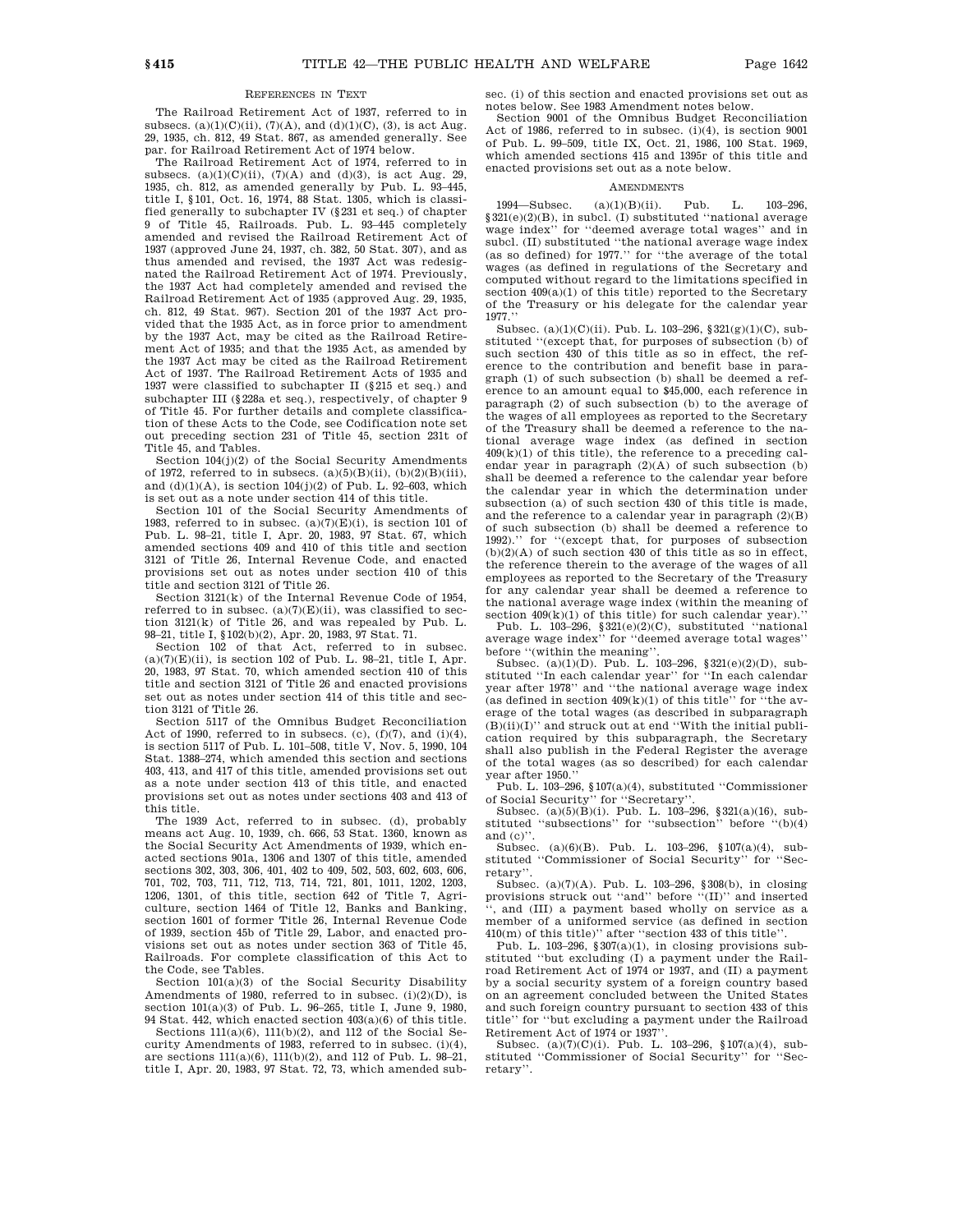#### REFERENCES IN TEXT

The Railroad Retirement Act of 1937, referred to in subsecs. (a)(1)(C)(ii), (7)(A), and (d)(1)(C), (3), is act Aug. 29, 1935, ch. 812, 49 Stat. 867, as amended generally. See par. for Railroad Retirement Act of 1974 below.

The Railroad Retirement Act of 1974, referred to in subsecs.  $(a)(1)(C)(ii)$ ,  $(7)(A)$  and  $(d)(3)$ , is act Aug. 29, 1935, ch. 812, as amended generally by Pub. L. 93–445, title I, §101, Oct. 16, 1974, 88 Stat. 1305, which is classified generally to subchapter IV (§231 et seq.) of chapter 9 of Title 45, Railroads. Pub. L. 93–445 completely amended and revised the Railroad Retirement Act of 1937 (approved June 24, 1937, ch. 382, 50 Stat. 307), and as thus amended and revised, the 1937 Act was redesignated the Railroad Retirement Act of 1974. Previously, the 1937 Act had completely amended and revised the Railroad Retirement Act of 1935 (approved Aug. 29, 1935, ch. 812, 49 Stat. 967). Section 201 of the 1937 Act provided that the 1935 Act, as in force prior to amendment by the 1937 Act, may be cited as the Railroad Retirement Act of 1935; and that the 1935 Act, as amended by the 1937 Act may be cited as the Railroad Retirement Act of 1937. The Railroad Retirement Acts of 1935 and 1937 were classified to subchapter II (§215 et seq.) and subchapter III (§228a et seq.), respectively, of chapter 9 of Title 45. For further details and complete classification of these Acts to the Code, see Codification note set out preceding section 231 of Title 45, section 231t of Title 45, and Tables.

Section 104(j)(2) of the Social Security Amendments of 1972, referred to in subsecs.  $(a)(5)(B)(ii)$ ,  $(b)(2)(B)(iii)$ , and  $(d)(1)(A)$ , is section  $104(j)(2)$  of Pub. L. 92–603, which is set out as a note under section 414 of this title.

Section 101 of the Social Security Amendments of 1983, referred to in subsec.  $(a)(7)(E)(i)$ , is section 101 of Pub. L. 98–21, title I, Apr. 20, 1983, 97 Stat. 67, which amended sections 409 and 410 of this title and section 3121 of Title 26, Internal Revenue Code, and enacted provisions set out as notes under section 410 of this title and section 3121 of Title 26.

Section 3121(k) of the Internal Revenue Code of 1954, referred to in subsec.  $(a)(7)(E)(ii)$ , was classified to section 3121(k) of Title 26, and was repealed by Pub. L. 98–21, title I, §102(b)(2), Apr. 20, 1983, 97 Stat. 71.

Section 102 of that Act, referred to in subsec.  $(a)(7)(E)(ii)$ , is section 102 of Pub. L. 98-21, title I, Apr. 20, 1983, 97 Stat. 70, which amended section 410 of this title and section 3121 of Title 26 and enacted provisions set out as notes under section 414 of this title and section 3121 of Title 26.

Section 5117 of the Omnibus Budget Reconciliation Act of 1990, referred to in subsecs. (c), (f)(7), and (i)(4), is section 5117 of Pub. L. 101–508, title V, Nov. 5, 1990, 104 Stat. 1388–274, which amended this section and sections 403, 413, and 417 of this title, amended provisions set out as a note under section 413 of this title, and enacted provisions set out as notes under sections 403 and 413 of this title.

The 1939 Act, referred to in subsec. (d), probably means act Aug. 10, 1939, ch. 666, 53 Stat. 1360, known as the Social Security Act Amendments of 1939, which enacted sections 901a, 1306 and 1307 of this title, amended sections 302, 303, 306, 401, 402 to 409, 502, 503, 602, 603, 606, 701, 702, 703, 711, 712, 713, 714, 721, 801, 1011, 1202, 1203, 1206, 1301, of this title, section 642 of Title 7, Agriculture, section 1464 of Title 12, Banks and Banking, section 1601 of former Title 26, Internal Revenue Code of 1939, section 45b of Title 29, Labor, and enacted provisions set out as notes under section 363 of Title 45, Railroads. For complete classification of this Act to the Code, see Tables.

Section  $101(a)(3)$  of the Social Security Disability Amendments of 1980, referred to in subsec. (i)(2)(D), is section  $101(a)(3)$  of Pub. L. 96-265, title L. June 9, 1980, 94 Stat. 442, which enacted section 403(a)(6) of this title.

Sections 111(a)(6), 111(b)(2), and 112 of the Social Security Amendments of 1983, referred to in subsec. (i)(4), are sections 111(a)(6), 111(b)(2), and 112 of Pub. L. 98–21, title I, Apr. 20, 1983, 97 Stat. 72, 73, which amended subsec. (i) of this section and enacted provisions set out as notes below. See 1983 Amendment notes below.

Section 9001 of the Omnibus Budget Reconciliation Act of 1986, referred to in subsec. (i)(4), is section 9001 of Pub. L. 99–509, title IX, Oct. 21, 1986, 100 Stat. 1969, which amended sections 415 and 1395r of this title and enacted provisions set out as a note below.

#### **AMENDMENTS**

1994—Subsec. (a)(1)(B)(ii). Pub. L. 103–296, §321(e)(2)(B), in subcl. (I) substituted ''national average wage index'' for ''deemed average total wages'' and in subcl. (II) substituted ''the national average wage index (as so defined) for 1977.'' for ''the average of the total wages (as defined in regulations of the Secretary and computed without regard to the limitations specified in section  $409(a)(1)$  of this title) reported to the Secretary of the Treasury or his delegate for the calendar year 1977.''

Subsec. (a)(1)(C)(ii). Pub. L. 103–296, §321(g)(1)(C), substituted ''(except that, for purposes of subsection (b) of such section 430 of this title as so in effect, the reference to the contribution and benefit base in paragraph (1) of such subsection (b) shall be deemed a reference to an amount equal to \$45,000, each reference in paragraph (2) of such subsection (b) to the average of the wages of all employees as reported to the Secretary of the Treasury shall be deemed a reference to the na-tional average wage index (as defined in section  $409(k)(1)$  of this title), the reference to a preceding calendar year in paragraph (2)(A) of such subsection (b) shall be deemed a reference to the calendar year before the calendar year in which the determination under subsection (a) of such section 430 of this title is made, and the reference to a calendar year in paragraph (2)(B) of such subsection (b) shall be deemed a reference to 1992).'' for ''(except that, for purposes of subsection  $(b)(2)(A)$  of such section 430 of this title as so in effect, the reference therein to the average of the wages of all employees as reported to the Secretary of the Treasury for any calendar year shall be deemed a reference to the national average wage index (within the meaning of section 409(k)(1) of this title) for such calendar year).''

Pub. L. 103–296, §321(e)(2)(C), substituted ''national average wage index'' for ''deemed average total wages'' before "(within the meaning'

Subsec. (a)(1)(D). Pub. L. 103–296, §321(e)(2)(D), substituted ''In each calendar year'' for ''In each calendar year after 1978'' and ''the national average wage index (as defined in section  $409(k)(1)$  of this title" for "the average of the total wages (as described in subparagraph  $(B)(ii)(I)$ " and struck out at end "With the initial publication required by this subparagraph, the Secretary shall also publish in the Federal Register the average of the total wages (as so described) for each calendar year after 1950.''

Pub. L. 103–296, §107(a)(4), substituted ''Commissioner of Social Security'' for ''Secretary''.

Subsec. (a)(5)(B)(i). Pub. L. 103–296, §321(a)(16), substituted ''subsections'' for ''subsection'' before ''(b)(4) and (c)''.

Subsec. (a)(6)(B). Pub. L. 103–296, §107(a)(4), substituted ''Commissioner of Social Security'' for ''Secretary''.

Subsec. (a)(7)(A). Pub. L. 103–296, §308(b), in closing provisions struck out ''and'' before ''(II)'' and inserted '', and (III) a payment based wholly on service as a member of a uniformed service (as defined in section 410(m) of this title)'' after ''section 433 of this title''.

Pub. L. 103-296,  $\S 307(a)(1)$ , in closing provisions substituted ''but excluding (I) a payment under the Railroad Retirement Act of 1974 or 1937, and (II) a payment by a social security system of a foreign country based on an agreement concluded between the United States and such foreign country pursuant to section 433 of this title'' for ''but excluding a payment under the Railroad Retirement Act of 1974 or 1937''.

Subsec. (a)(7)(C)(i). Pub. L. 103–296, §107(a)(4), substituted ''Commissioner of Social Security'' for ''Secretary''.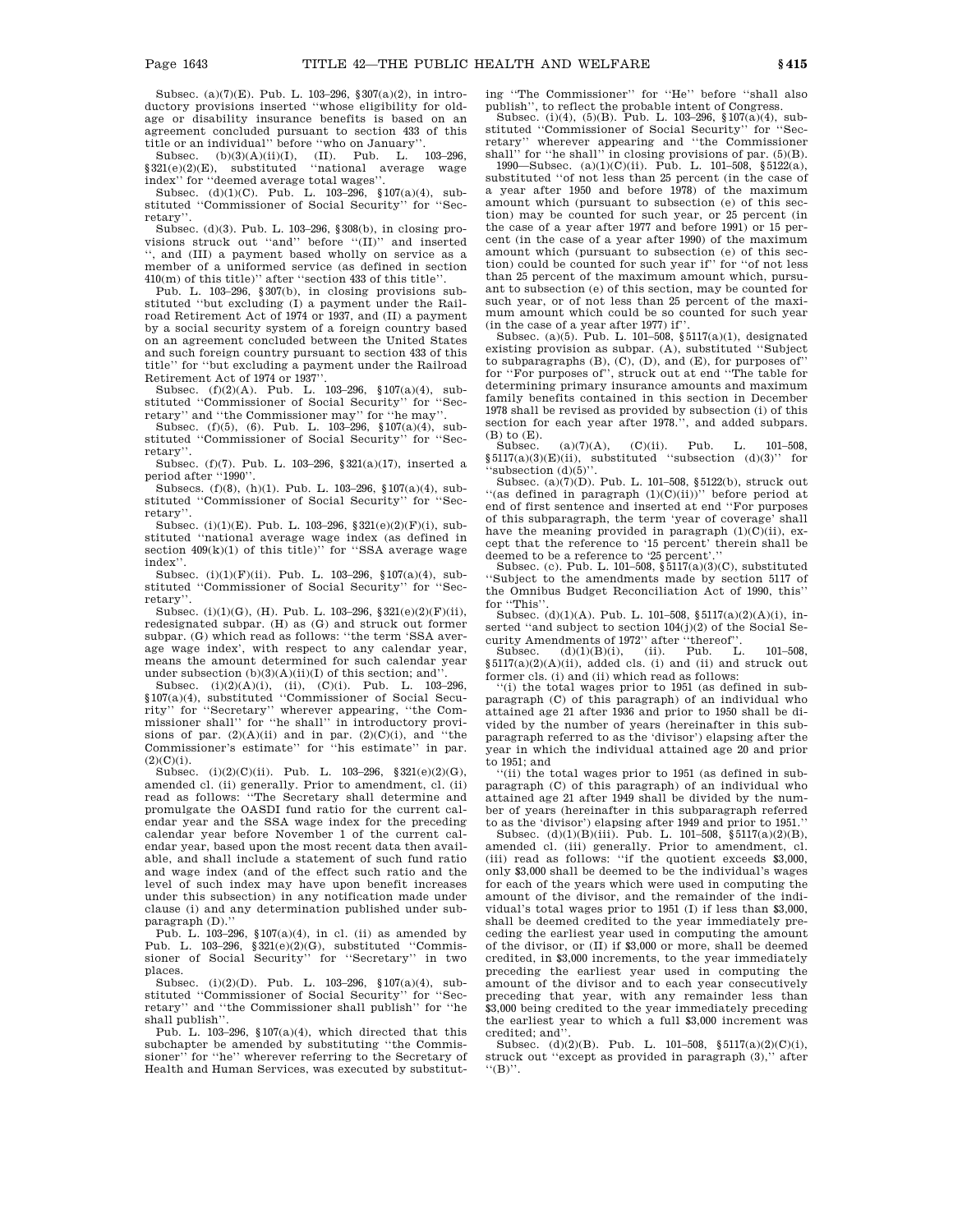Subsec. (a)(7)(E). Pub. L. 103–296, §307(a)(2), in introductory provisions inserted ''whose eligibility for oldage or disability insurance benefits is based on an agreement concluded pursuant to section 433 of this title or an individual'' before ''who on January''. Subsec. (b)(3)(A)(ii)(I), (II). Pub. L. 103–296,

§321(e)(2)(E), substituted ''national average wage index'' for ''deemed average total wages''.

Subsec. (d)(1)(C). Pub. L. 103–296, §107(a)(4), substituted ''Commissioner of Social Security'' for ''Secretary''.

Subsec. (d)(3). Pub. L. 103–296, §308(b), in closing provisions struck out ''and'' before ''(II)'' and inserted , and (III) a payment based wholly on service as a member of a uniformed service (as defined in section 410(m) of this title)'' after ''section 433 of this title''.

Pub. L. 103–296, §307(b), in closing provisions substituted ''but excluding (I) a payment under the Railroad Retirement Act of 1974 or 1937, and (II) a payment by a social security system of a foreign country based on an agreement concluded between the United States and such foreign country pursuant to section 433 of this title'' for ''but excluding a payment under the Railroad Retirement Act of 1974 or 1937''.

Subsec. (f)(2)(A). Pub. L. 103–296, §107(a)(4), substituted ''Commissioner of Social Security'' for ''Secretary'' and ''the Commissioner may'' for ''he may''.

Subsec. (f)(5), (6). Pub. L. 103–296, §107(a)(4), substituted ''Commissioner of Social Security'' for ''Secretary''.

Subsec. (f)(7). Pub. L. 103–296, §321(a)(17), inserted a period after "1990"

Subsecs. (f)(8), (h)(1). Pub. L. 103–296, §107(a)(4), substituted ''Commissioner of Social Security'' for ''Secretary''.

Subsec. (i)(1)(E). Pub. L. 103-296,  $§321(e)(2)(F)(i)$ , substituted ''national average wage index (as defined in section  $409(k)(1)$  of this title)" for "SSA average wage index''.

Subsec. (i)(1)(F)(ii). Pub. L. 103–296, §107(a)(4), substituted ''Commissioner of Social Security'' for ''Secretary''.

Subsec. (i)(1)(G), (H). Pub. L. 103–296, §321(e)(2)(F)(ii), redesignated subpar. (H) as (G) and struck out former subpar. (G) which read as follows: ''the term 'SSA average wage index', with respect to any calendar year, means the amount determined for such calendar year under subsection  $(b)(3)(A)(ii)(I)$  of this section; and'

Subsec. (i)(2)(A)(i), (ii), (C)(i). Pub. L. 103–296, §107(a)(4), substituted ''Commissioner of Social Security'' for ''Secretary'' wherever appearing, ''the Commissioner shall'' for ''he shall'' in introductory provisions of par.  $(2)(A)(ii)$  and in par.  $(2)(C)(i)$ , and "the Commissioner's estimate'' for ''his estimate'' in par.  $(2)(C)(i)$ .

Subsec. (i)(2)(C)(ii). Pub. L. 103-296, §321(e)(2)(G), amended cl. (ii) generally. Prior to amendment, cl. (ii) read as follows: ''The Secretary shall determine and promulgate the OASDI fund ratio for the current calendar year and the SSA wage index for the preceding calendar year before November 1 of the current calendar year, based upon the most recent data then available, and shall include a statement of such fund ratio and wage index (and of the effect such ratio and the level of such index may have upon benefit increases under this subsection) in any notification made under clause (i) and any determination published under subparagraph (D).''

Pub. L. 103–296, §107(a)(4), in cl. (ii) as amended by Pub. L. 103–296, §321(e)(2)(G), substituted ''Commissioner of Social Security'' for ''Secretary'' in two places.

Subsec. (i)(2)(D). Pub. L. 103–296, §107(a)(4), substituted "Commissioner of Social Security" for "Secretary'' and ''the Commissioner shall publish'' for ''he shall publish''.

Pub. L. 103-296,  $$107(a)(4)$ , which directed that this subchapter be amended by substituting ''the Commissioner'' for ''he'' wherever referring to the Secretary of Health and Human Services, was executed by substituting ''The Commissioner'' for ''He'' before ''shall also publish'', to reflect the probable intent of Congress.

Subsec. (i)(4), (5)(B). Pub. L. 103–296, §107(a)(4), substituted ''Commissioner of Social Security'' for ''Secretary'' wherever appearing and ''the Commissioner shall'' for ''he shall'' in closing provisions of par. (5)(B). 1990—Subsec. (a)(1)(C)(ii). Pub. L. 101–508, §5122(a),

substituted ''of not less than 25 percent (in the case of a year after 1950 and before 1978) of the maximum amount which (pursuant to subsection (e) of this section) may be counted for such year, or 25 percent (in the case of a year after 1977 and before 1991) or 15 percent (in the case of a year after 1990) of the maximum amount which (pursuant to subsection (e) of this section) could be counted for such year if'' for ''of not less than 25 percent of the maximum amount which, pursuant to subsection (e) of this section, may be counted for such year, or of not less than 25 percent of the maximum amount which could be so counted for such year (in the case of a year after 1977) if''.

Subsec. (a)(5). Pub. L. 101–508,  $\S$ 5117(a)(1), designated existing provision as subpar. (A), substituted ''Subject to subparagraphs (B), (C), (D), and (E), for purposes of'' for ''For purposes of'', struck out at end ''The table for determining primary insurance amounts and maximum family benefits contained in this section in December 1978 shall be revised as provided by subsection (i) of this section for each year after 1978.'', and added subpars. (B) to (E).

Subsec.  $(a)(7)(A)$ ,  $(C)(ii)$ . Pub. L. 101–508, §5117(a)(3)'E)(ii), substituted "subsection (d)(3)" for 'subsection (d)(5)'

Subsection  $(0,0)$ . Pub. L. 101–508, §5122(b), struck out "(as defined in paragraph  $(1)(C)(ii))$ " before period at end of first sentence and inserted at end ''For purposes of this subparagraph, the term 'year of coverage' shall have the meaning provided in paragraph  $(1)(C)(ii)$ , except that the reference to '15 percent' therein shall be deemed to be a reference to '25 percent'.'' Subsec. (c). Pub. L. 101–508, §5117(a)(3)(C), substituted

''Subject to the amendments made by section 5117 of the Omnibus Budget Reconciliation Act of 1990, this'' for ''This''.

Subsec. (d)(1)(A). Pub. L. 101–508, §5117(a)(2)(A)(i), inserted ''and subject to section 104(j)(2) of the Social Security Amendments of 1972'' after ''thereof''. Subsec. (d)(1)(B)(i), (ii). Pub. L. 101–508,

Subsec.  $(d)(1)(B)(i)$ , (ii). Pub. L. 101-508,  $$5117(a)(2)(A)(ii)$ , added cls. (i) and (ii) and struck out former cls. (i) and (ii) which read as follows:

''(i) the total wages prior to 1951 (as defined in subparagraph (C) of this paragraph) of an individual who attained age 21 after 1936 and prior to 1950 shall be divided by the number of years (hereinafter in this subparagraph referred to as the 'divisor') elapsing after the year in which the individual attained age 20 and prior to 1951; and

''(ii) the total wages prior to 1951 (as defined in subparagraph (C) of this paragraph) of an individual who attained age 21 after 1949 shall be divided by the number of years (hereinafter in this subparagraph referred

to as the 'divisor') elapsing after 1949 and prior to 1951.''<br>Subsec.  $(d)(1)(B)(iii)$ . Pub. L. 101–508, §5117(a)(2)(B), amended cl. (iii) generally. Prior to amendment, cl. (iii) read as follows: ''if the quotient exceeds \$3,000, only \$3,000 shall be deemed to be the individual's wages for each of the years which were used in computing the amount of the divisor, and the remainder of the individual's total wages prior to 1951 (I) if less than \$3,000, shall be deemed credited to the year immediately preceding the earliest year used in computing the amount of the divisor, or (II) if \$3,000 or more, shall be deemed credited, in \$3,000 increments, to the year immediately preceding the earliest year used in computing the amount of the divisor and to each year consecutively preceding that year, with any remainder less than \$3,000 being credited to the year immediately preceding the earliest year to which a full \$3,000 increment was credited; and''.

 ${\tt Subsec.} \quad (d)(2)(B). \quad {\tt Pub.} \quad {\tt L.} \quad 101\text{--}508, \quad \S\,5117(a)(2)(C)(i),$ struck out ''except as provided in paragraph (3),'' after ''(B)''.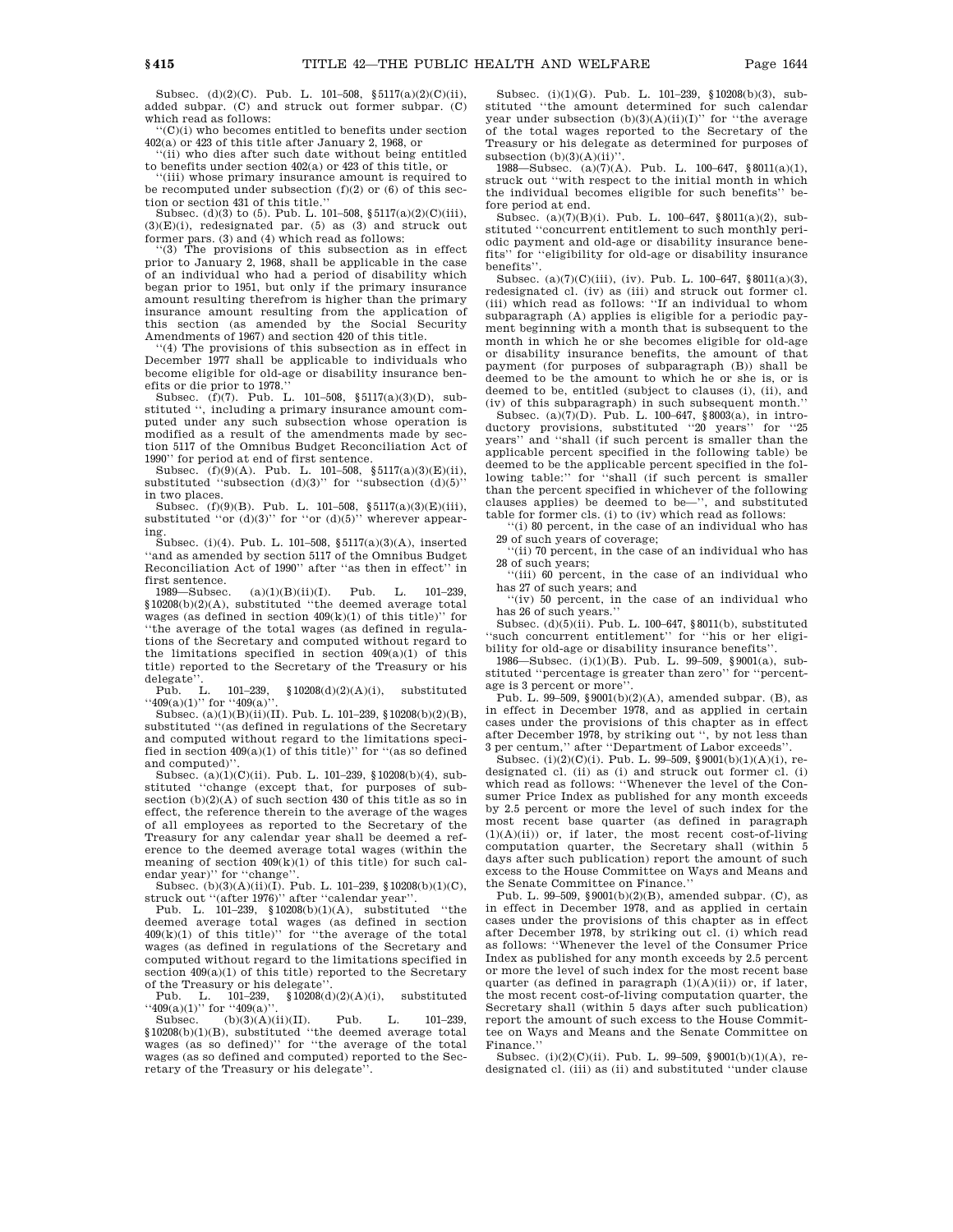Subsec. (d)(2)(C). Pub. L. 101–508, §5117(a)(2)(C)(ii), added subpar. (C) and struck out former subpar. (C) which read as follows:

''(C)(i) who becomes entitled to benefits under section 402(a) or 423 of this title after January 2, 1968, or

'(ii) who dies after such date without being entitled

to benefits under section 402(a) or 423 of this title, or "(iii) whose primary insurance amount is required to be recomputed under subsection  $(f)(2)$  or  $(6)$  of this section or section 431 of this title.''

Subsec. (d)(3) to (5). Pub. L. 101–508,  $\S 5117(a)(2)(C)(iii)$ ,  $(3)(E)(i)$ , redesignated par. (5) as (3) and struck out

former pars. (3) and (4) which read as follows:<br>"(3) The provisions of this subsection as in effect prior to January 2, 1968, shall be applicable in the case of an individual who had a period of disability which began prior to 1951, but only if the primary insurance amount resulting therefrom is higher than the primary insurance amount resulting from the application of this section (as amended by the Social Security Amendments of 1967) and section 420 of this title.

''(4) The provisions of this subsection as in effect in December 1977 shall be applicable to individuals who become eligible for old-age or disability insurance benefits or die prior to 1978.''

Subsec. (f)(7). Pub. L. 101–508, §5117(a)(3)(D), substituted '', including a primary insurance amount computed under any such subsection whose operation is modified as a result of the amendments made by section 5117 of the Omnibus Budget Reconciliation Act of 1990'' for period at end of first sentence.

Subsec.  $(f)(9)(A)$ . Pub. L. 101-508, §5117(a)(3)(E)(ii), substituted "subsection  $(d)(3)$ " for "subsection  $(d)(5)$ " in two places.

Subsec. (f)(9)(B). Pub. L. 101–508, §5117(a)(3)(E)(iii), substituted "or  $(d)(3)$ " for "or  $(d)(5)$ " wherever appearing.

Subsec. (i)(4). Pub. L. 101–508, §5117(a)(3)(A), inserted "and as amended by section 5117 of the Omnibus Budget" Reconciliation Act of 1990'' after ''as then in effect'' in

first sentence.  $(a)(1)(B)(ii)(I)$ . Pub. L. 101–239, §10208(b)(2)(A), substituted ''the deemed average total wages (as defined in section  $409(k)(1)$  of this title)" for ''the average of the total wages (as defined in regulations of the Secretary and computed without regard to the limitations specified in section  $409(a)(1)$  of this title) reported to the Secretary of the Treasury or his

delegate".<br>Pub. L. 101–239, §10208(d)(2)(A)(i), substituted  $``409(a)(1)"$  for  $``409(a)"$ 

Subsec. (a)(1)(B)(ii)(II). Pub. L. 101–239, §10208(b)(2)(B), substituted ''(as defined in regulations of the Secretary and computed without regard to the limitations specified in section  $409(a)(1)$  of this title)" for "(as so defined and computed)'

Subsec. (a)(1)(C)(ii). Pub. L. 101–239, §10208(b)(4), substituted ''change (except that, for purposes of subsection (b)(2)(A) of such section 430 of this title as so in effect, the reference therein to the average of the wages of all employees as reported to the Secretary of the Treasury for any calendar year shall be deemed a reference to the deemed average total wages (within the meaning of section  $409(k)(1)$  of this title) for such calendar year)" for "change"

Subsec. (b)(3)(A)(ii)(I). Pub. L. 101–239, §10208(b)(1)(C), struck out "(after 1976)" after "calendar year".

Pub. L. 101–239, §10208(b)(1)(A), substituted ''the deemed average total wages (as defined in section  $409(k)(1)$  of this title)" for "the average of the total wages (as defined in regulations of the Secretary and computed without regard to the limitations specified in section  $409(a)(1)$  of this title) reported to the Secretary of the Treasury or his delegate'

Pub. L.  $101-239$ ,  $$10208(d)(2)(A)(i)$ , substituted

" $409(a)(1)$ " for " $409(a)$ ".<br>Subsec. (b)(3)(A)(ii)(II). Pub. L. 101–239,  $§10208(b)(1)(B)$ , substituted "the deemed average total wages (as so defined)'' for ''the average of the total wages (as so defined and computed) reported to the Secretary of the Treasury or his delegate''.

Subsec. (i)(1)(G). Pub. L. 101–239, §10208(b)(3), substituted ''the amount determined for such calendar year under subsection  $(b)(3)(A)(ii)(I)$ " for "the average of the total wages reported to the Secretary of the Treasury or his delegate as determined for purposes of subsection  $(b)(3)(A)(ii)$ "

1988—Subsec. (a)(7)(A). Pub. L. 100–647, §8011(a)(1), struck out ''with respect to the initial month in which the individual becomes eligible for such benefits'' before period at end.

Subsec. (a)(7)(B)(i). Pub. L. 100–647, §8011(a)(2), substituted ''concurrent entitlement to such monthly periodic payment and old-age or disability insurance benefits'' for ''eligibility for old-age or disability insurance benefits''.

Subsec. (a)(7)(C)(iii), (iv). Pub. L. 100–647, §8011(a)(3), redesignated cl. (iv) as (iii) and struck out former cl. (iii) which read as follows: ''If an individual to whom subparagraph (A) applies is eligible for a periodic payment beginning with a month that is subsequent to the month in which he or she becomes eligible for old-age or disability insurance benefits, the amount of that payment (for purposes of subparagraph (B)) shall be deemed to be the amount to which he or she is, or is deemed to be, entitled (subject to clauses (i), (ii), and (iv) of this subparagraph) in such subsequent month.''

Subsec. (a)(7)(D). Pub. L. 100–647, §8003(a), in introductory provisions, substituted ''20 years'' for ''25 years'' and ''shall (if such percent is smaller than the applicable percent specified in the following table) be deemed to be the applicable percent specified in the following table:" for "shall (if such percent is smaller than the percent specified in whichever of the following clauses applies) be deemed to be—'', and substituted table for former cls. (i) to (iv) which read as follows:

''(i) 80 percent, in the case of an individual who has 29 of such years of coverage;

''(ii) 70 percent, in the case of an individual who has 28 of such years;

'(iii) 60 percent, in the case of an individual who has 27 of such years; and

''(iv) 50 percent, in the case of an individual who has 26 of such years.''

Subsec. (d)(5)(ii). Pub. L. 100–647, §8011(b), substituted 'such concurrent entitlement'' for "his or her eligibility for old-age or disability insurance benefits''.

1986—Subsec. (i)(1)(B). Pub. L. 99–509, §9001(a), substituted ''percentage is greater than zero'' for ''percentage is 3 percent or more''.

Pub. L. 99–509, §9001(b)(2)(A), amended subpar. (B), as in effect in December 1978, and as applied in certain cases under the provisions of this chapter as in effect after December 1978, by striking out '', by not less than 3 per centum,'' after ''Department of Labor exceeds''.

Subsec. (i)(2)(C)(i). Pub. L. 99–509, §9001(b)(1)(A)(i), redesignated cl. (ii) as (i) and struck out former cl. (i) which read as follows: ''Whenever the level of the Consumer Price Index as published for any month exceeds by 2.5 percent or more the level of such index for the most recent base quarter (as defined in paragraph  $(1)(A)(ii)$  or, if later, the most recent cost-of-living computation quarter, the Secretary shall (within 5 days after such publication) report the amount of such excess to the House Committee on Ways and Means and the Senate Committee on Finance.''

Pub. L. 99–509, §9001(b)(2)(B), amended subpar. (C), as in effect in December 1978, and as applied in certain cases under the provisions of this chapter as in effect after December 1978, by striking out cl. (i) which read as follows: ''Whenever the level of the Consumer Price Index as published for any month exceeds by 2.5 percent or more the level of such index for the most recent base quarter (as defined in paragraph  $(1)(A)(ii)$ ) or, if later, the most recent cost-of-living computation quarter, the Secretary shall (within 5 days after such publication) report the amount of such excess to the House Committee on Ways and Means and the Senate Committee on Finance.''

Subsec. (i)(2)(C)(ii). Pub. L. 99–509, §9001(b)(1)(A), redesignated cl. (iii) as (ii) and substituted ''under clause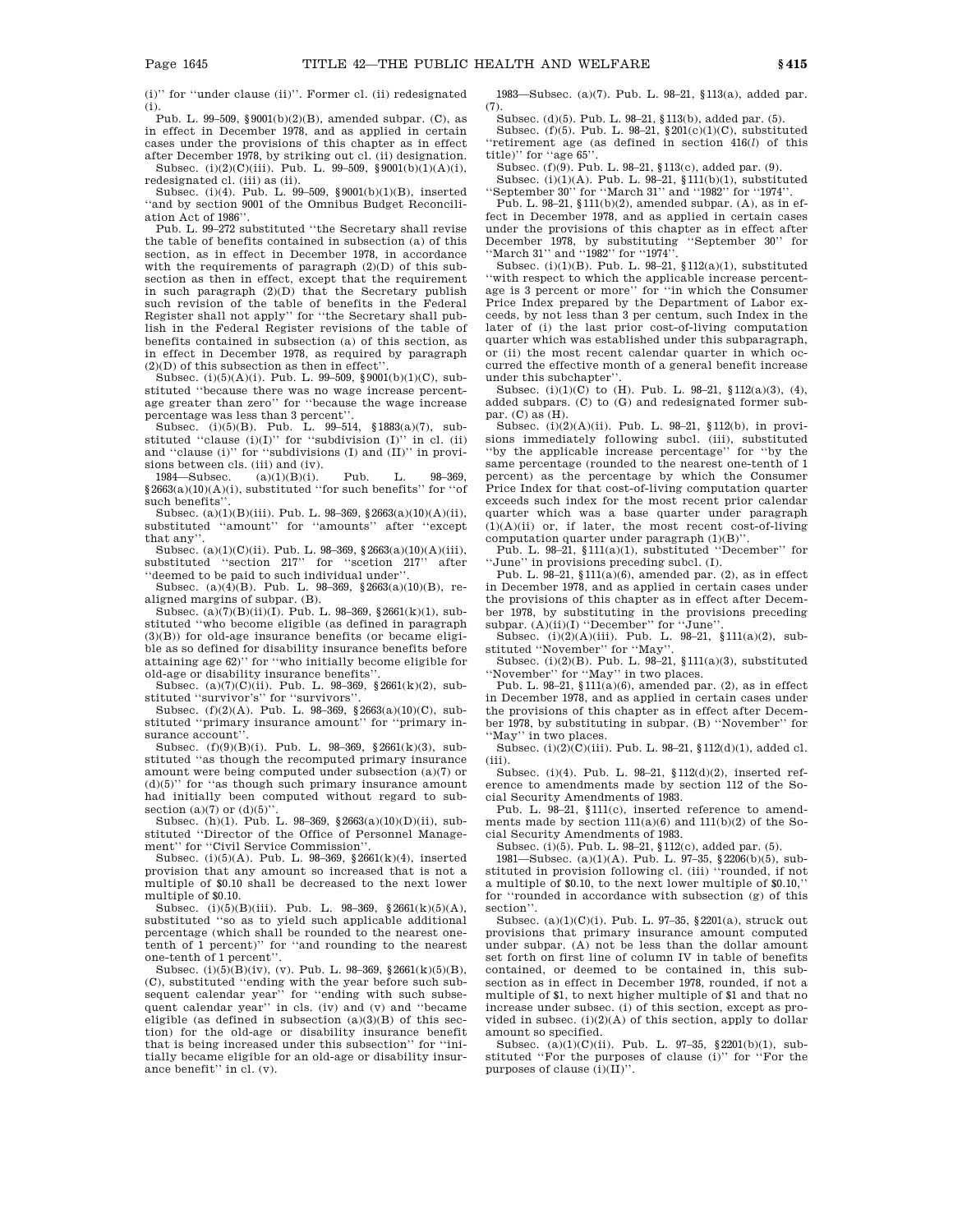(i)'' for ''under clause (ii)''. Former cl. (ii) redesignated (i).

Pub. L. 99–509, §9001(b)(2)(B), amended subpar. (C), as in effect in December 1978, and as applied in certain cases under the provisions of this chapter as in effect after December 1978, by striking out cl. (ii) designation.

Subsec. (i)(2)(C)(iii). Pub. L. 99–509, §9001(b)(1)(A)(i), redesignated cl. (iii) as (ii).

Subsec. (i)(4). Pub. L. 99–509, §9001(b)(1)(B), inserted ''and by section 9001 of the Omnibus Budget Reconciliation Act of 1986''.

Pub. L. 99–272 substituted ''the Secretary shall revise the table of benefits contained in subsection (a) of this section, as in effect in December 1978, in accordance with the requirements of paragraph (2)(D) of this subsection as then in effect, except that the requirement in such paragraph (2)(D) that the Secretary publish such revision of the table of benefits in the Federal Register shall not apply'' for ''the Secretary shall publish in the Federal Register revisions of the table of benefits contained in subsection (a) of this section, as in effect in December 1978, as required by paragraph  $(2)(D)$  of this subsection as then in effect".

Subsec. (i)(5)(A)(i). Pub. L. 99–509, §9001(b)(1)(C), substituted ''because there was no wage increase percentage greater than zero'' for ''because the wage increase percentage was less than 3 percent''.

Subsec. (i)(5)(B). Pub. L. 99–514, §1883(a)(7), substituted "clause  $(i)(I)$ " for "subdivision  $(I)$ " in cl.  $(ii)$ and ''clause (i)'' for ''subdivisions (I) and (II)'' in provisions between cls. (iii) and (iv).<br>1984—Subsec.  $(a)(1)(B)(i)$ .

1984—Subsec. (a)(1)(B)(i). Pub. L. 98–369, §2663(a)(10)(A)(i), substituted ''for such benefits'' for ''of such benefits'

Subsec. (a)(1)(B)(iii). Pub. L. 98–369, §2663(a)(10)(A)(ii), substituted ''amount'' for ''amounts'' after ''except that any''.

Subsec. (a)(1)(C)(ii). Pub. L. 98–369, §2663(a)(10)(A)(iii), substituted "section 217" for "section 217" after ''deemed to be paid to such individual under''.

Subsec. (a)(4)(B). Pub. L. 98-369,  $§2663(a)(10)(B)$ , realigned margins of subpar. (B).

Subsec. (a)(7)(B)(ii)(I). Pub. L. 98-369, §2661(k)(1), substituted ''who become eligible (as defined in paragraph (3)(B)) for old-age insurance benefits (or became eligible as so defined for disability insurance benefits before attaining age 62)'' for ''who initially become eligible for old-age or disability insurance benefits''.

Subsec. (a)(7)(C)(ii). Pub. L. 98–369, §2661(k)(2), substituted "survivor's" for "survivors"

Subsec. (f)(2)(A). Pub. L. 98–369, §2663(a)(10)(C), substituted ''primary insurance amount'' for ''primary insurance account"

Subsec. (f)(9)(B)(i). Pub. L. 98–369, §2661(k)(3), substituted ''as though the recomputed primary insurance amount were being computed under subsection (a)(7) or (d)(5)'' for ''as though such primary insurance amount had initially been computed without regard to subsection (a)(7) or  $(d)(5)$ ".

Subsec. (h)(1). Pub. L. 98–369, §2663(a)(10)(D)(ii), substituted ''Director of the Office of Personnel Management'' for ''Civil Service Commission''.

Subsec. (i)(5)(A). Pub. L. 98–369, §2661(k)(4), inserted provision that any amount so increased that is not a multiple of \$0.10 shall be decreased to the next lower multiple of \$0.10.

Subsec. (i)(5)(B)(iii). Pub. L. 98–369, §2661(k)(5)(A), substituted ''so as to yield such applicable additional percentage (which shall be rounded to the nearest onetenth of 1 percent)'' for ''and rounding to the nearest one-tenth of 1 percent''.

Subsec. (i)(5)(B)(iv), (v). Pub. L. 98-369, §2661(k)(5)(B), (C), substituted ''ending with the year before such subsequent calendar year" for "ending with such subsequent calendar year'' in cls. (iv) and (v) and ''became eligible (as defined in subsection  $(a)(3)(B)$  of this section) for the old-age or disability insurance benefit that is being increased under this subsection'' for ''initially became eligible for an old-age or disability insurance benefit'' in cl. (v).

1983—Subsec. (a)(7). Pub. L. 98–21, §113(a), added par. (7).

Subsec. (d)(5). Pub. L. 98–21, §113(b), added par. (5).<br>Subsec. (f)(5). Pub. L. 98–21, §201(c)(1)(C), substituted

''retirement age (as defined in section 416(*l*) of this title)" for "age 65"

Subsec. (f)(9). Pub. L. 98–21, §113(c), added par. (9).

Subsec. (i)(1)(A). Pub. L. 98–21, §111(b)(1), substituted ''September 30'' for ''March 31'' and ''1982'' for ''1974''.

Pub. L. 98–21, §111(b)(2), amended subpar. (A), as in effect in December 1978, and as applied in certain cases under the provisions of this chapter as in effect after December 1978, by substituting ''September 30'' for ''March 31'' and ''1982'' for ''1974''.

Subsec. (i)(1)(B). Pub. L. 98–21, §112(a)(1), substituted ''with respect to which the applicable increase percentage is 3 percent or more'' for ''in which the Consumer Price Index prepared by the Department of Labor exceeds, by not less than 3 per centum, such Index in the later of (i) the last prior cost-of-living computation quarter which was established under this subparagraph, or (ii) the most recent calendar quarter in which occurred the effective month of a general benefit increase under this subchapter''.

Subsec. (i)(1)(C) to (H). Pub. L. 98-21,  $$112(a)(3), (4),$ added subpars. (C) to (G) and redesignated former subpar. (C) as (H).

Subsec. (i)(2)(A)(ii). Pub. L. 98–21, §112(b), in provisions immediately following subcl. (iii), substituted ''by the applicable increase percentage'' for ''by the same percentage (rounded to the nearest one-tenth of 1 percent) as the percentage by which the Consumer Price Index for that cost-of-living computation quarter exceeds such index for the most recent prior calendar quarter which was a base quarter under paragraph  $(1)(A)(ii)$  or, if later, the most recent cost-of-living computation quarter under paragraph (1)(B)''.

Pub. L. 98–21, §111(a)(1), substituted ''December'' for ''June'' in provisions preceding subcl. (I).

Pub. L.  $98-21$ ,  $11(a)(6)$ , amended par. (2), as in effect in December 1978, and as applied in certain cases under the provisions of this chapter as in effect after December 1978, by substituting in the provisions preceding subpar. (A)(ii)(I) "December" for "June'

Subsec.  $(i)(2)(A)(iii)$ . Pub. L. 98-21, §111(a)(2), substituted ''November'' for ''May''.

Subsec. (i)(2)(B). Pub. L. 98–21, §111(a)(3), substituted ''November'' for ''May'' in two places.

Pub. L. 98–21, §111(a)(6), amended par. (2), as in effect in December 1978, and as applied in certain cases under the provisions of this chapter as in effect after December 1978, by substituting in subpar. (B) ''November'' for "May" in two places.

Subsec.  $(i)(2)(C)(iii)$ . Pub. L. 98–21, §112(d)(1), added cl. (iii).

Subsec. (i)(4). Pub. L. 98–21, §112(d)(2), inserted reference to amendments made by section 112 of the Social Security Amendments of 1983.

Pub. L. 98–21, §111(c), inserted reference to amendments made by section  $111(a)(6)$  and  $111(b)(2)$  of the Social Security Amendments of 1983.

Subsec. (i)(5). Pub. L. 98–21, §112(c), added par. (5). 1981—Subsec. (a)(1)(A). Pub. L. 97–35, §2206(b)(5), substituted in provision following cl. (iii) ''rounded, if not a multiple of \$0.10, to the next lower multiple of \$0.10,'' for ''rounded in accordance with subsection (g) of this section''.

Subsec. (a)(1)(C)(i). Pub. L. 97–35, §2201(a), struck out provisions that primary insurance amount computed under subpar. (A) not be less than the dollar amount set forth on first line of column IV in table of benefits contained, or deemed to be contained in, this subsection as in effect in December 1978, rounded, if not a multiple of \$1, to next higher multiple of \$1 and that no increase under subsec. (i) of this section, except as provided in subsec.  $(i)(2)(A)$  of this section, apply to dollar amount so specified.

Subsec. (a)(1)(C)(ii). Pub. L. 97–35, §2201(b)(1), substituted ''For the purposes of clause (i)'' for ''For the purposes of clause (i)(II)''.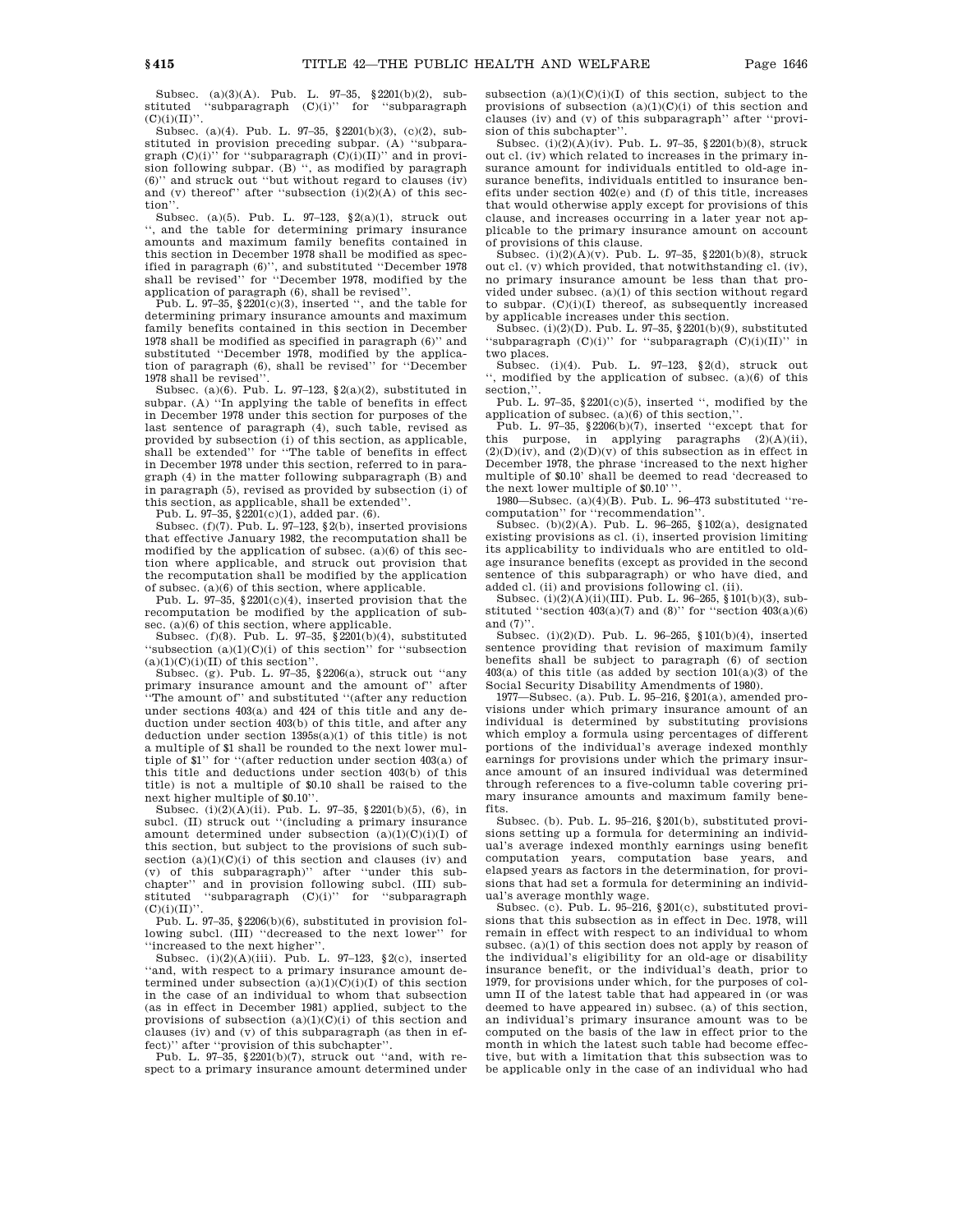Subsec. (a)(3)(A). Pub. L. 97–35, §2201(b)(2), substituted "subparagraph  $(C)(i)$ " for "subparagraph  $(C)(i)(II)$ ".

Subsec. (a)(4). Pub. L. 97–35, §2201(b)(3), (c)(2), substituted in provision preceding subpar. (A) ''subparagraph  $(C)(i)$ " for "subparagraph  $(C)(i)(II)$ " and in provision following subpar. (B) '', as modified by paragraph (6)'' and struck out ''but without regard to clauses (iv) and (v) thereof" after "subsection  $(i)(2)(A)$  of this section'

Subsec. (a)(5). Pub. L. 97–123, §2(a)(1), struck out '', and the table for determining primary insurance amounts and maximum family benefits contained in this section in December 1978 shall be modified as specified in paragraph (6)'', and substituted ''December 1978 shall be revised'' for ''December 1978, modified by the application of paragraph (6), shall be revised''.

Pub. L. 97-35,  $2201(c)(3)$ , inserted ", and the table for determining primary insurance amounts and maximum family benefits contained in this section in December 1978 shall be modified as specified in paragraph (6)'' and substituted ''December 1978, modified by the application of paragraph (6), shall be revised'' for ''December 1978 shall be revised''.

Subsec. (a)(6). Pub. L. 97-123,  $\S2(a)(2)$ , substituted in subpar. (A) ''In applying the table of benefits in effect in December 1978 under this section for purposes of the last sentence of paragraph (4), such table, revised as provided by subsection (i) of this section, as applicable, shall be extended'' for ''The table of benefits in effect in December 1978 under this section, referred to in paragraph (4) in the matter following subparagraph (B) and in paragraph (5), revised as provided by subsection (i) of this section, as applicable, shall be extended''.

Pub. L. 97-35, §2201(c)(1), added par. (6).

Subsec.  $(f)(7)$ . Pub. L. 97–123, §2(b), inserted provisions that effective January 1982, the recomputation shall be modified by the application of subsec.  $(a)(6)$  of this section where applicable, and struck out provision that the recomputation shall be modified by the application of subsec.  $(a)(6)$  of this section, where applicable.

Pub. L.  $97-35$ ,  $2201(c)(4)$ , inserted provision that the recomputation be modified by the application of subsec. (a)(6) of this section, where applicable.

Subsec. (f)(8). Pub. L. 97-35,  $\S$ 2201(b)(4), substituted "subsection  $(a)(1)(C)(i)$  of this section" for "subsection"  $(a)(1)(C)(i)(II)$  of this section".

Subsec. (g). Pub. L. 97–35, §2206(a), struck out ''any primary insurance amount and the amount of'' after The amount of" and substituted "(after any reduction under sections 403(a) and 424 of this title and any deduction under section 403(b) of this title, and after any deduction under section  $1395s(a)(1)$  of this title) is not a multiple of \$1 shall be rounded to the next lower multiple of \$1'' for ''(after reduction under section 403(a) of this title and deductions under section 403(b) of this title) is not a multiple of \$0.10 shall be raised to the next higher multiple of \$0.10''.

Subsec.  $(i)(2)(A)(ii)$ . Pub. L. 97-35, §2201(b)(5), (6), in subcl. (II) struck out "(including a primary insurance amount determined under subsection  $(a)(1)(C)(i)(I)$  of this section, but subject to the provisions of such subsection  $(a)(1)(C)(i)$  of this section and clauses (iv) and (v) of this subparagraph)'' after ''under this subchapter'' and in provision following subcl. (III) substituted "subparagraph (C)(i)" for "subparagraph  $(C)(i)(II)'$ 

Pub. L. 97-35,  $§2206(b)(6)$ , substituted in provision following subcl. (III) ''decreased to the next lower'' for ''increased to the next higher''.

Subsec.  $(i)(2)(A)(iii)$ . Pub. L. 97-123, §2(c), inserted ''and, with respect to a primary insurance amount determined under subsection  $(a)(1)(C)(i)(I)$  of this section in the case of an individual to whom that subsection (as in effect in December 1981) applied, subject to the provisions of subsection  $(a)(1)(C)(i)$  of this section and clauses (iv) and (v) of this subparagraph (as then in ef-

fect)'' after ''provision of this subchapter''. Pub. L. 97–35, §2201(b)(7), struck out ''and, with respect to a primary insurance amount determined under subsection  $(a)(1)(C)(i)(I)$  of this section, subject to the provisions of subsection  $(a)(1)(C)(i)$  of this section and clauses (iv) and (v) of this subparagraph'' after ''provision of this subchapter''.

Subsec. (i)(2)(A)(iv). Pub. L. 97–35, §2201(b)(8), struck out cl. (iv) which related to increases in the primary insurance amount for individuals entitled to old-age insurance benefits, individuals entitled to insurance benefits under section 402(e) and (f) of this title, increases that would otherwise apply except for provisions of this clause, and increases occurring in a later year not applicable to the primary insurance amount on account of provisions of this clause.

Subsec. (i)(2)(A)(v). Pub. L. 97-35,  $2201(b)(8)$ , struck out cl. (v) which provided, that notwithstanding cl. (iv), no primary insurance amount be less than that provided under subsec. (a)(1) of this section without regard to subpar.  $(C)(i)(I)$  thereof, as subsequently increased by applicable increases under this section.

Subsec. (i)(2)(D). Pub. L. 97–35, §2201(b)(9), substituted "subparagraph  $(C)(i)$ " for "subparagraph  $(C)(i)(II)$ " in two places.

Subsec. (i)(4). Pub. L. 97–123, §2(d), struck out , modified by the application of subsec. (a)(6) of this section."

Pub. L. 97-35, §2201(c)(5), inserted ", modified by the application of subsec. (a)(6) of this section,''.

Pub. L. 97-35,  $$2206(b)(7)$ , inserted "except that for this purpose, in applying paragraphs  $(2)(A)(ii)$ ,  $(2)(D)(iv)$ , and  $(2)(D)(v)$  of this subsection as in effect in December 1978, the phrase 'increased to the next higher multiple of \$0.10' shall be deemed to read 'decreased to the next lower multiple of \$0.10'''.

1980—Subsec. (a)(4)(B). Pub. L. 96–473 substituted ''recomputation'' for ''recommendation''.

Subsec. (b) $(2)(A)$ . Pub. L. 96-265, §102 $(a)$ , designated existing provisions as cl. (i), inserted provision limiting its applicability to individuals who are entitled to oldage insurance benefits (except as provided in the second sentence of this subparagraph) or who have died, and added cl. (ii) and provisions following cl. (ii).

Subsec. (i)(2)(A)(ii)(III). Pub. L. 96–265, §101(b)(3), substituted "section  $403(a)(7)$  and  $(8)$ " for "section  $403(a)(6)$ and  $(7)$ ".

Subsec. (i)(2)(D). Pub. L. 96–265, §101(b)(4), inserted sentence providing that revision of maximum family benefits shall be subject to paragraph (6) of section  $403(a)$  of this title (as added by section  $101(a)(3)$  of the Social Security Disability Amendments of 1980).

1977—Subsec. (a). Pub. L. 95–216, §201(a), amended provisions under which primary insurance amount of an individual is determined by substituting provisions which employ a formula using percentages of different portions of the individual's average indexed monthly earnings for provisions under which the primary insurance amount of an insured individual was determined through references to a five-column table covering primary insurance amounts and maximum family benefits.

Subsec. (b). Pub. L. 95–216, §201(b), substituted provisions setting up a formula for determining an individual's average indexed monthly earnings using benefit computation years, computation base years, and elapsed years as factors in the determination, for provisions that had set a formula for determining an individual's average monthly wage.

Subsec. (c). Pub. L. 95–216, §201(c), substituted provisions that this subsection as in effect in Dec. 1978, will remain in effect with respect to an individual to whom subsec. (a)(1) of this section does not apply by reason of the individual's eligibility for an old-age or disability insurance benefit, or the individual's death, prior to 1979, for provisions under which, for the purposes of column II of the latest table that had appeared in (or was deemed to have appeared in) subsec. (a) of this section, an individual's primary insurance amount was to be computed on the basis of the law in effect prior to the month in which the latest such table had become effective, but with a limitation that this subsection was to be applicable only in the case of an individual who had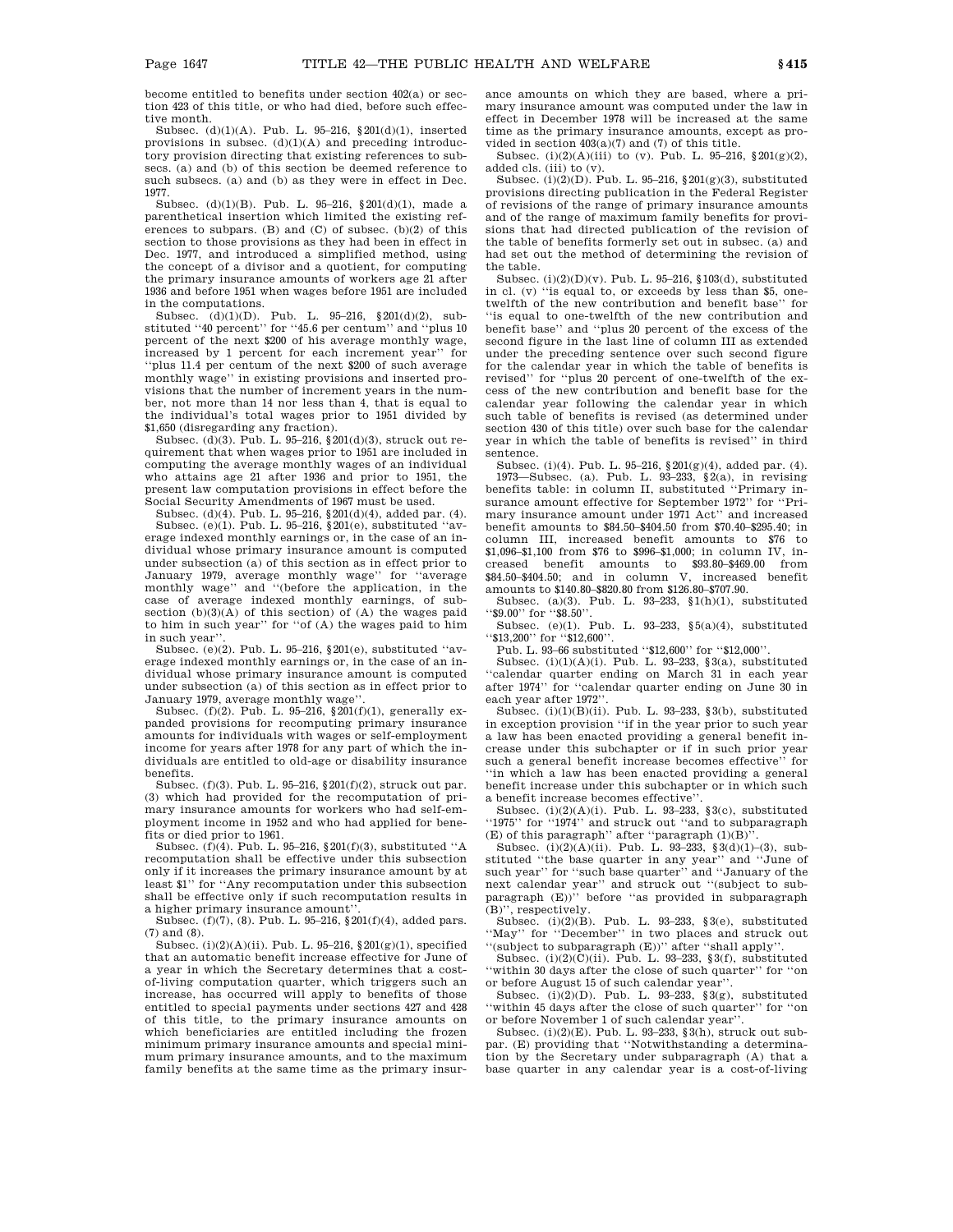become entitled to benefits under section 402(a) or section 423 of this title, or who had died, before such effective month.

Subsec. (d)(1)(A). Pub. L. 95–216, §201(d)(1), inserted provisions in subsec.  $(d)(1)(A)$  and preceding introductory provision directing that existing references to subsecs. (a) and (b) of this section be deemed reference to such subsecs. (a) and (b) as they were in effect in Dec. 1977.

Subsec. (d)(1)(B). Pub. L. 95–216, §201(d)(1), made a parenthetical insertion which limited the existing references to subpars. (B) and (C) of subsec.  $(b)(2)$  of this section to those provisions as they had been in effect in Dec. 1977, and introduced a simplified method, using the concept of a divisor and a quotient, for computing the primary insurance amounts of workers age 21 after 1936 and before 1951 when wages before 1951 are included in the computations.

Subsec. (d)(1)(D). Pub. L. 95–216, §201(d)(2), substituted ''40 percent'' for ''45.6 per centum'' and ''plus 10 percent of the next \$200 of his average monthly wage, increased by 1 percent for each increment year'' for ''plus 11.4 per centum of the next \$200 of such average monthly wage'' in existing provisions and inserted provisions that the number of increment years in the number, not more than 14 nor less than 4, that is equal to the individual's total wages prior to 1951 divided by \$1,650 (disregarding any fraction).

Subsec. (d)(3). Pub. L. 95–216, §201(d)(3), struck out requirement that when wages prior to 1951 are included in computing the average monthly wages of an individual who attains age 21 after 1936 and prior to 1951, the present law computation provisions in effect before the

Social Security Amendments of 1967 must be used.<br>Subsec. (d)(4). Pub. L. 95–216, §201(d)(4), added par. (4).<br>Subsec. (e)(1). Pub. L. 95–216, §201(e), substituted "average indexed monthly earnings or, in the case of an individual whose primary insurance amount is computed under subsection (a) of this section as in effect prior to January 1979, average monthly wage'' for ''average monthly wage'' and ''(before the application, in the case of average indexed monthly earnings, of subsection  $(b)(3)(A)$  of this section) of  $(A)$  the wages paid to him in such year'' for ''of (A) the wages paid to him in such year''.

Subsec. (e)(2). Pub. L. 95–216, §201(e), substituted ''average indexed monthly earnings or, in the case of an individual whose primary insurance amount is computed under subsection (a) of this section as in effect prior to January 1979, average monthly wage''.

Subsec.  $(f)(2)$ . Pub. L. 95–216, §201 $(f)(1)$ , generally expanded provisions for recomputing primary insurance amounts for individuals with wages or self-employment income for years after 1978 for any part of which the individuals are entitled to old-age or disability insurance benefits.

Subsec. (f)(3). Pub. L. 95–216, §201(f)(2), struck out par. (3) which had provided for the recomputation of primary insurance amounts for workers who had self-employment income in 1952 and who had applied for benefits or died prior to 1961.

Subsec. (f)(4). Pub. L. 95–216, §201(f)(3), substituted ''A recomputation shall be effective under this subsection only if it increases the primary insurance amount by at least \$1'' for ''Any recomputation under this subsection shall be effective only if such recomputation results in a higher primary insurance amount''.

Subsec. (f)(7), (8). Pub. L. 95–216, §201(f)(4), added pars. (7) and (8).

Subsec.  $(i)(2)(A)(ii)$ . Pub. L. 95–216, §201(g)(1), specified that an automatic benefit increase effective for June of a year in which the Secretary determines that a costof-living computation quarter, which triggers such an increase, has occurred will apply to benefits of those entitled to special payments under sections 427 and 428 of this title, to the primary insurance amounts on which beneficiaries are entitled including the frozen minimum primary insurance amounts and special minimum primary insurance amounts, and to the maximum family benefits at the same time as the primary insurance amounts on which they are based, where a primary insurance amount was computed under the law in effect in December 1978 will be increased at the same time as the primary insurance amounts, except as provided in section 403(a)(7) and (7) of this title.

Subsec. (i)(2)(A)(iii) to (v). Pub. L. 95-216,  $$201(g)(2)$ , added cls. (iii) to (v).

Subsec. (i)(2)(D). Pub. L. 95–216, §201(g)(3), substituted provisions directing publication in the Federal Register of revisions of the range of primary insurance amounts and of the range of maximum family benefits for provisions that had directed publication of the revision of the table of benefits formerly set out in subsec. (a) and had set out the method of determining the revision of the table.

Subsec. (i)(2)(D)(v). Pub. L. 95–216, §103(d), substituted in cl. (v) ''is equal to, or exceeds by less than \$5, onetwelfth of the new contribution and benefit base'' for ''is equal to one-twelfth of the new contribution and benefit base'' and ''plus 20 percent of the excess of the second figure in the last line of column III as extended under the preceding sentence over such second figure for the calendar year in which the table of benefits is revised'' for ''plus 20 percent of one-twelfth of the excess of the new contribution and benefit base for the calendar year following the calendar year in which such table of benefits is revised (as determined under section 430 of this title) over such base for the calendar year in which the table of benefits is revised'' in third sentence.

Subsec. (i)(4). Pub. L. 95–216, §201(g)(4), added par. (4). 1973—Subsec. (a). Pub. L. 93–233, §2(a), in revising benefits table: in column II, substituted ''Primary insurance amount effective for September 1972'' for ''Primary insurance amount under 1971 Act'' and increased benefit amounts to \$84.50–\$404.50 from \$70.40–\$295.40; in column III, increased benefit amounts to \$76 to \$1,096–\$1,100 from \$76 to \$996–\$1,000; in column IV, increased benefit amounts to \$93.80–\$469.00 from \$84.50–\$404.50; and in column V, increased benefit amounts to \$140.80–\$820.80 from \$126.80–\$707.90.

Subsec. (a)(3). Pub. L. 93-233,  $\S1(h)(1)$ , substituted ''\$9.00'' for ''\$8.50''.

Subsec. (e)(1). Pub. L. 93–233, §5(a)(4), substituted ''\$13,200'' for ''\$12,600''.

Pub. L. 93-66 substituted "\$12,600" for "\$12,000".

Subsec.  $(i)(1)(A)(i)$ . Pub. L. 93-233, §3(a), substituted ''calendar quarter ending on March 31 in each year after 1974'' for ''calendar quarter ending on June 30 in each year after 1972'.

Subsec.  $(i)(1)(B)(ii)$ . Pub. L. 93-233, §3(b), substituted in exception provision ''if in the year prior to such year a law has been enacted providing a general benefit increase under this subchapter or if in such prior year such a general benefit increase becomes effective'' for ''in which a law has been enacted providing a general benefit increase under this subchapter or in which such a benefit increase becomes effective''.

Subsec.  $(i)(2)(A)(i)$ . Pub. L. 93-233, §3(c), substituted ''1975'' for ''1974'' and struck out ''and to subparagraph (E) of this paragraph'' after "paragraph  $(1)(B)$ "

Subsec. (i)(2)(A)(ii). Pub. L. 93-233,  $\S 3(d)(1)$ –(3), substituted ''the base quarter in any year'' and ''June of such year'' for ''such base quarter'' and ''January of the next calendar year'' and struck out ''(subject to subparagraph (E))'' before ''as provided in subparagraph (B)'', respectively.

Subsec. (i) $(2)(B)$ . Pub. L. 93-233, §3(e), substituted ''May'' for ''December'' in two places and struck out ''(subject to subparagraph (E))'' after ''shall apply''.

Subsec.  $(i)(2)(C)(ii)$ . Pub. L. 93-233, §3(f), substituted ''within 30 days after the close of such quarter'' for ''on or before August 15 of such calendar year''.

Subsec. (i)(2)(D). Pub. L. 93-233,  $\S3(g)$ , substituted ''within 45 days after the close of such quarter'' for ''on or before November 1 of such calendar year''.

Subsec. (i)(2)(E). Pub. L. 93–233, §3(h), struck out subpar. (E) providing that ''Notwithstanding a determination by the Secretary under subparagraph (A) that a base quarter in any calendar year is a cost-of-living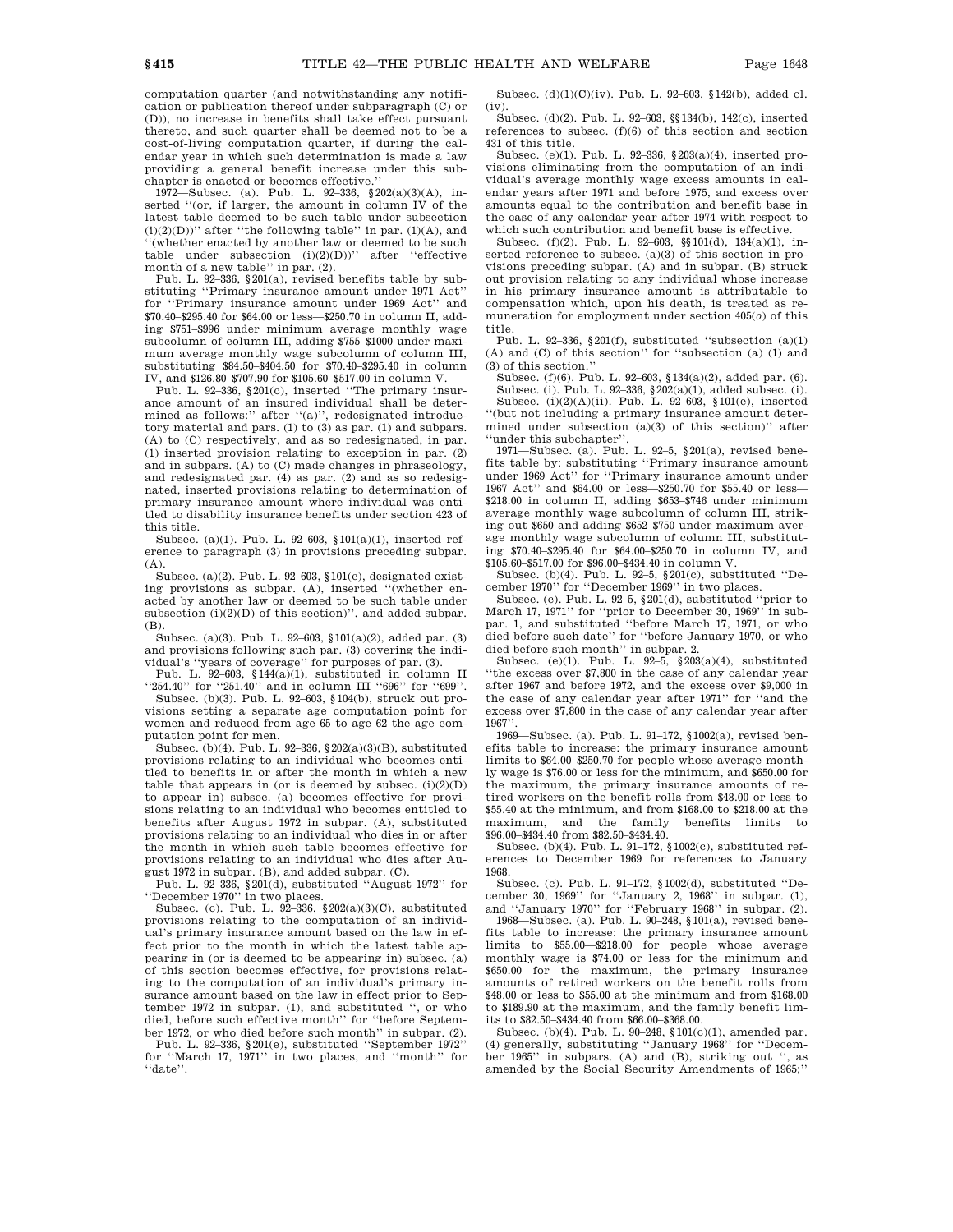computation quarter (and notwithstanding any notification or publication thereof under subparagraph (C) or (D)), no increase in benefits shall take effect pursuant thereto, and such quarter shall be deemed not to be a cost-of-living computation quarter, if during the calendar year in which such determination is made a law providing a general benefit increase under this subchapter is enacted or becomes effective.''

1972—Subsec. (a). Pub. L. 92–336, §202(a)(3)(A), inserted ''(or, if larger, the amount in column IV of the latest table deemed to be such table under subsection  $(i)(2)(D))$ " after "the following table" in par.  $(1)(A)$ , and '(whether enacted by another law or deemed to be such table under subsection  $(i)(2)(D))$ " after "effective month of a new table'' in par. (2).

Pub. L. 92–336, §201(a), revised benefits table by substituting ''Primary insurance amount under 1971 Act'' for ''Primary insurance amount under 1969 Act'' and \$70.40–\$295.40 for \$64.00 or less—\$250.70 in column II, adding \$751–\$996 under minimum average monthly wage subcolumn of column III, adding \$755–\$1000 under maximum average monthly wage subcolumn of column III, substituting \$84.50–\$404.50 for \$70.40–\$295.40 in column IV, and \$126.80–\$707.90 for \$105.60–\$517.00 in column V.

Pub. L. 92–336, §201(c), inserted ''The primary insurance amount of an insured individual shall be determined as follows:" after "(a)", redesignated introductory material and pars. (1) to (3) as par. (1) and subpars. (A) to (C) respectively, and as so redesignated, in par. (1) inserted provision relating to exception in par. (2) and in subpars. (A) to (C) made changes in phraseology, and redesignated par. (4) as par. (2) and as so redesignated, inserted provisions relating to determination of primary insurance amount where individual was entitled to disability insurance benefits under section 423 of this title.

Subsec. (a)(1). Pub. L. 92–603, §101(a)(1), inserted reference to paragraph (3) in provisions preceding subpar. (A).

Subsec. (a)(2). Pub. L. 92–603,  $$101(c)$ , designated existing provisions as subpar. (A), inserted ''(whether enacted by another law or deemed to be such table under subsection (i)(2)(D) of this section)", and added subpar. (B).

Subsec. (a)(3). Pub. L. 92–603,  $101(a)(2)$ , added par. (3) and provisions following such par. (3) covering the individual's ''years of coverage'' for purposes of par. (3).

Pub. L. 92–603, §144 $(a)(1)$ , substituted in column II ''254.40'' for ''251.40'' and in column III ''696'' for ''699''.

Subsec. (b)(3). Pub. L. 92–603, §104(b), struck out provisions setting a separate age computation point for women and reduced from age 65 to age 62 the age computation point for men.

Subsec. (b)(4). Pub. L. 92–336, §202(a)(3)(B), substituted provisions relating to an individual who becomes entitled to benefits in or after the month in which a new table that appears in (or is deemed by subsec.  $(i)(2)(D)$ to appear in) subsec. (a) becomes effective for provisions relating to an individual who becomes entitled to benefits after August 1972 in subpar. (A), substituted provisions relating to an individual who dies in or after the month in which such table becomes effective for provisions relating to an individual who dies after Au-

gust 1972 in subpar. (B), and added subpar. (C). Pub. L. 92–336, §201(d), substituted ''August 1972'' for

''December 1970'' in two places. Subsec. (c). Pub. L. 92–336, §202(a)(3)(C), substituted provisions relating to the computation of an individual's primary insurance amount based on the law in effect prior to the month in which the latest table appearing in (or is deemed to be appearing in) subsec. (a) of this section becomes effective, for provisions relating to the computation of an individual's primary insurance amount based on the law in effect prior to September 1972 in subpar. (1), and substituted '', or who died, before such effective month'' for ''before September 1972, or who died before such month'' in subpar. (2).

Pub. L. 92–336, §201(e), substituted ''September 1972'' for ''March 17, 1971'' in two places, and ''month'' for ''date''.

Subsec. (d)(1)(C)(iv). Pub. L. 92–603, §142(b), added cl. (iv).

Subsec. (d)(2). Pub. L. 92–603, §§134(b), 142(c), inserted references to subsec.  $(f)(6)$  of this section and section 431 of this title.

Subsec. (e)(1). Pub. L. 92–336, §203(a)(4), inserted provisions eliminating from the computation of an individual's average monthly wage excess amounts in calendar years after 1971 and before 1975, and excess over amounts equal to the contribution and benefit base in the case of any calendar year after 1974 with respect to which such contribution and benefit base is effective.

Subsec. (f)(2). Pub. L. 92–603, §§101(d), 134(a)(1), inserted reference to subsec. (a)(3) of this section in provisions preceding subpar. (A) and in subpar. (B) struck out provision relating to any individual whose increase in his primary insurance amount is attributable to compensation which, upon his death, is treated as remuneration for employment under section 405(*o*) of this title.

Pub. L. 92-336,  $§201(f)$ , substituted "subsection (a)(1) (A) and (C) of this section'' for ''subsection (a) (1) and (3) of this section.''

Subsec. (f)(6). Pub. L. 92–603, §134(a)(2), added par. (6). Subsec. (i). Pub. L. 92–336, §202(a)(1), added subsec. (i). Subsec. (i)(2)(A)(ii). Pub. L. 92–603, §101(e), inserted ''(but not including a primary insurance amount determined under subsection (a)(3) of this section)'' after ''under this subchapter''.

1971—Subsec. (a). Pub. L. 92–5, §201(a), revised benefits table by: substituting ''Primary insurance amount under 1969 Act'' for ''Primary insurance amount under 1967 Act'' and \$64.00 or less—\$250.70 for \$55.40 or less— \$218.00 in column II, adding \$653–\$746 under minimum average monthly wage subcolumn of column III, striking out \$650 and adding \$652–\$750 under maximum average monthly wage subcolumn of column III, substituting \$70.40–\$295.40 for \$64.00–\$250.70 in column IV, and \$105.60–\$517.00 for \$96.00–\$434.40 in column V.

Subsec. (b)(4). Pub. L. 92–5, §201(c), substituted ''December 1970'' for ''December 1969'' in two places.

Subsec. (c). Pub. L. 92–5, §201(d), substituted ''prior to March 17, 1971'' for ''prior to December 30, 1969'' in subpar. 1, and substituted ''before March 17, 1971, or who died before such date'' for ''before January 1970, or who died before such month'' in subpar. 2.

Subsec. (e)(1). Pub. L. 92–5, §203(a)(4), substituted ''the excess over \$7,800 in the case of any calendar year after 1967 and before 1972, and the excess over \$9,000 in the case of any calendar year after 1971'' for ''and the excess over \$7,800 in the case of any calendar year after 1967''.

1969—Subsec. (a). Pub. L. 91–172, §1002(a), revised benefits table to increase: the primary insurance amount limits to \$64.00–\$250.70 for people whose average monthly wage is \$76.00 or less for the minimum, and \$650.00 for the maximum, the primary insurance amounts of retired workers on the benefit rolls from \$48.00 or less to \$55.40 at the minimum, and from \$168.00 to \$218.00 at the maximum, and the family benefits limits to maximum, and the family benefits limits to \$96.00–\$434.40 from \$82.50–\$434.40.

Subsec. (b)(4). Pub. L. 91–172, §1002(c), substituted references to December 1969 for references to January 1968.

Subsec. (c). Pub. L. 91–172, §1002(d), substituted ''December 30, 1969'' for ''January 2, 1968'' in subpar. (1), and ''January 1970'' for ''February 1968'' in subpar. (2).

1968—Subsec. (a). Pub. L. 90–248, §101(a), revised benefits table to increase: the primary insurance amount limits to \$55.00—\$218.00 for people whose average monthly wage is \$74.00 or less for the minimum and \$650.00 for the maximum, the primary insurance amounts of retired workers on the benefit rolls from \$48.00 or less to \$55.00 at the minimum and from \$168.00 to \$189.90 at the maximum, and the family benefit limits to \$82.50–\$434.40 from \$66.00–\$368.00.

Subsec. (b)(4). Pub. L. 90–248, §101(c)(1), amended par. (4) generally, substituting ''January 1968'' for ''December 1965'' in subpars. (A) and (B), striking out '', as amended by the Social Security Amendments of 1965;''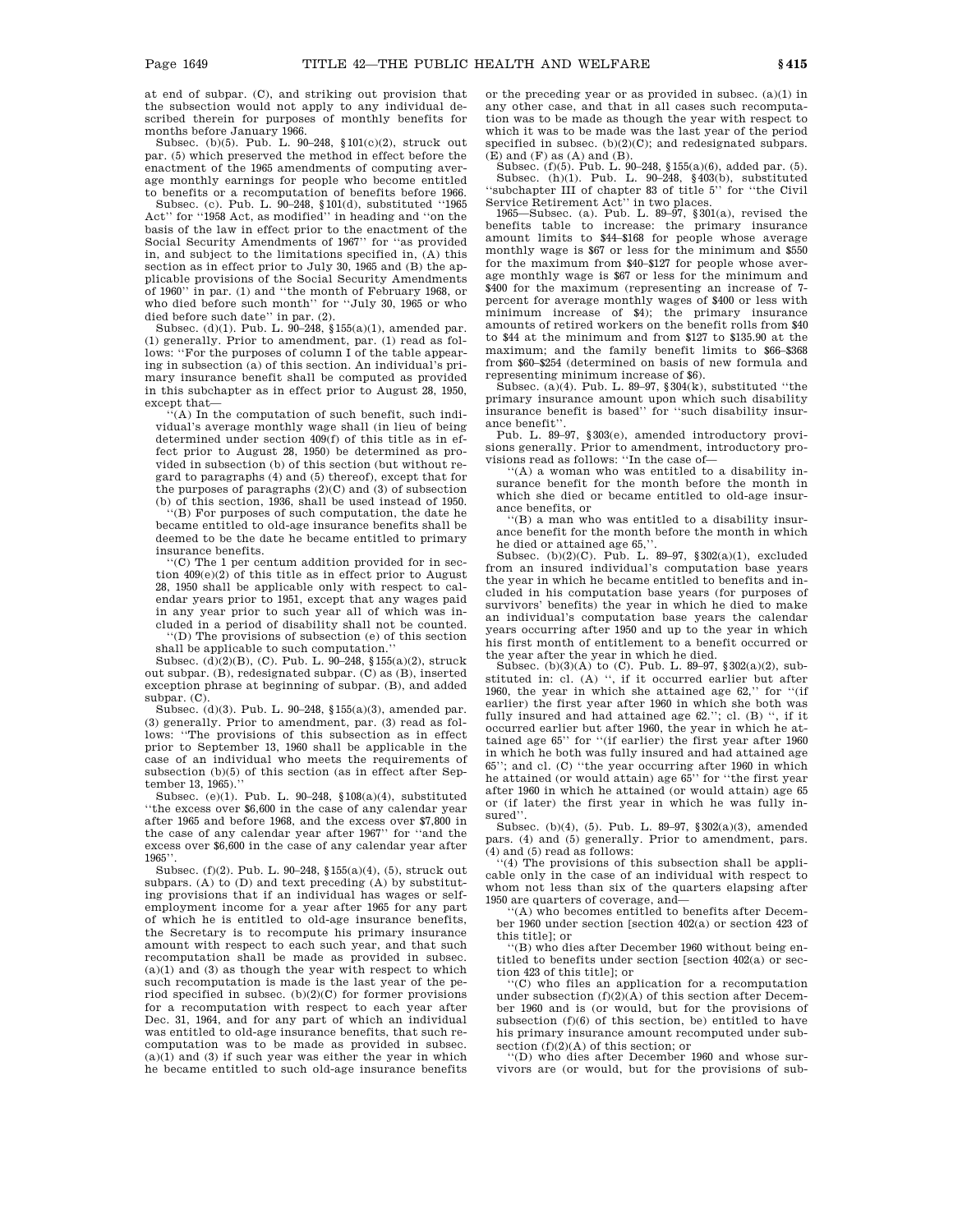at end of subpar. (C), and striking out provision that the subsection would not apply to any individual described therein for purposes of monthly benefits for months before January 1966.

Subsec. (b)(5). Pub. L. 90–248, §101(c)(2), struck out par. (5) which preserved the method in effect before the enactment of the 1965 amendments of computing average monthly earnings for people who become entitled to benefits or a recomputation of benefits before 1966.

Subsec. (c). Pub. L. 90–248, §101(d), substituted ''1965 Act'' for ''1958 Act, as modified'' in heading and ''on the basis of the law in effect prior to the enactment of the Social Security Amendments of 1967'' for ''as provided in, and subject to the limitations specified in, (A) this section as in effect prior to July 30, 1965 and (B) the applicable provisions of the Social Security Amendments of 1960'' in par. (1) and ''the month of February 1968, or who died before such month'' for ''July 30, 1965 or who died before such date'' in par. (2).

Subsec. (d)(1). Pub. L.  $90-248$ , §155(a)(1), amended par. (1) generally. Prior to amendment, par. (1) read as follows: ''For the purposes of column I of the table appearing in subsection (a) of this section. An individual's primary insurance benefit shall be computed as provided in this subchapter as in effect prior to August 28, 1950, except that—

'(A) In the computation of such benefit, such individual's average monthly wage shall (in lieu of being determined under section 409(f) of this title as in effect prior to August 28, 1950) be determined as provided in subsection (b) of this section (but without regard to paragraphs (4) and (5) thereof), except that for the purposes of paragraphs  $(2)(C)$  and  $(3)$  of subsection (b) of this section, 1936, shall be used instead of 1950.

''(B) For purposes of such computation, the date he became entitled to old-age insurance benefits shall be deemed to be the date he became entitled to primary insurance benefits.

''(C) The 1 per centum addition provided for in section 409(e)(2) of this title as in effect prior to August 28, 1950 shall be applicable only with respect to calendar years prior to 1951, except that any wages paid in any year prior to such year all of which was included in a period of disability shall not be counted.

''(D) The provisions of subsection (e) of this section shall be applicable to such computation.''

Subsec. (d)(2)(B), (C). Pub. L. 90–248, §155(a)(2), struck out subpar. (B), redesignated subpar. (C) as (B), inserted exception phrase at beginning of subpar. (B), and added subpar. (C).

Subsec. (d)(3). Pub. L. 90–248, §155(a)(3), amended par. (3) generally. Prior to amendment, par. (3) read as follows: ''The provisions of this subsection as in effect prior to September 13, 1960 shall be applicable in the case of an individual who meets the requirements of subsection (b)(5) of this section (as in effect after September 13, 1965).''

Subsec. (e)(1). Pub. L. 90–248, §108(a)(4), substituted ''the excess over \$6,600 in the case of any calendar year after 1965 and before 1968, and the excess over \$7,800 in the case of any calendar year after 1967'' for ''and the excess over \$6,600 in the case of any calendar year after 1965''.

Subsec. (f)(2). Pub. L. 90–248, §155(a)(4), (5), struck out subpars. (A) to (D) and text preceding (A) by substituting provisions that if an individual has wages or selfemployment income for a year after 1965 for any part of which he is entitled to old-age insurance benefits, the Secretary is to recompute his primary insurance amount with respect to each such year, and that such recomputation shall be made as provided in subsec. (a)(1) and (3) as though the year with respect to which such recomputation is made is the last year of the period specified in subsec.  $(b)(2)(C)$  for former provisions for a recomputation with respect to each year after Dec. 31, 1964, and for any part of which an individual was entitled to old-age insurance benefits, that such recomputation was to be made as provided in subsec. (a)(1) and (3) if such year was either the year in which he became entitled to such old-age insurance benefits

or the preceding year or as provided in subsec. (a)(1) in any other case, and that in all cases such recomputation was to be made as though the year with respect to which it was to be made was the last year of the period specified in subsec. (b)(2)(C); and redesignated subpars.  $(E)$  and  $(F)$  as  $(A)$  and  $(B)$ .

Subsec. (f)(5). Pub. L. 90–248, §155(a)(6), added par. (5).<br>Subsec. (h)(1). Pub. L. 90–248, §403(b), substituted<br>"subchapter III of chapter 83 of title 5" for "the Civil" Service Retirement Act'' in two places.

1965—Subsec. (a). Pub. L. 89–97, §301(a), revised the benefits table to increase: the primary insurance amount limits to \$44–\$168 for people whose average monthly wage is \$67 or less for the minimum and \$550 for the maximum from \$40–\$127 for people whose average monthly wage is \$67 or less for the minimum and \$400 for the maximum (representing an increase of 7 percent for average monthly wages of \$400 or less with minimum increase of \$4); the primary insurance amounts of retired workers on the benefit rolls from \$40 to \$44 at the minimum and from \$127 to \$135.90 at the maximum; and the family benefit limits to \$66–\$368 from \$60–\$254 (determined on basis of new formula and

representing minimum increase of \$6). Subsec. (a)(4). Pub. L. 89–97, §304(k), substituted ''the primary insurance amount upon which such disability insurance benefit is based'' for ''such disability insurance benefit''.

Pub. L. 89–97, §303(e), amended introductory provisions generally. Prior to amendment, introductory provisions read as follows: ''In the case of—

''(A) a woman who was entitled to a disability insurance benefit for the month before the month in which she died or became entitled to old-age insurance benefits, or

''(B) a man who was entitled to a disability insurance benefit for the month before the month in which

he died or attained age 65,''. Subsec. (b)(2)(C). Pub. L. 89–97, §302(a)(1), excluded from an insured individual's computation base years the year in which he became entitled to benefits and included in his computation base years (for purposes of survivors' benefits) the year in which he died to make an individual's computation base years the calendar years occurring after 1950 and up to the year in which his first month of entitlement to a benefit occurred or the year after the year in which he died.

Subsec. (b)(3)(A) to (C). Pub. L. 89–97,  $\sqrt{302(a)(2)}$ , substituted in: cl. (A) ", if it occurred earlier but after 1960, the year in which she attained age 62,'' for ''(if earlier) the first year after 1960 in which she both was fully insured and had attained age 62.''; cl. (B) '', if it occurred earlier but after 1960, the year in which he attained age 65'' for ''(if earlier) the first year after 1960 in which he both was fully insured and had attained age 65''; and cl. (C) ''the year occurring after 1960 in which he attained (or would attain) age 65'' for ''the first year after 1960 in which he attained (or would attain) age 65 or (if later) the first year in which he was fully insured''.

Subsec. (b)(4), (5). Pub. L. 89–97, §302(a)(3), amended pars. (4) and (5) generally. Prior to amendment, pars. (4) and (5) read as follows:

 $(4)$  The provisions of this subsection shall be applicable only in the case of an individual with respect to whom not less than six of the quarters elapsing after 1950 are quarters of coverage, and—

''(A) who becomes entitled to benefits after December 1960 under section [section 402(a) or section 423 of this title]; or

''(B) who dies after December 1960 without being entitled to benefits under section [section 402(a) or section 423 of this title]; or

''(C) who files an application for a recomputation under subsection  $(f)(2)(A)$  of this section after December 1960 and is (or would, but for the provisions of subsection (f)(6) of this section, be) entitled to have his primary insurance amount recomputed under sub-

section (f)(2)(A) of this section; or<br>"(D) who dies after December 1960 and whose survivors are (or would, but for the provisions of sub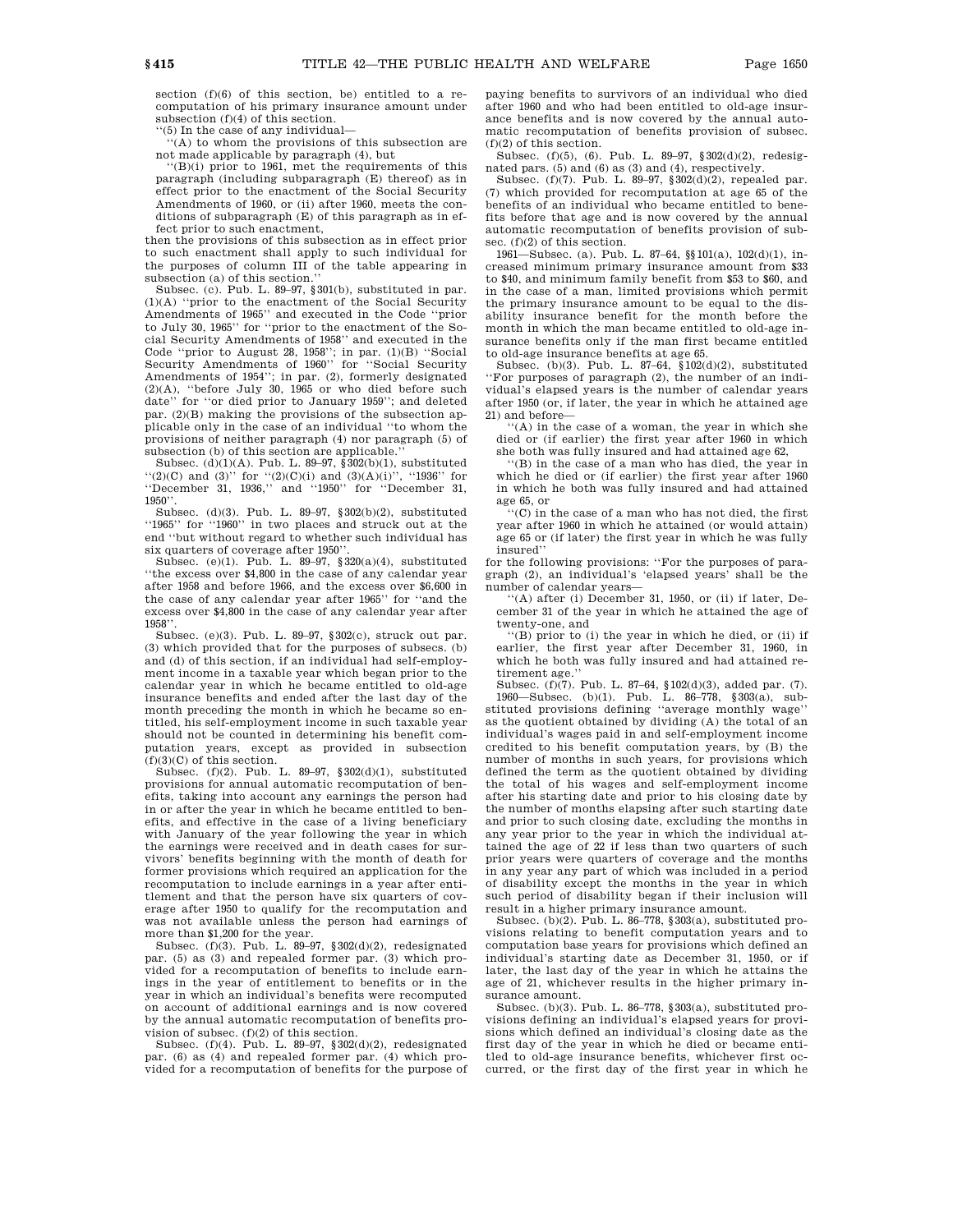section (f)(6) of this section, be) entitled to a recomputation of his primary insurance amount under

subsection (f)(4) of this section. ''(5) In the case of any individual—

''(A) to whom the provisions of this subsection are not made applicable by paragraph (4), but

''(B)(i) prior to 1961, met the requirements of this paragraph (including subparagraph (E) thereof) as in effect prior to the enactment of the Social Security Amendments of 1960, or (ii) after 1960, meets the conditions of subparagraph (E) of this paragraph as in effect prior to such enactment,

then the provisions of this subsection as in effect prior to such enactment shall apply to such individual for the purposes of column III of the table appearing in subsection (a) of this section.''

Subsec. (c). Pub. L. 89–97, §301(b), substituted in par. (1)(A) ''prior to the enactment of the Social Security Amendments of 1965'' and executed in the Code ''prior to July 30, 1965'' for ''prior to the enactment of the Social Security Amendments of 1958'' and executed in the Code ''prior to August 28, 1958''; in par. (1)(B) ''Social Security Amendments of 1960'' for ''Social Security Amendments of 1954''; in par. (2), formerly designated (2)(A), ''before July 30, 1965 or who died before such date'' for ''or died prior to January 1959''; and deleted par. (2)(B) making the provisions of the subsection applicable only in the case of an individual ''to whom the provisions of neither paragraph (4) nor paragraph (5) of subsection (b) of this section are applicable.

Subsec.  $(d)(1)(A)$ . Pub. L. 89–97,  $\frac{2}{3}302(b)(1)$ , substituted  $(2)(C)$  and  $(3)'$  for  $(2)(C)(i)$  and  $(3)(A)(i)$ ,  $(1936)'$  for ''December 31, 1936,'' and ''1950'' for ''December 31, 1950''.

Subsec. (d)(3). Pub. L. 89–97, §302(b)(2), substituted ''1965'' for ''1960'' in two places and struck out at the end ''but without regard to whether such individual has six quarters of coverage after 1950''.

Subsec. (e)(1). Pub. L. 89–97, §320(a)(4), substituted ''the excess over \$4,800 in the case of any calendar year after 1958 and before 1966, and the excess over \$6,600 in the case of any calendar year after 1965'' for ''and the excess over \$4,800 in the case of any calendar year after 1958''.

Subsec. (e)(3). Pub. L. 89–97, §302(c), struck out par. (3) which provided that for the purposes of subsecs. (b) and (d) of this section, if an individual had self-employment income in a taxable year which began prior to the calendar year in which he became entitled to old-age insurance benefits and ended after the last day of the month preceding the month in which he became so entitled, his self-employment income in such taxable year should not be counted in determining his benefit computation years, except as provided in subsection  $(f)(3)(C)$  of this section.

Subsec. (f)(2). Pub. L. 89–97, §302(d)(1), substituted provisions for annual automatic recomputation of benefits, taking into account any earnings the person had in or after the year in which he became entitled to benefits, and effective in the case of a living beneficiary with January of the year following the year in which the earnings were received and in death cases for survivors' benefits beginning with the month of death for former provisions which required an application for the recomputation to include earnings in a year after entitlement and that the person have six quarters of coverage after 1950 to qualify for the recomputation and was not available unless the person had earnings of more than \$1,200 for the year.

Subsec. (f)(3). Pub. L. 89–97,  $\S 302(d)(2)$ , redesignated par. (5) as (3) and repealed former par. (3) which provided for a recomputation of benefits to include earnings in the year of entitlement to benefits or in the year in which an individual's benefits were recomputed on account of additional earnings and is now covered by the annual automatic recomputation of benefits provision of subsec. (f)(2) of this section.

Subsec. (f)(4). Pub. L. 89–97,  $\S 302(d)(2)$  redesignated par. (6) as (4) and repealed former par. (4) which provided for a recomputation of benefits for the purpose of paying benefits to survivors of an individual who died after 1960 and who had been entitled to old-age insurance benefits and is now covered by the annual automatic recomputation of benefits provision of subsec. (f)(2) of this section.

Subsec. (f)(5), (6). Pub. L. 89–97, §302(d)(2), redesignated pars. (5) and (6) as (3) and (4), respectively.

Subsec. (f)(7). Pub. L. 89–97, §302(d)(2), repealed par. (7) which provided for recomputation at age 65 of the benefits of an individual who became entitled to benefits before that age and is now covered by the annual automatic recomputation of benefits provision of subsec. (f)(2) of this section.

1961—Subsec. (a). Pub. L. 87–64, §§101(a), 102(d)(1), increased minimum primary insurance amount from \$33 to \$40, and minimum family benefit from \$53 to \$60, and in the case of a man, limited provisions which permit the primary insurance amount to be equal to the disability insurance benefit for the month before the month in which the man became entitled to old-age insurance benefits only if the man first became entitled to old-age insurance benefits at age 65.

Subsec. (b)(3). Pub. L. 87–64, §102(d)(2), substituted ''For purposes of paragraph (2), the number of an individual's elapsed years is the number of calendar years after 1950 (or, if later, the year in which he attained age 21) and before—

''(A) in the case of a woman, the year in which she died or (if earlier) the first year after 1960 in which she both was fully insured and had attained age 62,

''(B) in the case of a man who has died, the year in which he died or (if earlier) the first year after 1960 in which he both was fully insured and had attained age 65, or

''(C) in the case of a man who has not died, the first year after 1960 in which he attained (or would attain) age 65 or (if later) the first year in which he was fully insured''

for the following provisions: ''For the purposes of paragraph (2), an individual's 'elapsed years' shall be the number of calendar years—

''(A) after (i) December 31, 1950, or (ii) if later, December 31 of the year in which he attained the age of twenty-one, and

''(B) prior to (i) the year in which he died, or (ii) if earlier, the first year after December 31, 1960, in which he both was fully insured and had attained retirement age.''

Subsec. (f)(7). Pub. L. 87–64, §102(d)(3), added par. (7).<br>1960—Subsec. (b)(1). Pub. L. 86–778, §303(a), substituted provisions defining ''average monthly wage'' as the quotient obtained by dividing (A) the total of an individual's wages paid in and self-employment income credited to his benefit computation years, by (B) the number of months in such years, for provisions which defined the term as the quotient obtained by dividing the total of his wages and self-employment income after his starting date and prior to his closing date by the number of months elapsing after such starting date and prior to such closing date, excluding the months in any year prior to the year in which the individual attained the age of 22 if less than two quarters of such prior years were quarters of coverage and the months in any year any part of which was included in a period of disability except the months in the year in which such period of disability began if their inclusion will result in a higher primary insurance amount.

Subsec. (b)(2). Pub. L. 86–778, §303(a), substituted provisions relating to benefit computation years and to computation base years for provisions which defined an individual's starting date as December 31, 1950, or if later, the last day of the year in which he attains the age of 21, whichever results in the higher primary insurance amount.

Subsec. (b)(3). Pub. L. 86–778, §303(a), substituted provisions defining an individual's elapsed years for provisions which defined an individual's closing date as the first day of the year in which he died or became entitled to old-age insurance benefits, whichever first occurred, or the first day of the first year in which he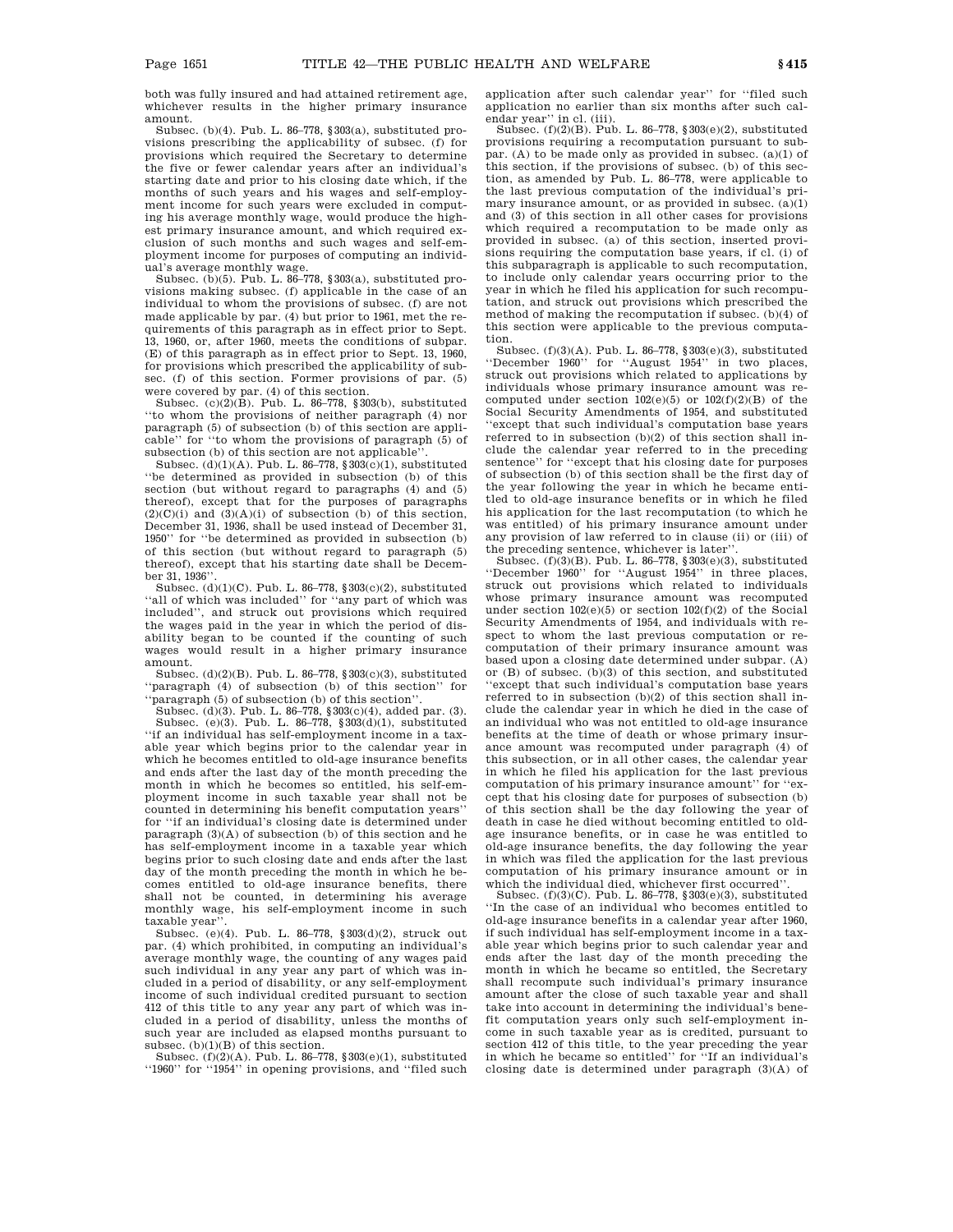both was fully insured and had attained retirement age, whichever results in the higher primary insurance amount.

Subsec. (b)(4). Pub. L. 86–778, §303(a), substituted provisions prescribing the applicability of subsec. (f) for provisions which required the Secretary to determine the five or fewer calendar years after an individual's starting date and prior to his closing date which, if the months of such years and his wages and self-employment income for such years were excluded in computing his average monthly wage, would produce the highest primary insurance amount, and which required exclusion of such months and such wages and self-employment income for purposes of computing an individual's average monthly wage.

Subsec. (b)(5). Pub. L. 86-778,  $§ 303(a)$ , substituted provisions making subsec. (f) applicable in the case of an individual to whom the provisions of subsec. (f) are not made applicable by par. (4) but prior to 1961, met the requirements of this paragraph as in effect prior to Sept. 13, 1960, or, after 1960, meets the conditions of subpar. (E) of this paragraph as in effect prior to Sept. 13, 1960, for provisions which prescribed the applicability of subsec. (f) of this section. Former provisions of par. (5) were covered by par. (4) of this section.

Subsec. (c) $(2)(\overline{B})$ . Pub. L. 86-778, §303(b), substituted ''to whom the provisions of neither paragraph (4) nor paragraph (5) of subsection (b) of this section are applicable'' for ''to whom the provisions of paragraph (5) of subsection (b) of this section are not applicable

Subsec.  $(d)(1)(A)$ . Pub. L. 86–778,  $\sqrt[3]{303(c)}(1)$ , substituted ''be determined as provided in subsection (b) of this section (but without regard to paragraphs (4) and (5) thereof), except that for the purposes of paragraphs  $(2)(C)(i)$  and  $(3)(A)(i)$  of subsection (b) of this section, December 31, 1936, shall be used instead of December 31, 1950'' for ''be determined as provided in subsection (b) of this section (but without regard to paragraph  $(5)$ ) thereof), except that his starting date shall be December 31, 1936'

Subsec.  $(d)(1)(C)$ . Pub. L. 86–778, §303 $(c)(2)$ , substituted ''all of which was included'' for ''any part of which was included'', and struck out provisions which required the wages paid in the year in which the period of disability began to be counted if the counting of such wages would result in a higher primary insurance amount.

Subsec. (d)(2)(B). Pub. L. 86–778, §303(c)(3), substituted ''paragraph (4) of subsection (b) of this section'' for ''paragraph (5) of subsection (b) of this section''.

Subsec. (d)(3). Pub. L. 86–778, §303(c)(4), added par. (3).

Subsec. (e)(3). Pub. L. 86–778, §303(d)(1), substituted ''if an individual has self-employment income in a taxable year which begins prior to the calendar year in which he becomes entitled to old-age insurance benefits and ends after the last day of the month preceding the month in which he becomes so entitled, his self-employment income in such taxable year shall not be counted in determining his benefit computation years'' for ''if an individual's closing date is determined under paragraph (3)(A) of subsection (b) of this section and he has self-employment income in a taxable year which begins prior to such closing date and ends after the last day of the month preceding the month in which he becomes entitled to old-age insurance benefits, there shall not be counted, in determining his average monthly wage, his self-employment income in such taxable year''.

Subsec. (e)(4). Pub. L. 86–778, §303(d)(2), struck out par. (4) which prohibited, in computing an individual's average monthly wage, the counting of any wages paid such individual in any year any part of which was included in a period of disability, or any self-employment income of such individual credited pursuant to section 412 of this title to any year any part of which was included in a period of disability, unless the months of such year are included as elapsed months pursuant to subsec. (b)(1)(B) of this section.

Subsec.  $(6)(2)(A)$ . Pub. L. 86–778, §303(e)(1), substituted ''1960'' for ''1954'' in opening provisions, and ''filed such application after such calendar year'' for ''filed such application no earlier than six months after such calendar year'' in cl. (iii).

Subsec. (f)(2)(B). Pub. L. 86–778, §303(e)(2), substituted provisions requiring a recomputation pursuant to subpar. (A) to be made only as provided in subsec. (a)(1) of this section, if the provisions of subsec. (b) of this section, as amended by Pub. L. 86–778, were applicable to the last previous computation of the individual's primary insurance amount, or as provided in subsec. (a)(1) and (3) of this section in all other cases for provisions which required a recomputation to be made only as provided in subsec. (a) of this section, inserted provisions requiring the computation base years, if cl. (i) of this subparagraph is applicable to such recomputation, to include only calendar years occurring prior to the year in which he filed his application for such recomputation, and struck out provisions which prescribed the method of making the recomputation if subsec. (b)(4) of this section were applicable to the previous computation.

Subsec. (f)(3)(A). Pub. L. 86–778, §303(e)(3), substituted ''December 1960'' for ''August 1954'' in two places, struck out provisions which related to applications by individuals whose primary insurance amount was recomputed under section  $102(e)(5)$  or  $102(f)(2)(B)$  of the Social Security Amendments of 1954, and substituted 'except that such individual's computation base years referred to in subsection (b)(2) of this section shall include the calendar year referred to in the preceding sentence'' for ''except that his closing date for purposes of subsection (b) of this section shall be the first day of the year following the year in which he became entitled to old-age insurance benefits or in which he filed his application for the last recomputation (to which he was entitled) of his primary insurance amount under any provision of law referred to in clause (ii) or (iii) of the preceding sentence, whichever is later''.

Subsec. (f)(3)(B). Pub. L. 86–778, §303(e)(3), substituted ''December 1960'' for ''August 1954'' in three places, struck out provisions which related to individuals whose primary insurance amount was recomputed under section  $102(e)(5)$  or section  $102(f)(2)$  of the Social Security Amendments of 1954, and individuals with respect to whom the last previous computation or recomputation of their primary insurance amount was based upon a closing date determined under subpar. (A) or (B) of subsec. (b)(3) of this section, and substituted ''except that such individual's computation base years referred to in subsection (b)(2) of this section shall include the calendar year in which he died in the case of an individual who was not entitled to old-age insurance benefits at the time of death or whose primary insurance amount was recomputed under paragraph (4) of this subsection, or in all other cases, the calendar year in which he filed his application for the last previous computation of his primary insurance amount'' for ''except that his closing date for purposes of subsection (b) of this section shall be the day following the year of death in case he died without becoming entitled to oldage insurance benefits, or in case he was entitled to old-age insurance benefits, the day following the year in which was filed the application for the last previous computation of his primary insurance amount or in which the individual died, whichever first occurred''

Subsec. (f)(3)(C). Pub. L. 86–778, §303(e)(3), substituted ''In the case of an individual who becomes entitled to old-age insurance benefits in a calendar year after 1960, if such individual has self-employment income in a taxable year which begins prior to such calendar year and ends after the last day of the month preceding the month in which he became so entitled, the Secretary shall recompute such individual's primary insurance amount after the close of such taxable year and shall take into account in determining the individual's benefit computation years only such self-employment income in such taxable year as is credited, pursuant to section 412 of this title, to the year preceding the year in which he became so entitled'' for ''If an individual's closing date is determined under paragraph (3)(A) of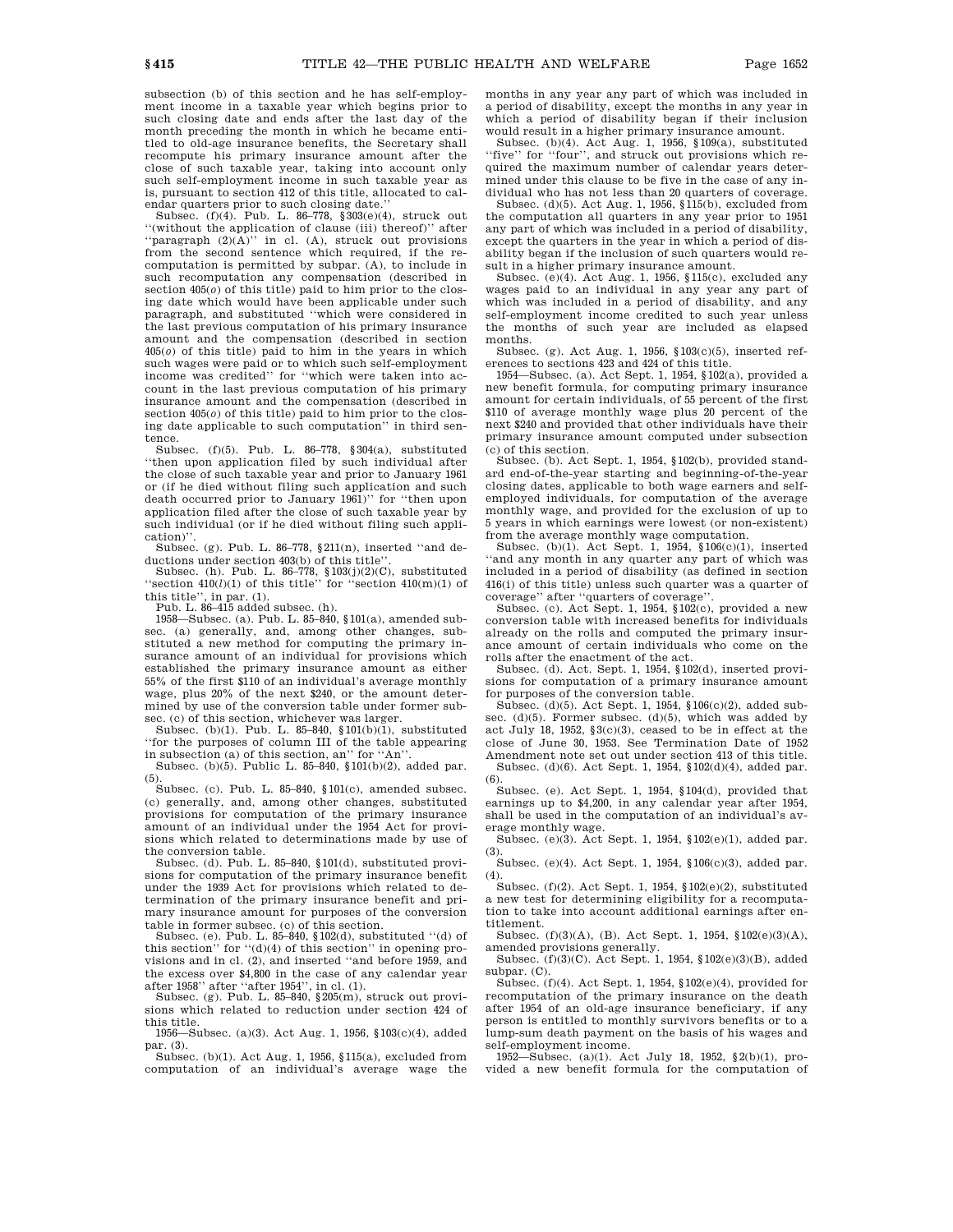subsection (b) of this section and he has self-employment income in a taxable year which begins prior to such closing date and ends after the last day of the month preceding the month in which he became entitled to old-age insurance benefits, the Secretary shall recompute his primary insurance amount after the close of such taxable year, taking into account only such self-employment income in such taxable year as is, pursuant to section 412 of this title, allocated to cal-

endar quarters prior to such closing date.'' Subsec. (f)(4). Pub. L. 86-778,  $\sqrt[3]{\frac{303(e)}{4}}$ , struck out ''(without the application of clause (iii) thereof)'' after ''paragraph (2)(A)'' in cl. (A), struck out provisions from the second sentence which required, if the recomputation is permitted by subpar. (A), to include in such recomputation any compensation (described in section 405(*o*) of this title) paid to him prior to the closing date which would have been applicable under such paragraph, and substituted ''which were considered in the last previous computation of his primary insurance amount and the compensation (described in section 405(*o*) of this title) paid to him in the years in which such wages were paid or to which such self-employment income was credited'' for ''which were taken into account in the last previous computation of his primary insurance amount and the compensation (described in section  $405(0)$  of this title) paid to him prior to the closing date applicable to such computation'' in third sentence.

Subsec. (f)(5). Pub. L. 86–778, §304(a), substituted ''then upon application filed by such individual after the close of such taxable year and prior to January 1961 or (if he died without filing such application and such death occurred prior to January 1961)'' for ''then upon application filed after the close of such taxable year by such individual (or if he died without filing such application)''.

Subsec. (g). Pub. L. 86–778, §211(n), inserted ''and de-

ductions under section 403(b) of this title''. Subsec. (h). Pub. L. 86–778, §103(j)(2)(C), substituted "section  $410(l)(1)$  of this title" for "section  $410(m)(1)$  of this title'', in par. (1). Pub. L. 86–415 added subsec. (h).

1958—Subsec. (a). Pub. L. 85–840, §101(a), amended subsec. (a) generally, and, among other changes, substituted a new method for computing the primary insurance amount of an individual for provisions which established the primary insurance amount as either 55% of the first \$110 of an individual's average monthly wage, plus 20% of the next \$240, or the amount determined by use of the conversion table under former subsec. (c) of this section, whichever was larger.

Subsec. (b)(1). Pub. L. 85–840,  $$101(b)(1)$ , substituted ''for the purposes of column III of the table appearing in subsection (a) of this section, an'' for "An"

Subsec. (b)(5). Public L. 85–840, §101(b)(2), added par. (5).

Subsec. (c). Pub. L. 85–840, §101(c), amended subsec. (c) generally, and, among other changes, substituted provisions for computation of the primary insurance amount of an individual under the 1954 Act for provisions which related to determinations made by use of the conversion table.

Subsec. (d). Pub. L. 85–840, §101(d), substituted provisions for computation of the primary insurance benefit under the 1939 Act for provisions which related to determination of the primary insurance benefit and primary insurance amount for purposes of the conversion table in former subsec. (c) of this section.

Subsec. (e). Pub. L. 85–840, §102(d), substituted ''(d) of this section'' for ''(d)(4) of this section'' in opening provisions and in cl. (2), and inserted ''and before 1959, and the excess over \$4,800 in the case of any calendar year

after 1958'' after ''after 1954'', in cl. (1).<br>Subsec. (g). Pub. L. 85–840, §205(m), struck out provisions which related to reduction under section 424 of this title.

1956—Subsec. (a)(3). Act Aug. 1, 1956, §103(c)(4), added par. (3).

Subsec. (b)(1). Act Aug. 1, 1956, §115(a), excluded from computation of an individual's average wage the months in any year any part of which was included in a period of disability, except the months in any year in which a period of disability began if their inclusion would result in a higher primary insurance amount.

Subsec. (b)(4). Act Aug. 1, 1956, §109(a), substituted ''five'' for ''four'', and struck out provisions which required the maximum number of calendar years determined under this clause to be five in the case of any individual who has not less than 20 quarters of coverage.

Subsec. (d)(5). Act Aug. 1, 1956,  $$115(b)$ , excluded from the computation all quarters in any year prior to 1951 any part of which was included in a period of disability, except the quarters in the year in which a period of disability began if the inclusion of such quarters would result in a higher primary insurance amount.

Subsec. (e)(4). Act Aug. 1, 1956, §115(c), excluded any wages paid to an individual in any year any part of which was included in a period of disability, and any self-employment income credited to such year unless the months of such year are included as elapsed months.

Subsec. (g). Act Aug. 1, 1956, §103(c)(5), inserted references to sections 423 and 424 of this title.

1954—Subsec. (a). Act Sept. 1, 1954, §102(a), provided a new benefit formula, for computing primary insurance amount for certain individuals, of 55 percent of the first \$110 of average monthly wage plus 20 percent of the next \$240 and provided that other individuals have their primary insurance amount computed under subsection

(c) of this section. Subsec. (b). Act Sept. 1, 1954, §102(b), provided standard end-of-the-year starting and beginning-of-the-year closing dates, applicable to both wage earners and selfemployed individuals, for computation of the average monthly wage, and provided for the exclusion of up to 5 years in which earnings were lowest (or non-existent) from the average monthly wage computation.

Subsec.  $(b)(1)$ . Act Sept. 1, 1954,  $$106(c)(1)$ , inserted ''and any month in any quarter any part of which was included in a period of disability (as defined in section 416(i) of this title) unless such quarter was a quarter of coverage'' after ''quarters of coverage''.

Subsec. (c). Act Sept. 1, 1954, §102(c), provided a new conversion table with increased benefits for individuals already on the rolls and computed the primary insurance amount of certain individuals who come on the rolls after the enactment of the act.

Subsec. (d). Act. Sept. 1, 1954, §102(d), inserted provisions for computation of a primary insurance amount for purposes of the conversion table.

Subsec. (d)(5). Act Sept. 1, 1954, §106(c)(2), added subsec. (d)(5). Former subsec. (d)(5), which was added by act July 18, 1952, §3(c)(3), ceased to be in effect at the close of June 30, 1953. See Termination Date of 1952 Amendment note set out under section 413 of this title. Subsec. (d)(6). Act Sept. 1, 1954, §102(d)(4), added par. (6).

Subsec. (e). Act Sept. 1, 1954, §104(d), provided that earnings up to \$4,200, in any calendar year after 1954, shall be used in the computation of an individual's average monthly wage.

Subsec. (e)(3). Act Sept. 1, 1954, §102(e)(1), added par. (3).

Subsec. (e)(4). Act Sept. 1, 1954, §106(c)(3), added par.

(4). Subsec. (f)(2). Act Sept. 1, 1954, §102(e)(2), substituted a new test for determining eligibility for a recomputation to take into account additional earnings after entitlement.

Subsec. (f)(3)(A), (B). Act Sept. 1, 1954, §102(e)(3)(A), amended provisions generally.

Subsec. (f)(3)(C). Act Sept. 1, 1954, §102(e)(3)(B), added subpar. (C).

Subsec.  $(f)(4)$ . Act Sept. 1, 1954, §102 $(e)(4)$ , provided for recomputation of the primary insurance on the death after 1954 of an old-age insurance beneficiary, if any person is entitled to monthly survivors benefits or to a lump-sum death payment on the basis of his wages and self-employment income.

1952—Subsec. (a)(1). Act July 18, 1952, §2(b)(1), provided a new benefit formula for the computation of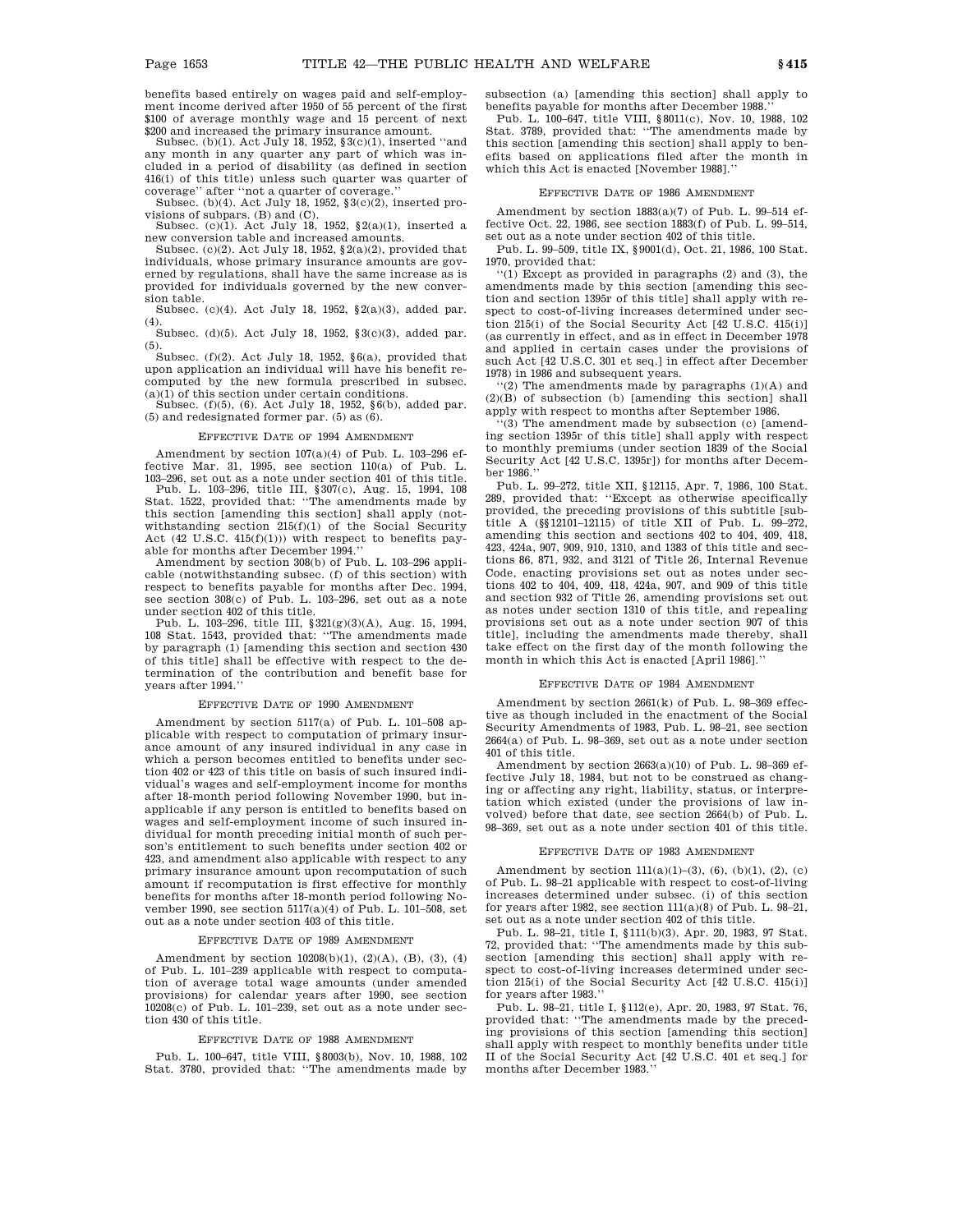benefits based entirely on wages paid and self-employment income derived after 1950 of 55 percent of the first \$100 of average monthly wage and 15 percent of next \$200 and increased the primary insurance amount.

Subsec. (b)(1). Act July 18, 1952, §3(c)(1), inserted ''and any month in any quarter any part of which was included in a period of disability (as defined in section 416(i) of this title) unless such quarter was quarter of coverage'' after ''not a quarter of coverage.'' Subsec. (b)(4). Act July 18, 1952, §3(c)(2), inserted pro-

visions of subpars. (B) and (C).

Subsec. (c)(1). Act July 18, 1952,  $\S2(a)(1)$ , inserted a new conversion table and increased amounts.

Subsec. (c)(2). Act July 18, 1952, §2(a)(2), provided that individuals, whose primary insurance amounts are governed by regulations, shall have the same increase as is provided for individuals governed by the new conversion table.

Subsec. (c)(4). Act July 18, 1952, §2(a)(3), added par.  $(4)$ .

Subsec. (d)(5). Act July 18, 1952, §3(c)(3), added par. (5).

Subsec. (f)(2). Act July 18, 1952,  $\S6(a)$ , provided that upon application an individual will have his benefit recomputed by the new formula prescribed in subsec. (a)(1) of this section under certain conditions.

Subsec. (f)(5), (6). Act July 18, 1952, §6(b), added par. (5) and redesignated former par. (5) as (6).

#### EFFECTIVE DATE OF 1994 AMENDMENT

Amendment by section 107(a)(4) of Pub. L. 103–296 effective Mar. 31, 1995, see section 110(a) of Pub. L. 103–296, set out as a note under section 401 of this title. Pub. L. 103–296, title III, §307(c), Aug. 15, 1994, 108

Stat. 1522, provided that: ''The amendments made by this section [amending this section] shall apply (notwithstanding section  $215(f)(1)$  of the Social Security<br>Act (42 U.S.C. 415(f)(1))) with respect to benefits payable for months after December 1994.

Amendment by section 308(b) of Pub. L. 103–296 applicable (notwithstanding subsec. (f) of this section) with respect to benefits payable for months after Dec. 1994, see section 308(c) of Pub. L. 103-296, set out as a note under section 402 of this title.

Pub. L. 103–296, title III, §321(g)(3)(A), Aug. 15, 1994, 108 Stat. 1543, provided that: ''The amendments made by paragraph (1) [amending this section and section 430 of this title] shall be effective with respect to the determination of the contribution and benefit base for years after 1994.''

# EFFECTIVE DATE OF 1990 AMENDMENT

Amendment by section 5117(a) of Pub. L. 101–508 applicable with respect to computation of primary insurance amount of any insured individual in any case in which a person becomes entitled to benefits under section 402 or 423 of this title on basis of such insured individual's wages and self-employment income for months after 18-month period following November 1990, but inapplicable if any person is entitled to benefits based on wages and self-employment income of such insured individual for month preceding initial month of such person's entitlement to such benefits under section 402 or 423, and amendment also applicable with respect to any primary insurance amount upon recomputation of such amount if recomputation is first effective for monthly benefits for months after 18-month period following November 1990, see section  $5117(a)(4)$  of Pub. L. 101–508, set out as a note under section 403 of this title.

## EFFECTIVE DATE OF 1989 AMENDMENT

Amendment by section  $10208(b)(1)$ ,  $(2)(A)$ ,  $(B)$ ,  $(3)$ ,  $(4)$ of Pub. L. 101–239 applicable with respect to computation of average total wage amounts (under amended provisions) for calendar years after 1990, see section 10208(c) of Pub. L. 101–239, set out as a note under section 430 of this title.

#### EFFECTIVE DATE OF 1988 AMENDMENT

Pub. L. 100–647, title VIII, §8003(b), Nov. 10, 1988, 102 Stat. 3780, provided that: ''The amendments made by

subsection (a) [amending this section] shall apply to benefits payable for months after December 1988

Pub. L. 100–647, title VIII, §8011(c), Nov. 10, 1988, 102 Stat. 3789, provided that: ''The amendments made by this section [amending this section] shall apply to benefits based on applications filed after the month in which this Act is enacted [November 1988].''

#### EFFECTIVE DATE OF 1986 AMENDMENT

Amendment by section 1883(a)(7) of Pub. L. 99–514 effective Oct. 22, 1986, see section 1883(f) of Pub. L. 99–514, set out as a note under section 402 of this title.

Pub. L. 99–509, title IX, §9001(d), Oct. 21, 1986, 100 Stat. 1970, provided that:

''(1) Except as provided in paragraphs (2) and (3), the amendments made by this section [amending this section and section 1395r of this title] shall apply with respect to cost-of-living increases determined under section 215(i) of the Social Security Act [42 U.S.C. 415(i)] (as currently in effect, and as in effect in December 1978 and applied in certain cases under the provisions of such Act [42 U.S.C. 301 et seq.] in effect after December 1978) in 1986 and subsequent years.

''(2) The amendments made by paragraphs (1)(A) and (2)(B) of subsection (b) [amending this section] shall apply with respect to months after September 1986.

 $(3)$  The amendment made by subsection  $(c)$  [amending section 1395r of this title] shall apply with respect to monthly premiums (under section 1839 of the Social Security Act [42 U.S.C. 1395r]) for months after December 1986.''

Pub. L. 99–272, title XII, §12115, Apr. 7, 1986, 100 Stat. 289, provided that: ''Except as otherwise specifically provided, the preceding provisions of this subtitle [subtitle A (§§12101–12115) of title XII of Pub. L. 99–272, amending this section and sections 402 to 404, 409, 418, 423, 424a, 907, 909, 910, 1310, and 1383 of this title and sections 86, 871, 932, and 3121 of Title 26, Internal Revenue Code, enacting provisions set out as notes under sections 402 to 404, 409, 418, 424a, 907, and 909 of this title and section 932 of Title 26, amending provisions set out as notes under section 1310 of this title, and repealing provisions set out as a note under section 907 of this title], including the amendments made thereby, shall take effect on the first day of the month following the month in which this Act is enacted [April 1986].''

### EFFECTIVE DATE OF 1984 AMENDMENT

Amendment by section 2661(k) of Pub. L. 98–369 effective as though included in the enactment of the Social Security Amendments of 1983, Pub. L. 98–21, see section 2664(a) of Pub. L. 98–369, set out as a note under section 401 of this title.

Amendment by section 2663(a)(10) of Pub. L. 98–369 effective July 18, 1984, but not to be construed as changing or affecting any right, liability, status, or interpretation which existed (under the provisions of law involved) before that date, see section 2664(b) of Pub. L. 98–369, set out as a note under section 401 of this title.

#### EFFECTIVE DATE OF 1983 AMENDMENT

Amendment by section  $111(a)(1)–(3)$ ,  $(6)$ ,  $(b)(1)$ ,  $(2)$ ,  $(c)$ of Pub. L. 98–21 applicable with respect to cost-of-living increases determined under subsec. (i) of this section for years after 1982, see section 111(a)(8) of Pub. L. 98–21, set out as a note under section 402 of this title.

Pub. L. 98–21, title I, §111(b)(3), Apr. 20, 1983, 97 Stat. 72, provided that: ''The amendments made by this subsection [amending this section] shall apply with respect to cost-of-living increases determined under section 215(i) of the Social Security Act [42 U.S.C. 415(i)] for years after 1983.''

Pub. L. 98–21, title I, §112(e), Apr. 20, 1983, 97 Stat. 76, provided that: ''The amendments made by the preceding provisions of this section [amending this section] shall apply with respect to monthly benefits under title II of the Social Security Act [42 U.S.C. 401 et seq.] for months after December 1983.''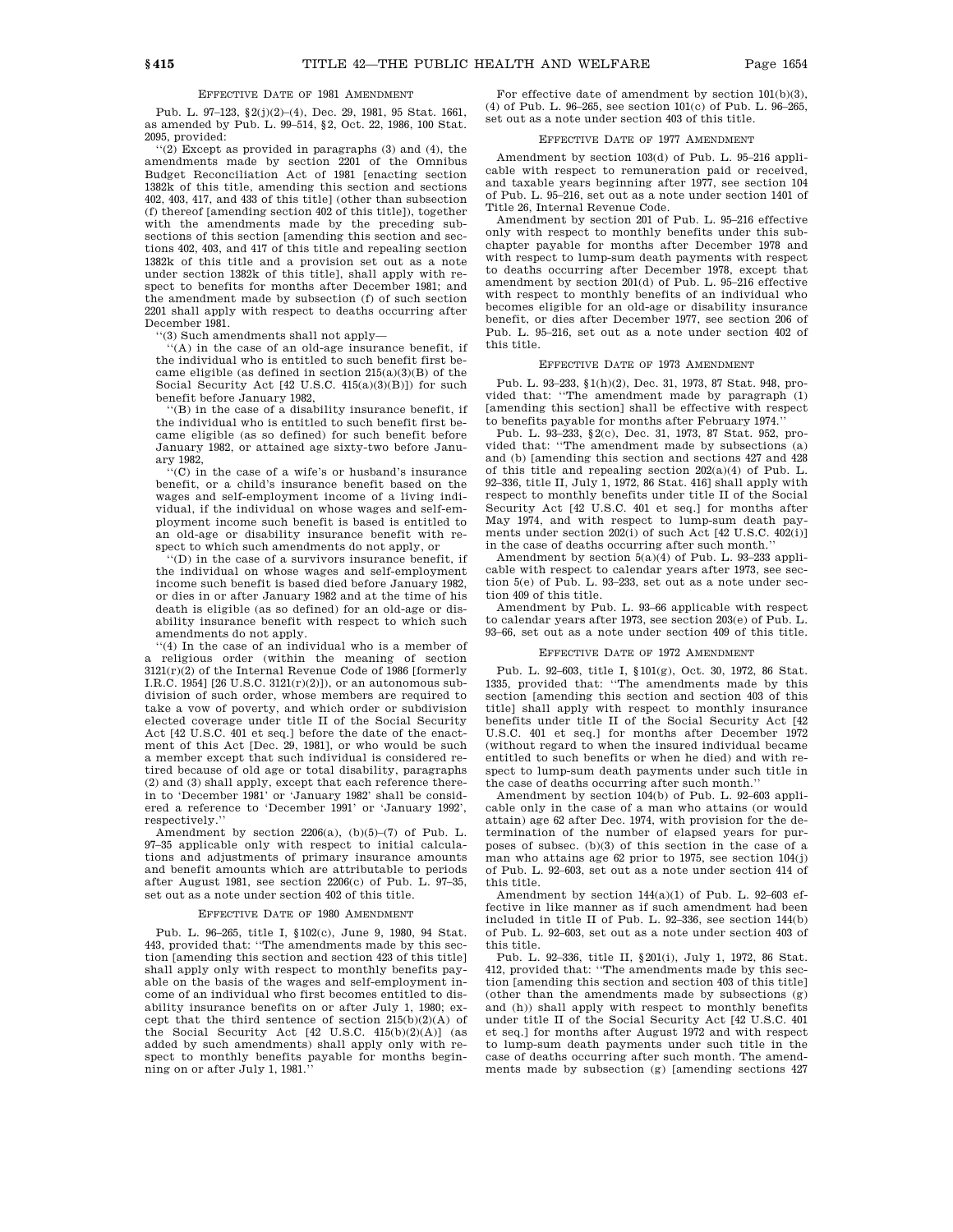# EFFECTIVE DATE OF 1981 AMENDMENT

Pub. L. 97–123, §2(j)(2)–(4), Dec. 29, 1981, 95 Stat. 1661, as amended by Pub. L. 99–514, §2, Oct. 22, 1986, 100 Stat. 2095, provided:

''(2) Except as provided in paragraphs (3) and (4), the amendments made by section 2201 of the Omnibus Budget Reconciliation Act of 1981 [enacting section 1382k of this title, amending this section and sections 402, 403, 417, and 433 of this title] (other than subsection (f) thereof [amending section 402 of this title]), together with the amendments made by the preceding subsections of this section [amending this section and sections 402, 403, and 417 of this title and repealing section 1382k of this title and a provision set out as a note under section 1382k of this title], shall apply with respect to benefits for months after December 1981; and the amendment made by subsection (f) of such section 2201 shall apply with respect to deaths occurring after December 1981.

'(3) Such amendments shall not apply-

''(A) in the case of an old-age insurance benefit, if the individual who is entitled to such benefit first became eligible (as defined in section  $215(a)(3)(B)$  of the Social Security Act [42 U.S.C. 415(a)(3)(B)]) for such benefit before January 1982,

''(B) in the case of a disability insurance benefit, if the individual who is entitled to such benefit first became eligible (as so defined) for such benefit before January 1982, or attained age sixty-two before January 1982,

''(C) in the case of a wife's or husband's insurance benefit, or a child's insurance benefit based on the wages and self-employment income of a living individual, if the individual on whose wages and self-employment income such benefit is based is entitled to an old-age or disability insurance benefit with respect to which such amendments do not apply, or

''(D) in the case of a survivors insurance benefit, if the individual on whose wages and self-employment income such benefit is based died before January 1982, or dies in or after January 1982 and at the time of his death is eligible (as so defined) for an old-age or disability insurance benefit with respect to which such amendments do not apply.

''(4) In the case of an individual who is a member of a religious order (within the meaning of section 3121(r)(2) of the Internal Revenue Code of 1986 [formerly  $I.R.C. 1954$ ] [26 U.S.C. 3121(r)(2)]), or an autonomous subdivision of such order, whose members are required to take a vow of poverty, and which order or subdivision elected coverage under title II of the Social Security Act [42 U.S.C. 401 et seq.] before the date of the enactment of this Act [Dec. 29, 1981], or who would be such a member except that such individual is considered retired because of old age or total disability, paragraphs (2) and (3) shall apply, except that each reference therein to 'December 1981' or 'January 1982' shall be considered a reference to 'December 1991' or 'January 1992', respectively.''

Amendment by section  $2206(a)$ ,  $(b)(5)-(7)$  of Pub. L. 97–35 applicable only with respect to initial calculations and adjustments of primary insurance amounts and benefit amounts which are attributable to periods after August 1981, see section 2206(c) of Pub. L. 97–35, set out as a note under section 402 of this title.

### EFFECTIVE DATE OF 1980 AMENDMENT

Pub. L. 96–265, title I, §102(c), June 9, 1980, 94 Stat. 443, provided that: ''The amendments made by this section [amending this section and section 423 of this title] shall apply only with respect to monthly benefits payable on the basis of the wages and self-employment income of an individual who first becomes entitled to disability insurance benefits on or after July 1, 1980; except that the third sentence of section 215(b)(2)(A) of the Social Security Act  $[42 \text{ U.S.C. } 415(\text{b})(2)(\text{A})]$  (as added by such amendments) shall apply only with respect to monthly benefits payable for months beginning on or after July 1, 1981.''

For effective date of amendment by section 101(b)(3), (4) of Pub. L. 96–265, see section 101(c) of Pub. L. 96–265, set out as a note under section 403 of this title.

#### EFFECTIVE DATE OF 1977 AMENDMENT

Amendment by section 103(d) of Pub. L. 95–216 applicable with respect to remuneration paid or received, and taxable years beginning after 1977, see section 104 of Pub. L. 95–216, set out as a note under section 1401 of Title 26, Internal Revenue Code.

Amendment by section 201 of Pub. L. 95–216 effective only with respect to monthly benefits under this subchapter payable for months after December 1978 and with respect to lump-sum death payments with respect to deaths occurring after December 1978, except that amendment by section 201(d) of Pub. L. 95–216 effective with respect to monthly benefits of an individual who becomes eligible for an old-age or disability insurance benefit, or dies after December 1977, see section 206 of Pub. L. 95–216, set out as a note under section 402 of this title.

#### EFFECTIVE DATE OF 1973 AMENDMENT

Pub. L. 93–233, §1(h)(2), Dec. 31, 1973, 87 Stat. 948, provided that: ''The amendment made by paragraph (1) [amending this section] shall be effective with respect to benefits payable for months after February 1974.''

Pub. L. 93–233, §2(c), Dec. 31, 1973, 87 Stat. 952, provided that: ''The amendment made by subsections (a) and (b) [amending this section and sections 427 and 428 of this title and repealing section 202(a)(4) of Pub. L. 92–336, title II, July 1, 1972, 86 Stat. 416] shall apply with respect to monthly benefits under title II of the Social Security Act [42 U.S.C. 401 et seq.] for months after May 1974, and with respect to lump-sum death payments under section 202(i) of such Act [42 U.S.C. 402(i)] in the case of deaths occurring after such month.''

Amendment by section 5(a)(4) of Pub. L. 93–233 applicable with respect to calendar years after 1973, see section 5(e) of Pub. L. 93–233, set out as a note under section 409 of this title.

Amendment by Pub. L. 93–66 applicable with respect to calendar years after 1973, see section 203(e) of Pub. L. 93–66, set out as a note under section 409 of this title.

#### EFFECTIVE DATE OF 1972 AMENDMENT

Pub. L. 92–603, title I, §101(g), Oct. 30, 1972, 86 Stat. 1335, provided that: ''The amendments made by this section [amending this section and section 403 of this title] shall apply with respect to monthly insurance benefits under title II of the Social Security Act [42 U.S.C. 401 et seq.] for months after December 1972 (without regard to when the insured individual became entitled to such benefits or when he died) and with respect to lump-sum death payments under such title in the case of deaths occurring after such month.''

Amendment by section 104(b) of Pub. L. 92–603 applicable only in the case of a man who attains (or would attain) age 62 after Dec. 1974, with provision for the determination of the number of elapsed years for purposes of subsec. (b)(3) of this section in the case of a man who attains age 62 prior to 1975, see section 104(j) of Pub. L. 92–603, set out as a note under section 414 of this title.

Amendment by section 144(a)(1) of Pub. L. 92–603 effective in like manner as if such amendment had been included in title II of Pub. L. 92–336, see section 144(b) of Pub. L. 92–603, set out as a note under section 403 of this title.

Pub. L. 92–336, title II, §201(i), July 1, 1972, 86 Stat. 412, provided that: ''The amendments made by this section [amending this section and section 403 of this title] (other than the amendments made by subsections (g) and (h)) shall apply with respect to monthly benefits under title II of the Social Security Act [42 U.S.C. 401 et seq.] for months after August 1972 and with respect to lump-sum death payments under such title in the case of deaths occurring after such month. The amendments made by subsection (g) [amending sections 427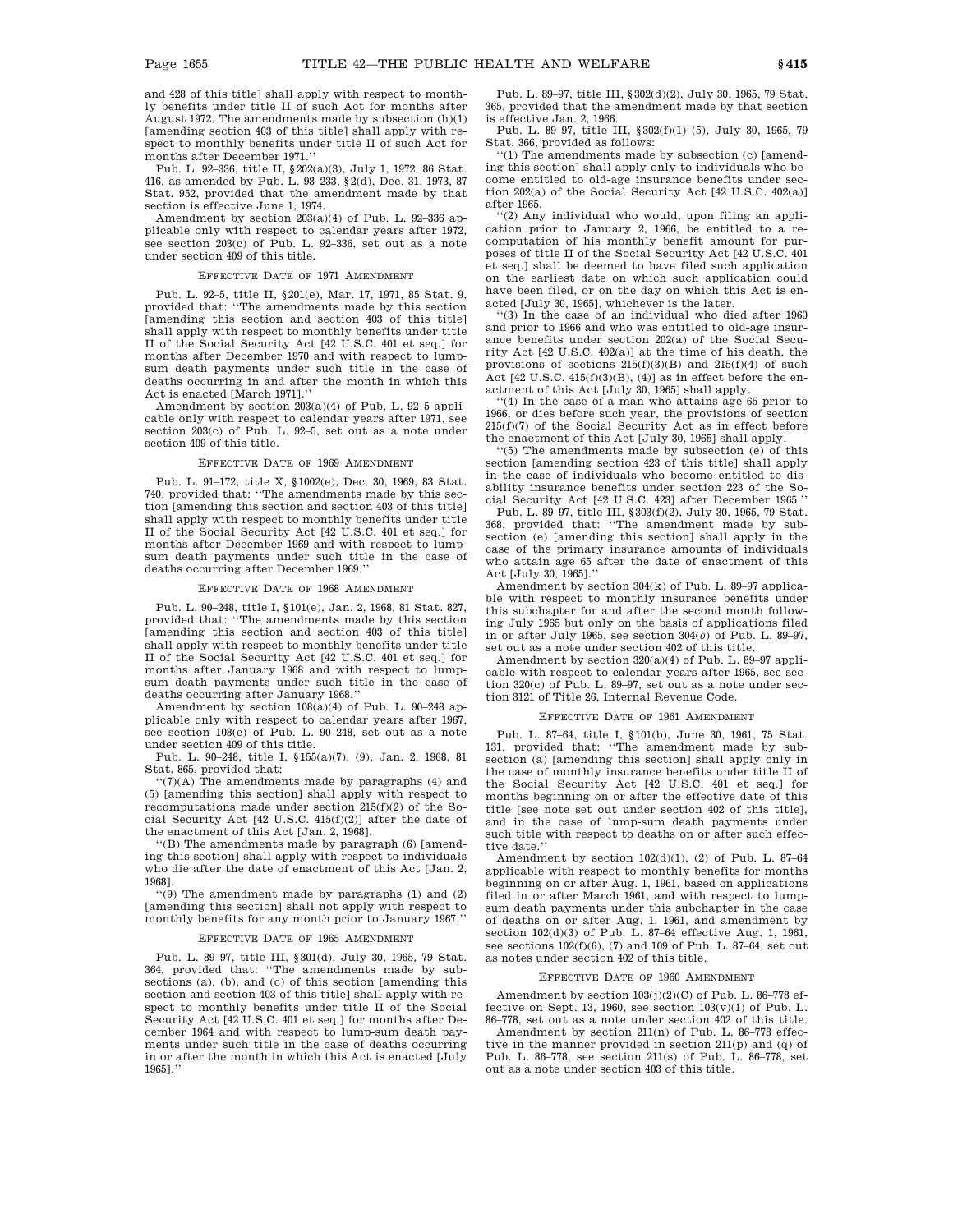Pub. L. 92–336, title II, §202(a)(3), July 1, 1972, 86 Stat. 416, as amended by Pub. L. 93–233, §2(d), Dec. 31, 1973, 87 Stat. 952, provided that the amendment made by that section is effective June 1, 1974.

Amendment by section 203(a)(4) of Pub. L. 92–336 applicable only with respect to calendar years after 1972, see section 203(c) of Pub. L. 92–336, set out as a note under section 409 of this title.

## EFFECTIVE DATE OF 1971 AMENDMENT

Pub. L. 92–5, title II, §201(e), Mar. 17, 1971, 85 Stat. 9, provided that: ''The amendments made by this section [amending this section and section 403 of this title] shall apply with respect to monthly benefits under title II of the Social Security Act [42 U.S.C. 401 et seq.] for months after December 1970 and with respect to lumpsum death payments under such title in the case of deaths occurring in and after the month in which this Act is enacted [March 1971].''

Amendment by section 203(a)(4) of Pub. L. 92–5 applicable only with respect to calendar years after 1971, see section 203(c) of Pub. L. 92–5, set out as a note under section 409 of this title.

### EFFECTIVE DATE OF 1969 AMENDMENT

Pub. L. 91–172, title X, §1002(e), Dec. 30, 1969, 83 Stat. 740, provided that: ''The amendments made by this section [amending this section and section 403 of this title] shall apply with respect to monthly benefits under title II of the Social Security Act [42 U.S.C. 401 et seq.] for months after December 1969 and with respect to lumpsum death payments under such title in the case of deaths occurring after December 1969.''

#### EFFECTIVE DATE OF 1968 AMENDMENT

Pub. L. 90–248, title I, §101(e), Jan. 2, 1968, 81 Stat. 827, provided that: ''The amendments made by this section [amending this section and section 403 of this title] shall apply with respect to monthly benefits under title II of the Social Security Act [42 U.S.C. 401 et seq.] for months after January 1968 and with respect to lumpsum death payments under such title in the case of deaths occurring after January 1968.''

Amendment by section 108(a)(4) of Pub. L. 90–248 applicable only with respect to calendar years after 1967, see section 108(c) of Pub. L. 90–248, set out as a note under section 409 of this title.

Pub. L. 90–248, title I, §155(a)(7), (9), Jan. 2, 1968, 81 Stat. 865, provided that:

 $'(7)(A)$  The amendments made by paragraphs (4) and (5) [amending this section] shall apply with respect to recomputations made under section  $215(f)(2)$  of the Social Security Act [42 U.S.C. 415(f)(2)] after the date of the enactment of this Act [Jan. 2, 1968].

''(B) The amendments made by paragraph (6) [amending this section] shall apply with respect to individuals who die after the date of enactment of this Act [Jan. 2, 1968].

''(9) The amendment made by paragraphs (1) and (2) [amending this section] shall not apply with respect to monthly benefits for any month prior to January 1967.''

### EFFECTIVE DATE OF 1965 AMENDMENT

Pub. L. 89–97, title III, §301(d), July 30, 1965, 79 Stat. 364, provided that: ''The amendments made by subsections (a), (b), and (c) of this section [amending this section and section 403 of this title] shall apply with respect to monthly benefits under title II of the Social Security Act [42 U.S.C. 401 et seq.] for months after December 1964 and with respect to lump-sum death payments under such title in the case of deaths occurring in or after the month in which this Act is enacted [July 1965].''

Pub. L. 89–97, title III, §302(d)(2), July 30, 1965, 79 Stat. 365, provided that the amendment made by that section is effective Jan. 2, 1966.

Pub. L. 89–97, title III, §302(f)(1)–(5), July 30, 1965, 79 Stat. 366, provided as follows:

''(1) The amendments made by subsection (c) [amending this section] shall apply only to individuals who become entitled to old-age insurance benefits under section 202(a) of the Social Security Act [42 U.S.C. 402(a)] after 1965.

''(2) Any individual who would, upon filing an application prior to January 2, 1966, be entitled to a recomputation of his monthly benefit amount for purposes of title II of the Social Security Act [42 U.S.C. 401 et seq.] shall be deemed to have filed such application on the earliest date on which such application could have been filed, or on the day on which this Act is enacted [July 30, 1965], whichever is the later.

''(3) In the case of an individual who died after 1960 and prior to 1966 and who was entitled to old-age insurance benefits under section 202(a) of the Social Security Act [42 U.S.C. 402(a)] at the time of his death, the provisions of sections  $215(f)(3)(B)$  and  $215(f)(4)$  of such Act  $[42 \text{ U.S.C. } 415(f)(3)(B), (4)]$  as in effect before the enactment of this Act [July 30, 1965] shall apply.

''(4) In the case of a man who attains age 65 prior to 1966, or dies before such year, the provisions of section 215(f)(7) of the Social Security Act as in effect before the enactment of this Act [July 30, 1965] shall apply.

''(5) The amendments made by subsection (e) of this section [amending section 423 of this title] shall apply in the case of individuals who become entitled to disability insurance benefits under section 223 of the Social Security Act [42 U.S.C. 423] after December 1965.''

Pub. L. 89–97, title III, §303(f)(2), July 30, 1965, 79 Stat. 368, provided that: ''The amendment made by subsection (e) [amending this section] shall apply in the case of the primary insurance amounts of individuals who attain age 65 after the date of enactment of this Act [July 30, 1965].''

Amendment by section 304(k) of Pub. L. 89–97 applicable with respect to monthly insurance benefits under this subchapter for and after the second month following July 1965 but only on the basis of applications filed in or after July 1965, see section 304(*o*) of Pub. L. 89–97, set out as a note under section 402 of this title.

Amendment by section 320(a)(4) of Pub. L. 89–97 applicable with respect to calendar years after 1965, see section 320(c) of Pub. L. 89–97, set out as a note under section 3121 of Title 26, Internal Revenue Code.

### EFFECTIVE DATE OF 1961 AMENDMENT

Pub. L. 87–64, title I, §101(b), June 30, 1961, 75 Stat. 131, provided that: ''The amendment made by subsection (a) [amending this section] shall apply only in the case of monthly insurance benefits under title II of the Social Security Act [42 U.S.C. 401 et seq.] for months beginning on or after the effective date of this title [see note set out under section 402 of this title], and in the case of lump-sum death payments under such title with respect to deaths on or after such effective date.

Amendment by section  $102(d)(1)$ , (2) of Pub. L. 87-64 applicable with respect to monthly benefits for months beginning on or after Aug. 1, 1961, based on applications filed in or after March 1961, and with respect to lumpsum death payments under this subchapter in the case of deaths on or after Aug. 1, 1961, and amendment by section 102(d)(3) of Pub. L. 87–64 effective Aug. 1, 1961, see sections  $102(f)(6)$ , (7) and  $109$  of Pub. L. 87-64, set out as notes under section 402 of this title.

### EFFECTIVE DATE OF 1960 AMENDMENT

Amendment by section  $103(j)(2)(C)$  of Pub. L. 86–778 effective on Sept. 13, 1960, see section  $103(v)(1)$  of Pub. L. 86–778, set out as a note under section 402 of this title.

Amendment by section 211(n) of Pub. L. 86–778 effective in the manner provided in section 211(p) and (q) of Pub. L. 86–778, see section 211(s) of Pub. L. 86–778, set out as a note under section 403 of this title.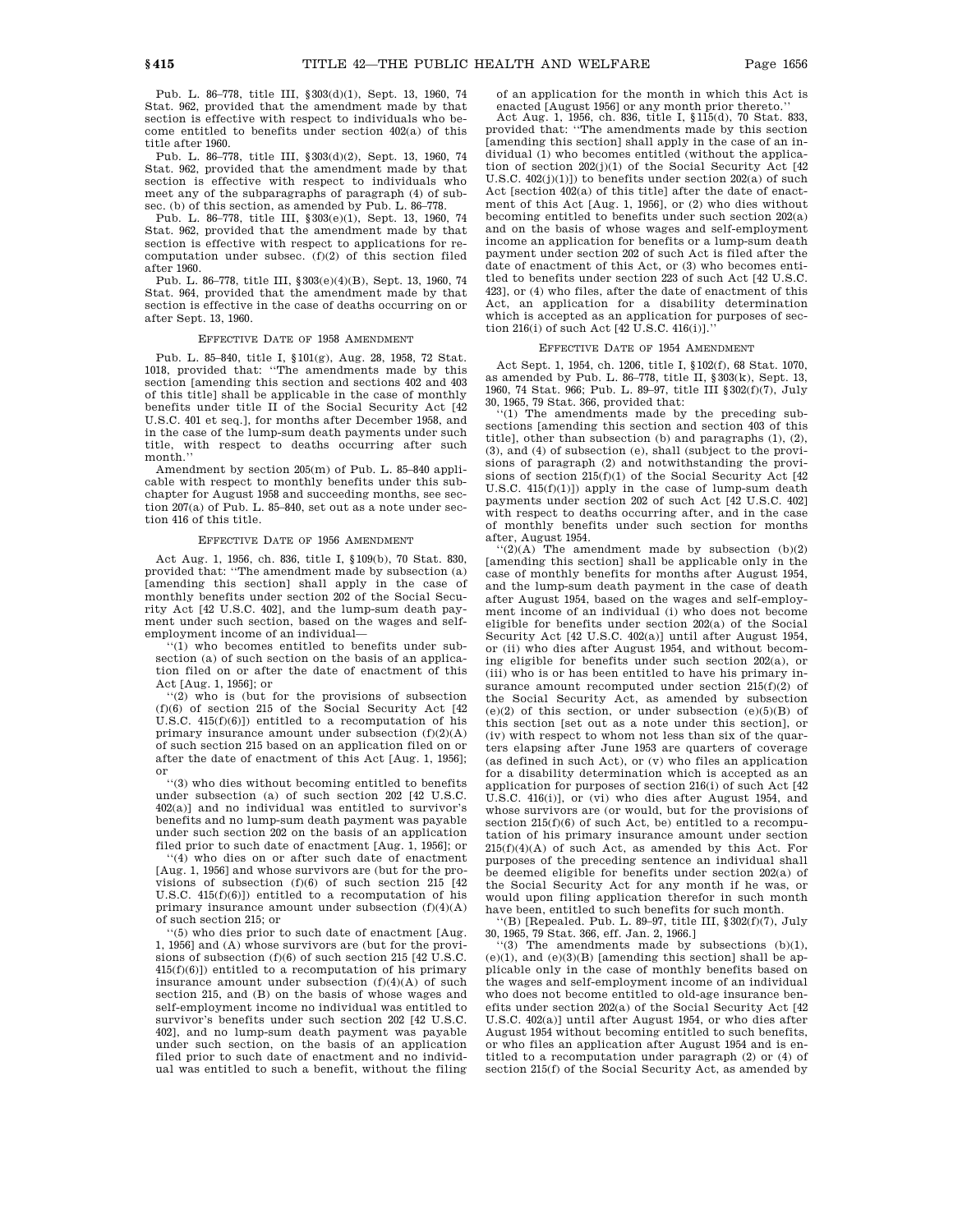Pub. L. 86–778, title III, §303(d)(1), Sept. 13, 1960, 74 Stat. 962, provided that the amendment made by that section is effective with respect to individuals who become entitled to benefits under section 402(a) of this title after 1960.

Pub. L. 86–778, title III, §303(d)(2), Sept. 13, 1960, 74 Stat. 962, provided that the amendment made by that section is effective with respect to individuals who meet any of the subparagraphs of paragraph  $(4)$  of subsec. (b) of this section, as amended by Pub. L. 86–778.

Pub. L. 86–778, title III, §303(e)(1), Sept. 13, 1960, 74 Stat. 962, provided that the amendment made by that section is effective with respect to applications for recomputation under subsec. (f)(2) of this section filed after 1960.

Pub. L. 86–778, title III, §303(e)(4)(B), Sept. 13, 1960, 74 Stat. 964, provided that the amendment made by that section is effective in the case of deaths occurring on or after Sept. 13, 1960.

#### EFFECTIVE DATE OF 1958 AMENDMENT

Pub. L. 85–840, title I, §101(g), Aug. 28, 1958, 72 Stat. 1018, provided that: ''The amendments made by this section [amending this section and sections 402 and 403 of this title] shall be applicable in the case of monthly benefits under title II of the Social Security Act [42 U.S.C. 401 et seq.], for months after December 1958, and in the case of the lump-sum death payments under such title, with respect to deaths occurring after such month.''

Amendment by section 205(m) of Pub. L. 85–840 applicable with respect to monthly benefits under this subchapter for August 1958 and succeeding months, see section 207(a) of Pub. L. 85–840, set out as a note under section 416 of this title.

### EFFECTIVE DATE OF 1956 AMENDMENT

Act Aug. 1, 1956, ch. 836, title I, §109(b), 70 Stat. 830, provided that: ''The amendment made by subsection (a) [amending this section] shall apply in the case of monthly benefits under section 202 of the Social Security Act [42 U.S.C. 402], and the lump-sum death payment under such section, based on the wages and selfemployment income of an individual—

''(1) who becomes entitled to benefits under subsection (a) of such section on the basis of an application filed on or after the date of enactment of this Act [Aug. 1, 1956]; or

''(2) who is (but for the provisions of subsection (f)(6) of section 215 of the Social Security Act [42 U.S.C. 415(f)(6)]) entitled to a recomputation of his primary insurance amount under subsection (f)(2)(A) of such section 215 based on an application filed on or after the date of enactment of this Act [Aug. 1, 1956]; or

''(3) who dies without becoming entitled to benefits under subsection (a) of such section 202 [42 U.S.C. 402(a)] and no individual was entitled to survivor's benefits and no lump-sum death payment was payable under such section 202 on the basis of an application filed prior to such date of enactment [Aug. 1, 1956]; or

''(4) who dies on or after such date of enactment [Aug. 1, 1956] and whose survivors are (but for the provisions of subsection (f)(6) of such section 215 [42 U.S.C. 415(f)(6)]) entitled to a recomputation of his primary insurance amount under subsection (f)(4)(A) of such section 215; or

'(5) who dies prior to such date of enactment [Aug. 1, 1956] and (A) whose survivors are (but for the provisions of subsection (f)(6) of such section 215 [42 U.S.C.  $415(f)(6)$ ) entitled to a recomputation of his primary insurance amount under subsection  $(f)(4)(A)$  of such section 215, and (B) on the basis of whose wages and self-employment income no individual was entitled to survivor's benefits under such section 202 [42 U.S.C. 402], and no lump-sum death payment was payable under such section, on the basis of an application filed prior to such date of enactment and no individual was entitled to such a benefit, without the filing

of an application for the month in which this Act is enacted [August 1956] or any month prior thereto.

Act Aug. 1, 1956, ch. 836, title I, §115(d), 70 Stat. 833, provided that: ''The amendments made by this section [amending this section] shall apply in the case of an individual (1) who becomes entitled (without the application of section  $202(j)(1)$  of the Social Security Act  $[42]$ U.S.C.  $402(j)(1)$ ]) to benefits under section  $202(a)$  of such Act [section 402(a) of this title] after the date of enactment of this Act [Aug. 1, 1956], or (2) who dies without becoming entitled to benefits under such section 202(a) and on the basis of whose wages and self-employment income an application for benefits or a lump-sum death payment under section 202 of such Act is filed after the date of enactment of this Act, or (3) who becomes entitled to benefits under section 223 of such Act [42 U.S.C. 423], or (4) who files, after the date of enactment of this Act, an application for a disability determination which is accepted as an application for purposes of section 216(i) of such Act [42 U.S.C. 416(i)].

#### EFFECTIVE DATE OF 1954 AMENDMENT

Act Sept. 1, 1954, ch. 1206, title I, §102(f), 68 Stat. 1070, as amended by Pub. L. 86–778, title II, §303(k), Sept. 13, 1960, 74 Stat. 966; Pub. L. 89–97, title III §302(f)(7), July 30, 1965, 79 Stat. 366, provided that:

''(1) The amendments made by the preceding subsections [amending this section and section 403 of this title], other than subsection (b) and paragraphs (1), (2), (3), and (4) of subsection (e), shall (subject to the provisions of paragraph (2) and notwithstanding the provisions of section 215(f)(1) of the Social Security Act [42 U.S.C. 415(f)(1)]) apply in the case of lump-sum death payments under section 202 of such Act [42 U.S.C. 402] with respect to deaths occurring after, and in the case of monthly benefits under such section for months

after, August 1954. ''(2)(A) The amendment made by subsection (b)(2) [amending this section] shall be applicable only in the case of monthly benefits for months after August 1954, and the lump-sum death payment in the case of death after August 1954, based on the wages and self-employment income of an individual (i) who does not become eligible for benefits under section 202(a) of the Social Security Act [42 U.S.C. 402(a)] until after August 1954, or (ii) who dies after August 1954, and without becoming eligible for benefits under such section 202(a), or (iii) who is or has been entitled to have his primary insurance amount recomputed under section 215(f)(2) of the Social Security Act, as amended by subsection (e)(2) of this section, or under subsection (e)(5)(B) of this section [set out as a note under this section], or (iv) with respect to whom not less than six of the quarters elapsing after June 1953 are quarters of coverage (as defined in such Act), or (v) who files an application for a disability determination which is accepted as an application for purposes of section 216(i) of such Act [42 U.S.C. 416(i)], or (vi) who dies after August 1954, and whose survivors are (or would, but for the provisions of section  $215(f)(6)$  of such Act, be) entitled to a recomputation of his primary insurance amount under section 215(f)(4)(A) of such Act, as amended by this Act. For purposes of the preceding sentence an individual shall be deemed eligible for benefits under section 202(a) of the Social Security Act for any month if he was, or would upon filing application therefor in such month have been, entitled to such benefits for such month.

''(B) [Repealed. Pub. L. 89–97, title III, §302(f)(7), July 30, 1965, 79 Stat. 366, eff. Jan. 2, 1966.] ''(3) The amendments made by subsections (b)(1),

 $(e)(1)$ , and  $(e)(3)(B)$  [amending this section] shall be applicable only in the case of monthly benefits based on the wages and self-employment income of an individual who does not become entitled to old-age insurance benefits under section 202(a) of the Social Security Act [42 U.S.C. 402(a)] until after August 1954, or who dies after August 1954 without becoming entitled to such benefits, or who files an application after August 1954 and is entitled to a recomputation under paragraph (2) or (4) of section 215(f) of the Social Security Act, as amended by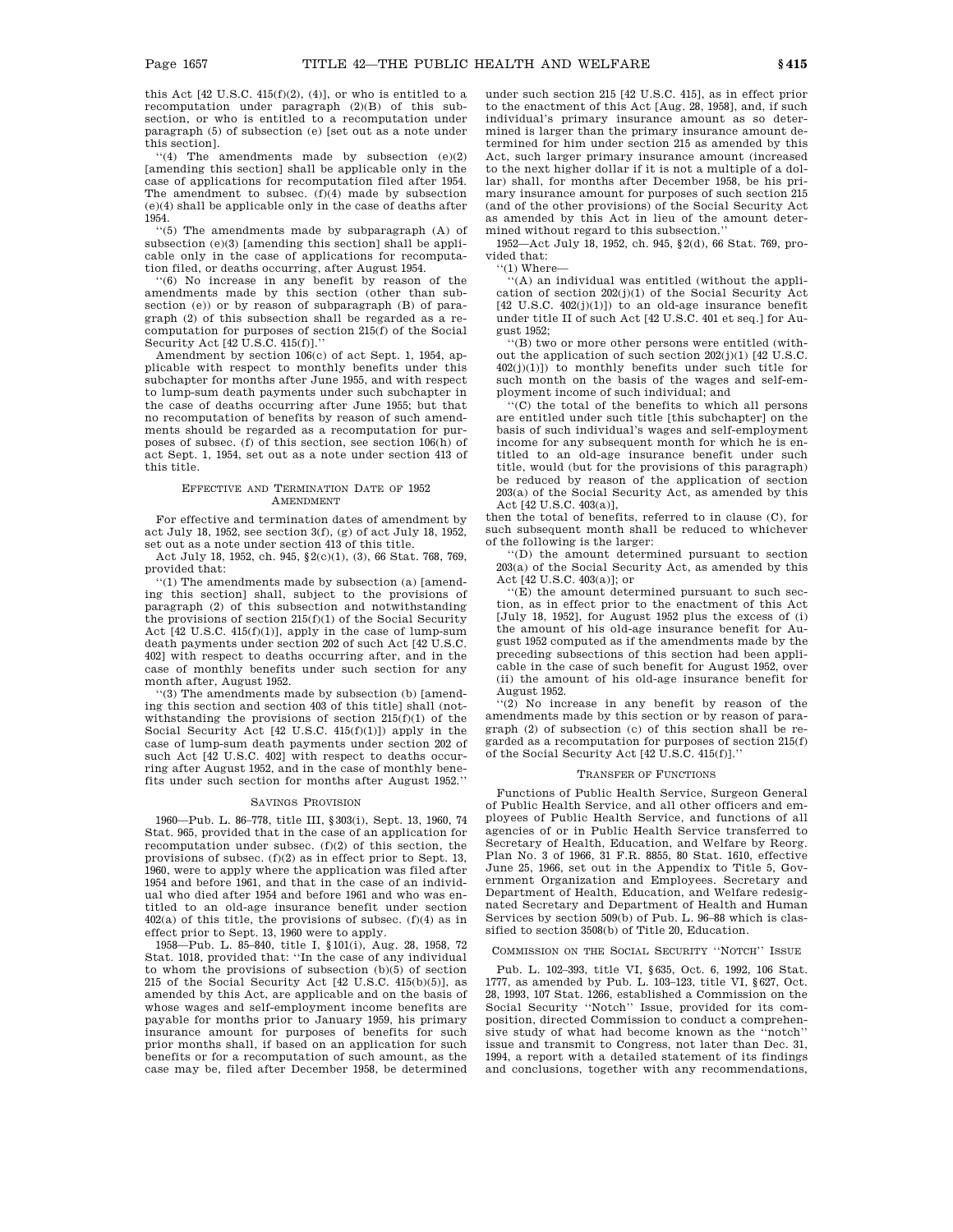this Act  $[42 \text{ U.S.C. } 415(f)(2), (4)]$ , or who is entitled to a recomputation under paragraph (2)(B) of this subsection, or who is entitled to a recomputation under paragraph (5) of subsection (e) [set out as a note under this section].

''(4) The amendments made by subsection (e)(2) [amending this section] shall be applicable only in the case of applications for recomputation filed after 1954. The amendment to subsec. (f)(4) made by subsection (e)(4) shall be applicable only in the case of deaths after 1954.

''(5) The amendments made by subparagraph (A) of subsection (e)(3) [amending this section] shall be applicable only in the case of applications for recomputation filed, or deaths occurring, after August 1954.

''(6) No increase in any benefit by reason of the amendments made by this section (other than subsection (e)) or by reason of subparagraph (B) of paragraph (2) of this subsection shall be regarded as a recomputation for purposes of section 215(f) of the Social Security Act [42 U.S.C. 415(f)].''

Amendment by section 106(c) of act Sept. 1, 1954, applicable with respect to monthly benefits under this subchapter for months after June 1955, and with respect to lump-sum death payments under such subchapter in the case of deaths occurring after June 1955; but that no recomputation of benefits by reason of such amendments should be regarded as a recomputation for purposes of subsec. (f) of this section, see section 106(h) of act Sept. 1, 1954, set out as a note under section 413 of this title.

## EFFECTIVE AND TERMINATION DATE OF 1952 AMENDMENT

For effective and termination dates of amendment by act July 18, 1952, see section 3(f), (g) of act July 18, 1952, set out as a note under section 413 of this title.

Act July 18, 1952, ch. 945, §2(c)(1), (3), 66 Stat. 768, 769, provided that:

''(1) The amendments made by subsection (a) [amending this section] shall, subject to the provisions of paragraph (2) of this subsection and notwithstanding the provisions of section 215(f)(1) of the Social Security Act [42 U.S.C. 415(f)(1)], apply in the case of lump-sum death payments under section 202 of such Act [42 U.S.C. 402] with respect to deaths occurring after, and in the case of monthly benefits under such section for any month after, August 1952.

''(3) The amendments made by subsection (b) [amending this section and section 403 of this title] shall (notwithstanding the provisions of section  $215(f)(1)$  of the Social Security Act [42 U.S.C. 415(f)(1)]) apply in the case of lump-sum death payments under section 202 of such Act [42 U.S.C. 402] with respect to deaths occurring after August 1952, and in the case of monthly benefits under such section for months after August 1952.''

#### SAVINGS PROVISION

1960—Pub. L. 86–778, title III, §303(i), Sept. 13, 1960, 74 Stat. 965, provided that in the case of an application for recomputation under subsec. (f)(2) of this section, the provisions of subsec. (f)(2) as in effect prior to Sept. 13, 1960, were to apply where the application was filed after 1954 and before 1961, and that in the case of an individual who died after 1954 and before 1961 and who was entitled to an old-age insurance benefit under section  $402(a)$  of this title, the provisions of subsec. (f)(4) as in effect prior to Sept. 13, 1960 were to apply.

1958—Pub. L. 85–840, title I, §101(i), Aug. 28, 1958, 72 Stat. 1018, provided that: ''In the case of any individual to whom the provisions of subsection (b)(5) of section 215 of the Social Security Act  $[42 \text{ U.S.C. } 415(b)(5)]$ , as amended by this Act, are applicable and on the basis of whose wages and self-employment income benefits are payable for months prior to January 1959, his primary insurance amount for purposes of benefits for such prior months shall, if based on an application for such benefits or for a recomputation of such amount, as the case may be, filed after December 1958, be determined under such section 215 [42 U.S.C. 415], as in effect prior to the enactment of this Act [Aug. 28, 1958], and, if such individual's primary insurance amount as so determined is larger than the primary insurance amount determined for him under section 215 as amended by this Act, such larger primary insurance amount (increased to the next higher dollar if it is not a multiple of a dollar) shall, for months after December 1958, be his primary insurance amount for purposes of such section 215 (and of the other provisions) of the Social Security Act as amended by this Act in lieu of the amount determined without regard to this subsection.

1952—Act July 18, 1952, ch. 945, §2(d), 66 Stat. 769, provided that:

''(1) Where—

''(A) an individual was entitled (without the application of section 202(j)(1) of the Social Security Act  $[42 \text{ U.S.C. } 402(i)(1)]$  to an old-age insurance benefit under title II of such Act [42 U.S.C. 401 et seq.] for August 1952;

''(B) two or more other persons were entitled (without the application of such section 202(j)(1) [42 U.S.C. 402(j)(1)]) to monthly benefits under such title for such month on the basis of the wages and self-employment income of such individual; and

''(C) the total of the benefits to which all persons are entitled under such title [this subchapter] on the basis of such individual's wages and self-employment income for any subsequent month for which he is entitled to an old-age insurance benefit under such title, would (but for the provisions of this paragraph) be reduced by reason of the application of section 203(a) of the Social Security Act, as amended by this Act [42 U.S.C. 403(a)],

then the total of benefits, referred to in clause (C), for such subsequent month shall be reduced to whichever of the following is the larger:

''(D) the amount determined pursuant to section 203(a) of the Social Security Act, as amended by this Act [42 U.S.C. 403(a)]; or

''(E) the amount determined pursuant to such section, as in effect prior to the enactment of this Act [July 18, 1952], for August 1952 plus the excess of (i) the amount of his old-age insurance benefit for August 1952 computed as if the amendments made by the preceding subsections of this section had been applicable in the case of such benefit for August 1952, over (ii) the amount of his old-age insurance benefit for August 1952.

''(2) No increase in any benefit by reason of the amendments made by this section or by reason of paragraph (2) of subsection (c) of this section shall be regarded as a recomputation for purposes of section 215(f) of the Social Security Act [42 U.S.C. 415(f)].''

#### TRANSFER OF FUNCTIONS

Functions of Public Health Service, Surgeon General of Public Health Service, and all other officers and employees of Public Health Service, and functions of all agencies of or in Public Health Service transferred to Secretary of Health, Education, and Welfare by Reorg. Plan No. 3 of 1966, 31 F.R. 8855, 80 Stat. 1610, effective June 25, 1966, set out in the Appendix to Title 5, Government Organization and Employees. Secretary and Department of Health, Education, and Welfare redesignated Secretary and Department of Health and Human Services by section 509(b) of Pub. L. 96–88 which is classified to section 3508(b) of Title 20, Education.

### COMMISSION ON THE SOCIAL SECURITY ''NOTCH'' ISSUE

Pub. L. 102–393, title VI, §635, Oct. 6, 1992, 106 Stat. 1777, as amended by Pub. L. 103–123, title VI, §627, Oct. 28, 1993, 107 Stat. 1266, established a Commission on the Social Security ''Notch'' Issue, provided for its composition, directed Commission to conduct a comprehensive study of what had become known as the ''notch'' issue and transmit to Congress, not later than Dec. 31, 1994, a report with a detailed statement of its findings and conclusions, together with any recommendations,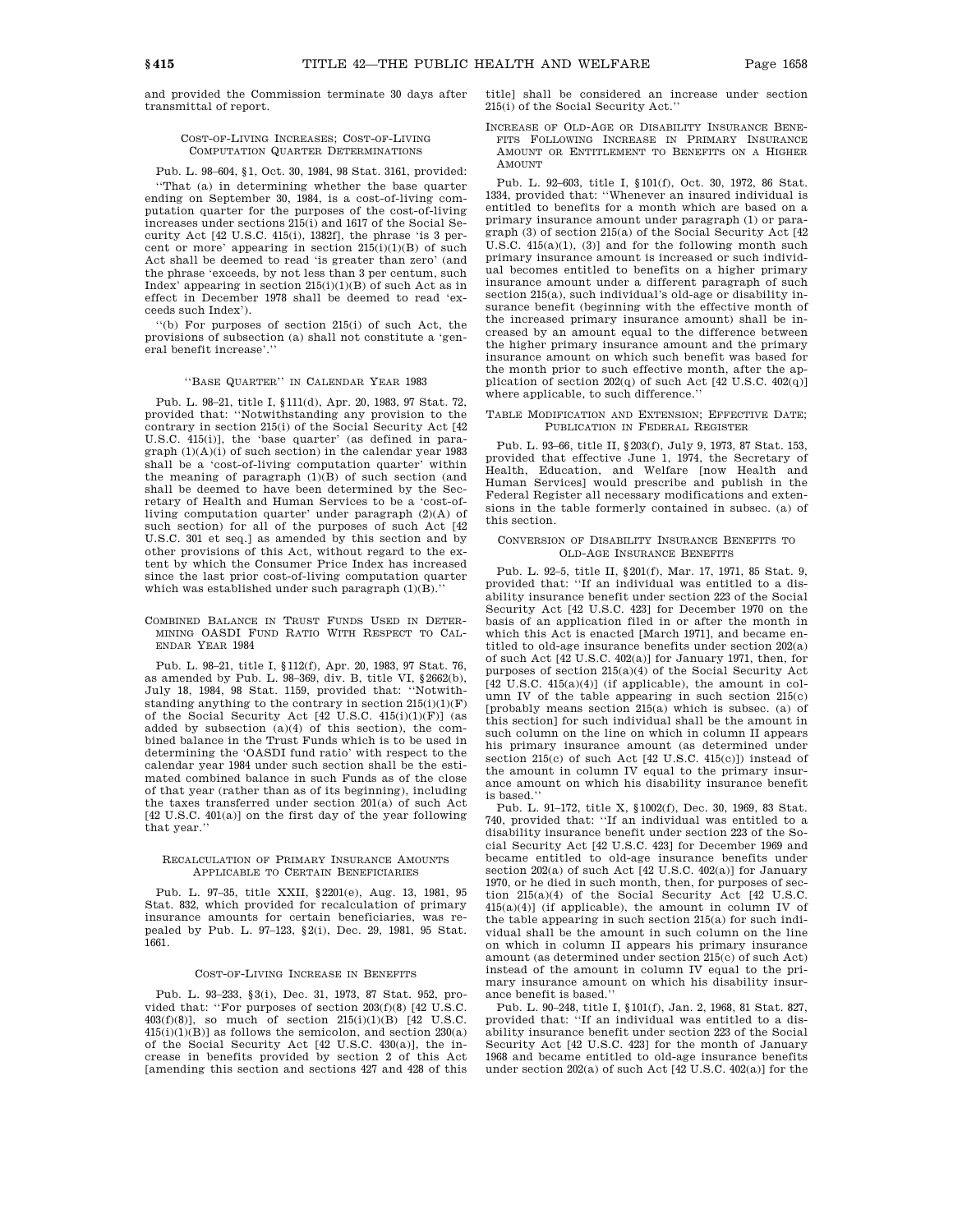and provided the Commission terminate 30 days after transmittal of report.

#### COST-OF-LIVING INCREASES; COST-OF-LIVING COMPUTATION QUARTER DETERMINATIONS

Pub. L. 98–604, §1, Oct. 30, 1984, 98 Stat. 3161, provided:

''That (a) in determining whether the base quarter ending on September 30, 1984, is a cost-of-living computation quarter for the purposes of the cost-of-living increases under sections 215(i) and 1617 of the Social Security Act [42 U.S.C. 415(i), 1382f], the phrase 'is 3 percent or more' appearing in section 215(i)(1)(B) of such Act shall be deemed to read 'is greater than zero' (and the phrase 'exceeds, by not less than 3 per centum, such Index' appearing in section  $215(i)(1)(B)$  of such Act as in effect in December 1978 shall be deemed to read 'exceeds such Index').

''(b) For purposes of section 215(i) of such Act, the provisions of subsection (a) shall not constitute a 'general benefit increase'.''

#### ''BASE QUARTER'' IN CALENDAR YEAR 1983

Pub. L. 98–21, title I, §111(d), Apr. 20, 1983, 97 Stat. 72, provided that: ''Notwithstanding any provision to the contrary in section 215(i) of the Social Security Act [42 U.S.C. 415(i)], the 'base quarter' (as defined in paragraph (1)(A)(i) of such section) in the calendar year 1983 shall be a 'cost-of-living computation quarter' within the meaning of paragraph  $(1)(B)$  of such section (and shall be deemed to have been determined by the Secretary of Health and Human Services to be a 'cost-ofliving computation quarter' under paragraph (2)(A) of such section) for all of the purposes of such Act [42 U.S.C. 301 et seq.] as amended by this section and by other provisions of this Act, without regard to the extent by which the Consumer Price Index has increased since the last prior cost-of-living computation quarter which was established under such paragraph (1)(B).''

COMBINED BALANCE IN TRUST FUNDS USED IN DETER-MINING OASDI FUND RATIO WITH RESPECT TO CAL-ENDAR YEAR 1984

Pub. L. 98–21, title I, §112(f), Apr. 20, 1983, 97 Stat. 76, as amended by Pub. L. 98–369, div. B, title VI, §2662(b), July 18, 1984, 98 Stat. 1159, provided that: ''Notwithstanding anything to the contrary in section  $215(i)(1)(F)$ of the Social Security Act [42 U.S.C. 415(i)(1)(F)] (as added by subsection (a)(4) of this section), the combined balance in the Trust Funds which is to be used in determining the 'OASDI fund ratio' with respect to the calendar year 1984 under such section shall be the estimated combined balance in such Funds as of the close of that year (rather than as of its beginning), including the taxes transferred under section 201(a) of such Act [42 U.S.C. 401(a)] on the first day of the year following that year.''

### RECALCULATION OF PRIMARY INSURANCE AMOUNTS APPLICABLE TO CERTAIN BENEFICIARIES

Pub. L. 97–35, title XXII, §2201(e), Aug. 13, 1981, 95 Stat. 832, which provided for recalculation of primary insurance amounts for certain beneficiaries, was repealed by Pub. L. 97–123, §2(i), Dec. 29, 1981, 95 Stat. 1661.

## COST-OF-LIVING INCREASE IN BENEFITS

Pub. L. 93–233, §3(i), Dec. 31, 1973, 87 Stat. 952, provided that: "For purposes of section  $203(f)(8)$  [42 U.S.C.] 403(f)(8)], so much of section  $215(i)(1)(B)$  [42 U.S.C.  $415(i)(1)(B)$ ] as follows the semicolon, and section  $230(a)$ of the Social Security Act [42 U.S.C. 430(a)], the increase in benefits provided by section 2 of this Act [amending this section and sections 427 and 428 of this title] shall be considered an increase under section 215(i) of the Social Security Act.''

INCREASE OF OLD-AGE OR DISABILITY INSURANCE BENE-FITS FOLLOWING INCREASE IN PRIMARY INSURANCE AMOUNT OR ENTITLEMENT TO BENEFITS ON A HIGHER AMOUNT

Pub. L. 92–603, title I, §101(f), Oct. 30, 1972, 86 Stat. 1334, provided that: ''Whenever an insured individual is entitled to benefits for a month which are based on a primary insurance amount under paragraph (1) or paragraph (3) of section 215(a) of the Social Security Act [42 U.S.C.  $415(a)(1)$ ,  $(3)$ ] and for the following month such primary insurance amount is increased or such individual becomes entitled to benefits on a higher primary insurance amount under a different paragraph of such section 215(a), such individual's old-age or disability insurance benefit (beginning with the effective month of the increased primary insurance amount) shall be increased by an amount equal to the difference between the higher primary insurance amount and the primary insurance amount on which such benefit was based for the month prior to such effective month, after the application of section 202(q) of such Act [42 U.S.C. 402(q)] where applicable, to such difference.''

#### TABLE MODIFICATION AND EXTENSION; EFFECTIVE DATE; PUBLICATION IN FEDERAL REGISTER

Pub. L. 93–66, title II, §203(f), July 9, 1973, 87 Stat. 153, provided that effective June 1, 1974, the Secretary of Health, Education, and Welfare [now Health and Human Services] would prescribe and publish in the Federal Register all necessary modifications and extensions in the table formerly contained in subsec. (a) of this section.

#### CONVERSION OF DISABILITY INSURANCE BENEFITS TO OLD-AGE INSURANCE BENEFITS

Pub. L. 92–5, title II, §201(f), Mar. 17, 1971, 85 Stat. 9, provided that: ''If an individual was entitled to a disability insurance benefit under section 223 of the Social Security Act [42 U.S.C. 423] for December 1970 on the basis of an application filed in or after the month in which this Act is enacted [March 1971], and became entitled to old-age insurance benefits under section 202(a) of such Act [42 U.S.C. 402(a)] for January 1971, then, for purposes of section 215(a)(4) of the Social Security Act [42 U.S.C. 415(a)(4)] (if applicable), the amount in column IV of the table appearing in such section 215(c) [probably means section 215(a) which is subsec. (a) of this section] for such individual shall be the amount in such column on the line on which in column II appears his primary insurance amount (as determined under section 215(c) of such Act [42 U.S.C. 415(c)]) instead of the amount in column IV equal to the primary insurance amount on which his disability insurance benefit is based.''

Pub. L. 91–172, title X, §1002(f), Dec. 30, 1969, 83 Stat. 740, provided that: ''If an individual was entitled to a disability insurance benefit under section 223 of the Social Security Act [42 U.S.C. 423] for December 1969 and became entitled to old-age insurance benefits under section 202(a) of such Act [42 U.S.C. 402(a)] for January 1970, or he died in such month, then, for purposes of section 215(a)(4) of the Social Security Act [42 U.S.C.  $415(a)(4)$  (if applicable), the amount in column IV of the table appearing in such section 215(a) for such individual shall be the amount in such column on the line on which in column II appears his primary insurance amount (as determined under section 215(c) of such Act) instead of the amount in column IV equal to the primary insurance amount on which his disability insurance benefit is based.''

Pub. L. 90–248, title I, §101(f), Jan. 2, 1968, 81 Stat. 827, provided that: ''If an individual was entitled to a disability insurance benefit under section 223 of the Social Security Act [42 U.S.C. 423] for the month of January 1968 and became entitled to old-age insurance benefits under section 202(a) of such Act [42 U.S.C. 402(a)] for the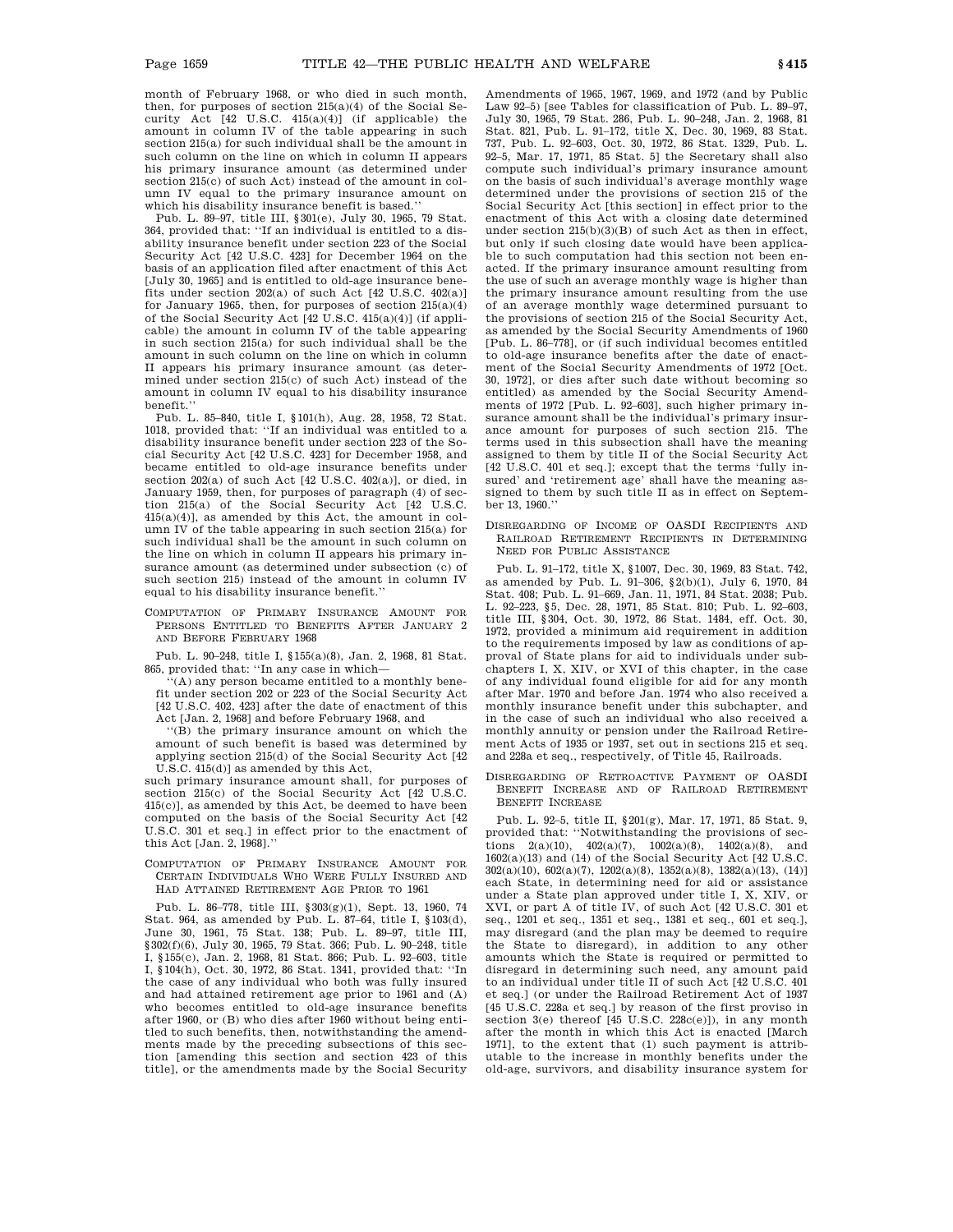month of February 1968, or who died in such month, then, for purposes of section 215(a)(4) of the Social Security Act [42 U.S.C. 415(a)(4)] (if applicable) the amount in column IV of the table appearing in such section 215(a) for such individual shall be the amount in such column on the line on which in column II appears his primary insurance amount (as determined under section 215(c) of such Act) instead of the amount in column IV equal to the primary insurance amount on which his disability insurance benefit is based.''

Pub. L. 89–97, title III, §301(e), July 30, 1965, 79 Stat. 364, provided that: ''If an individual is entitled to a disability insurance benefit under section 223 of the Social Security Act [42 U.S.C. 423] for December 1964 on the basis of an application filed after enactment of this Act [July 30, 1965] and is entitled to old-age insurance benefits under section  $202(a)$  of such Act  $[42 \text{ U.S.C. } 402(a)]$ for January 1965, then, for purposes of section 215(a)(4) of the Social Security Act [42 U.S.C. 415(a)(4)] (if applicable) the amount in column IV of the table appearing in such section 215(a) for such individual shall be the amount in such column on the line on which in column II appears his primary insurance amount (as determined under section 215(c) of such Act) instead of the amount in column IV equal to his disability insurance benefit.''

Pub. L. 85–840, title I, §101(h), Aug. 28, 1958, 72 Stat. 1018, provided that: ''If an individual was entitled to a disability insurance benefit under section 223 of the Social Security Act [42 U.S.C. 423] for December 1958, and became entitled to old-age insurance benefits under section 202(a) of such Act [42 U.S.C. 402(a)], or died, in January 1959, then, for purposes of paragraph (4) of section 215(a) of the Social Security Act [42 U.S.C. 415(a)(4)], as amended by this Act, the amount in column IV of the table appearing in such section 215(a) for such individual shall be the amount in such column on the line on which in column II appears his primary insurance amount (as determined under subsection (c) of such section 215) instead of the amount in column IV equal to his disability insurance benefit.''

COMPUTATION OF PRIMARY INSURANCE AMOUNT FOR PERSONS ENTITLED TO BENEFITS AFTER JANUARY 2 AND BEFORE FEBRUARY 1968

Pub. L. 90–248, title I, §155(a)(8), Jan. 2, 1968, 81 Stat. 865, provided that: ''In any case in which—

(A) any person became entitled to a monthly benefit under section 202 or 223 of the Social Security Act [42 U.S.C. 402, 423] after the date of enactment of this Act [Jan. 2, 1968] and before February 1968, and

''(B) the primary insurance amount on which the amount of such benefit is based was determined by applying section 215(d) of the Social Security Act [42 U.S.C. 415(d)] as amended by this Act,

such primary insurance amount shall, for purposes of section 215(c) of the Social Security Act [42 U.S.C. 415(c)], as amended by this Act, be deemed to have been computed on the basis of the Social Security Act [42 U.S.C. 301 et seq.] in effect prior to the enactment of this Act [Jan. 2, 1968].''

COMPUTATION OF PRIMARY INSURANCE AMOUNT FOR CERTAIN INDIVIDUALS WHO WERE FULLY INSURED AND HAD ATTAINED RETIREMENT AGE PRIOR TO 1961

Pub. L. 86–778, title III, §303(g)(1), Sept. 13, 1960, 74 Stat. 964, as amended by Pub. L. 87–64, title I, §103(d), June 30, 1961, 75 Stat. 138; Pub. L. 89–97, title III, §302(f)(6), July 30, 1965, 79 Stat. 366; Pub. L. 90–248, title I, §155(c), Jan. 2, 1968, 81 Stat. 866; Pub. L. 92–603, title I, §104(h), Oct. 30, 1972, 86 Stat. 1341, provided that: ''In the case of any individual who both was fully insured and had attained retirement age prior to 1961 and (A) who becomes entitled to old-age insurance benefits after 1960, or (B) who dies after 1960 without being entitled to such benefits, then, notwithstanding the amendments made by the preceding subsections of this section [amending this section and section 423 of this title], or the amendments made by the Social Security

Amendments of 1965, 1967, 1969, and 1972 (and by Public Law 92–5) [see Tables for classification of Pub. L. 89–97, July 30, 1965, 79 Stat. 286, Pub. L. 90–248, Jan. 2, 1968, 81 Stat. 821, Pub. L. 91–172, title X, Dec. 30, 1969, 83 Stat. 737, Pub. L. 92–603, Oct. 30, 1972, 86 Stat. 1329, Pub. L. 92–5, Mar. 17, 1971, 85 Stat. 5] the Secretary shall also compute such individual's primary insurance amount on the basis of such individual's average monthly wage determined under the provisions of section 215 of the Social Security Act [this section] in effect prior to the enactment of this Act with a closing date determined under section  $215(b)(3)(B)$  of such Act as then in effect, but only if such closing date would have been applicable to such computation had this section not been enacted. If the primary insurance amount resulting from the use of such an average monthly wage is higher than the primary insurance amount resulting from the use of an average monthly wage determined pursuant to the provisions of section 215 of the Social Security Act, as amended by the Social Security Amendments of 1960 [Pub. L. 86–778], or (if such individual becomes entitled to old-age insurance benefits after the date of enactment of the Social Security Amendments of 1972 [Oct. 30, 1972], or dies after such date without becoming so entitled) as amended by the Social Security Amendments of 1972 [Pub. L. 92–603], such higher primary insurance amount shall be the individual's primary insurance amount for purposes of such section 215. The terms used in this subsection shall have the meaning assigned to them by title II of the Social Security Act [42 U.S.C. 401 et seq.]; except that the terms 'fully insured' and 'retirement age' shall have the meaning assigned to them by such title II as in effect on September 13, 1960.''

DISREGARDING OF INCOME OF OASDI RECIPIENTS AND RAILROAD RETIREMENT RECIPIENTS IN DETERMINING NEED FOR PUBLIC ASSISTANCE

Pub. L. 91–172, title X, §1007, Dec. 30, 1969, 83 Stat. 742, as amended by Pub. L. 91–306, §2(b)(1), July 6, 1970, 84 Stat. 408; Pub. L. 91–669, Jan. 11, 1971, 84 Stat. 2038; Pub. L. 92–223, §5, Dec. 28, 1971, 85 Stat. 810; Pub. L. 92–603, title III, §304, Oct. 30, 1972, 86 Stat. 1484, eff. Oct. 30, 1972, provided a minimum aid requirement in addition to the requirements imposed by law as conditions of approval of State plans for aid to individuals under subchapters I, X, XIV, or XVI of this chapter, in the case of any individual found eligible for aid for any month after Mar. 1970 and before Jan. 1974 who also received a monthly insurance benefit under this subchapter, and in the case of such an individual who also received a monthly annuity or pension under the Railroad Retirement Acts of 1935 or 1937, set out in sections 215 et seq. and 228a et seq., respectively, of Title 45, Railroads.

DISREGARDING OF RETROACTIVE PAYMENT OF OASDI BENEFIT INCREASE AND OF RAILROAD RETIREMENT BENEFIT INCREASE

Pub. L. 92–5, title II, §201(g), Mar. 17, 1971, 85 Stat. 9, provided that: ''Notwithstanding the provisions of sections  $2(a)(10)$ ,  $402(a)(7)$ ,  $1002(a)(8)$ ,  $1402(a)(8)$ , and 1602(a)(13) and (14) of the Social Security Act [42 U.S.C. 302(a)(10), 602(a)(7), 1202(a)(8), 1352(a)(8), 1382(a)(13), (14)] each State, in determining need for aid or assistance under a State plan approved under title I, X, XIV, or XVI, or part A of title IV, of such Act [42 U.S.C. 301 et seq., 1201 et seq., 1351 et seq., 1381 et seq., 601 et seq.], may disregard (and the plan may be deemed to require the State to disregard), in addition to any other amounts which the State is required or permitted to disregard in determining such need, any amount paid to an individual under title II of such Act [42 U.S.C. 401 et seq.] (or under the Railroad Retirement Act of 1937 [45 U.S.C. 228a et seq.] by reason of the first proviso in section  $3(e)$  thereof  $[45 \text{ U.S.C. } 228c(e)]$ ), in any month after the month in which this Act is enacted [March 1971], to the extent that (1) such payment is attributable to the increase in monthly benefits under the old-age, survivors, and disability insurance system for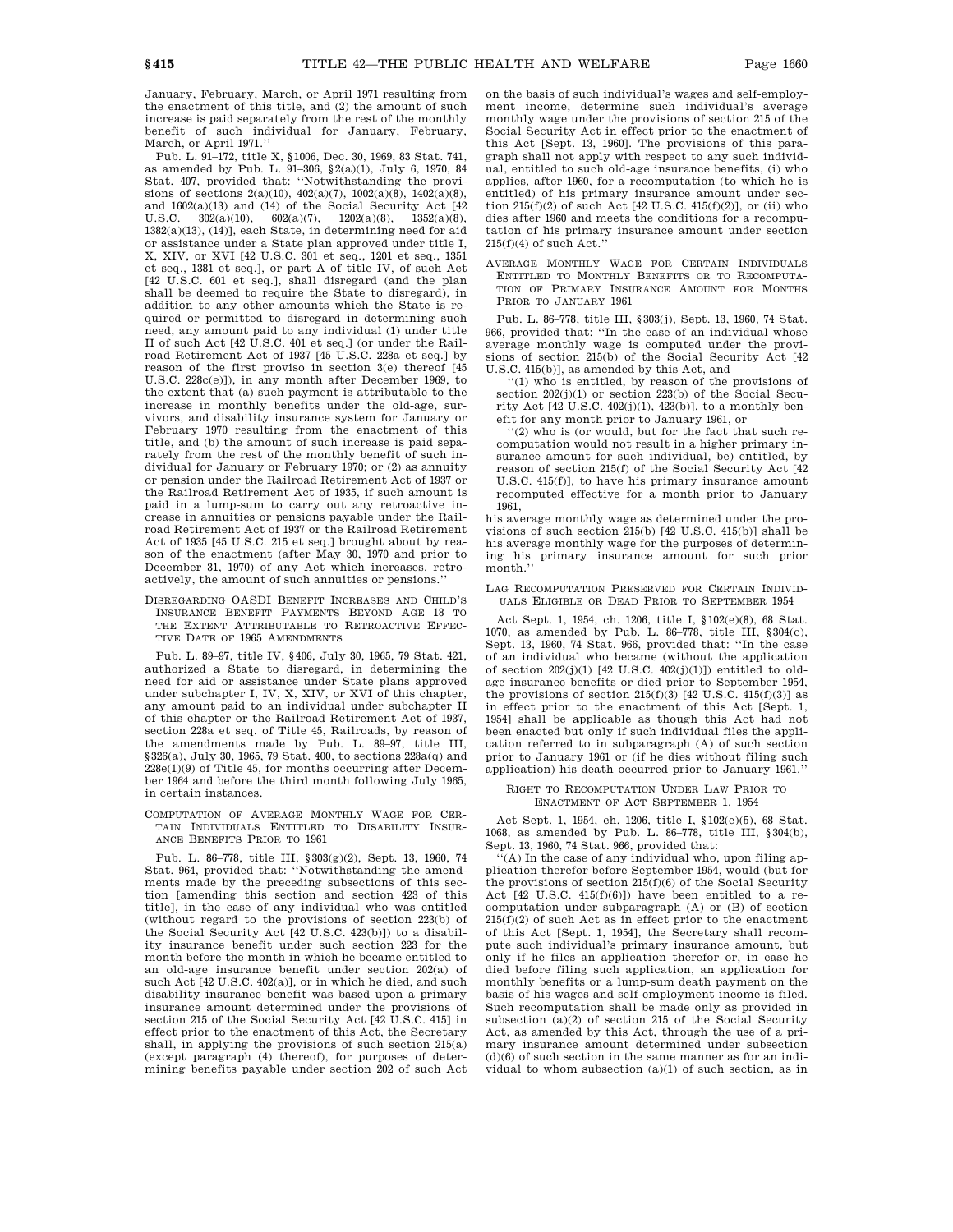January, February, March, or April 1971 resulting from the enactment of this title, and (2) the amount of such increase is paid separately from the rest of the monthly benefit of such individual for January, February, March, or April 1971.''

Pub. L. 91–172, title X, §1006, Dec. 30, 1969, 83 Stat. 741, as amended by Pub. L. 91–306, §2(a)(1), July 6, 1970, 84 Stat. 407, provided that: ''Notwithstanding the provisions of sections  $2(a)(10)$ ,  $402(a)(7)$ ,  $1002(a)(8)$ ,  $1402(a)(8)$ , and 1602(a)(13) and (14) of the Social Security Act [42 U.S.C.  $302(a)(10)$ ,  $602(a)(7)$ ,  $1202(a)(8)$ ,  $1352(a)(8)$ ,  $1382(a)(13)$ ,  $(14)$ ], each State, in determining need for aid or assistance under a State plan approved under title I, X, XIV, or XVI [42 U.S.C. 301 et seq., 1201 et seq., 1351 et seq., 1381 et seq.], or part A of title IV, of such Act [42 U.S.C. 601 et seq.], shall disregard (and the plan shall be deemed to require the State to disregard), in addition to any other amounts which the State is required or permitted to disregard in determining such need, any amount paid to any individual (1) under title II of such Act [42 U.S.C. 401 et seq.] (or under the Railroad Retirement Act of 1937 [45 U.S.C. 228a et seq.] by reason of the first proviso in section 3(e) thereof [45 U.S.C. 228c(e)]), in any month after December 1969, to the extent that (a) such payment is attributable to the increase in monthly benefits under the old-age, survivors, and disability insurance system for January or February 1970 resulting from the enactment of this title, and (b) the amount of such increase is paid separately from the rest of the monthly benefit of such individual for January or February 1970; or (2) as annuity or pension under the Railroad Retirement Act of 1937 or the Railroad Retirement Act of 1935, if such amount is paid in a lump-sum to carry out any retroactive increase in annuities or pensions payable under the Railroad Retirement Act of 1937 or the Railroad Retirement Act of 1935 [45 U.S.C. 215 et seq.] brought about by reason of the enactment (after May 30, 1970 and prior to December 31, 1970) of any Act which increases, retroactively, the amount of such annuities or pensions.''

DISREGARDING OASDI BENEFIT INCREASES AND CHILD'S INSURANCE BENEFIT PAYMENTS BEYOND AGE 18 TO THE EXTENT ATTRIBUTABLE TO RETROACTIVE EFFEC-TIVE DATE OF 1965 AMENDMENTS

Pub. L. 89–97, title IV, §406, July 30, 1965, 79 Stat. 421, authorized a State to disregard, in determining the need for aid or assistance under State plans approved under subchapter I, IV, X, XIV, or XVI of this chapter, any amount paid to an individual under subchapter II of this chapter or the Railroad Retirement Act of 1937, section 228a et seq. of Title 45, Railroads, by reason of the amendments made by Pub. L. 89–97, title III, §326(a), July 30, 1965, 79 Stat. 400, to sections 228a(q) and  $228e(1)(9)$  of Title 45, for months occurring after December 1964 and before the third month following July 1965, in certain instances.

COMPUTATION OF AVERAGE MONTHLY WAGE FOR CER-TAIN INDIVIDUALS ENTITLED TO DISABILITY INSUR-ANCE BENEFITS PRIOR TO 1961

Pub. L. 86–778, title III, §303(g)(2), Sept. 13, 1960, 74 Stat. 964, provided that: ''Notwithstanding the amendments made by the preceding subsections of this section [amending this section and section 423 of this title], in the case of any individual who was entitled (without regard to the provisions of section 223(b) of the Social Security Act [42 U.S.C. 423(b)]) to a disability insurance benefit under such section 223 for the month before the month in which he became entitled to an old-age insurance benefit under section 202(a) of such Act [42 U.S.C. 402(a)], or in which he died, and such disability insurance benefit was based upon a primary insurance amount determined under the provisions of section 215 of the Social Security Act [42 U.S.C. 415] in effect prior to the enactment of this Act, the Secretary shall, in applying the provisions of such section 215(a) (except paragraph (4) thereof), for purposes of determining benefits payable under section 202 of such Act

on the basis of such individual's wages and self-employment income, determine such individual's average monthly wage under the provisions of section 215 of the Social Security Act in effect prior to the enactment of this Act [Sept. 13, 1960]. The provisions of this paragraph shall not apply with respect to any such individual, entitled to such old-age insurance benefits, (i) who applies, after 1960, for a recomputation (to which he is entitled) of his primary insurance amount under section  $215(f)(2)$  of such Act [42 U.S.C. 415(f)(2)], or (ii) who dies after 1960 and meets the conditions for a recomputation of his primary insurance amount under section  $215(f)(4)$  of such Act.'

AVERAGE MONTHLY WAGE FOR CERTAIN INDIVIDUALS ENTITLED TO MONTHLY BENEFITS OR TO RECOMPUTA-TION OF PRIMARY INSURANCE AMOUNT FOR MONTHS PRIOR TO JANUARY 1961

Pub. L. 86–778, title III, §303(j), Sept. 13, 1960, 74 Stat. 966, provided that: ''In the case of an individual whose average monthly wage is computed under the provisions of section 215(b) of the Social Security Act [42 U.S.C. 415(b)], as amended by this Act, and—

''(1) who is entitled, by reason of the provisions of section  $202(j)(1)$  or section  $223(b)$  of the Social Security Act  $[42 \text{ U.S.C. } 402(j)(1), 423(b)]$ , to a monthly benefit for any month prior to January 1961, or

''(2) who is (or would, but for the fact that such recomputation would not result in a higher primary insurance amount for such individual, be) entitled, by reason of section 215(f) of the Social Security Act [42 U.S.C. 415(f)], to have his primary insurance amount recomputed effective for a month prior to January 1961,

his average monthly wage as determined under the provisions of such section 215(b) [42 U.S.C. 415(b)] shall be his average monthly wage for the purposes of determining his primary insurance amount for such prior month.''

### LAG RECOMPUTATION PRESERVED FOR CERTAIN INDIVID-UALS ELIGIBLE OR DEAD PRIOR TO SEPTEMBER 1954

Act Sept. 1, 1954, ch. 1206, title I, §102(e)(8), 68 Stat. 1070, as amended by Pub. L. 86–778, title III, §304(c), Sept. 13, 1960, 74 Stat. 966, provided that: ''In the case of an individual who became (without the application of section  $202(j)(1)$  [42 U.S.C.  $402(j)(1)$ ]) entitled to oldage insurance benefits or died prior to September 1954, the provisions of section  $215(f)(3)$  [42 U.S.C. 415(f)(3)] as in effect prior to the enactment of this Act [Sept. 1, 1954] shall be applicable as though this Act had not been enacted but only if such individual files the application referred to in subparagraph (A) of such section prior to January 1961 or (if he dies without filing such application) his death occurred prior to January 1961.''

### RIGHT TO RECOMPUTATION UNDER LAW PRIOR TO ENACTMENT OF ACT SEPTEMBER 1, 1954

Act Sept. 1, 1954, ch. 1206, title I, §102(e)(5), 68 Stat. 1068, as amended by Pub. L. 86–778, title III, §304(b), Sept. 13, 1960, 74 Stat. 966, provided that:

'(A) In the case of any individual who, upon filing application therefor before September 1954, would (but for the provisions of section  $215(f)(6)$  of the Social Security Act  $[42 \text{ U.S.C. } 415(f)(6)]$  have been entitled to a recomputation under subparagraph (A) or (B) of section  $215(f)(2)$  of such Act as in effect prior to the enactment of this Act [Sept. 1, 1954], the Secretary shall recompute such individual's primary insurance amount, but only if he files an application therefor or, in case he died before filing such application, an application for monthly benefits or a lump-sum death payment on the basis of his wages and self-employment income is filed. Such recomputation shall be made only as provided in subsection  $(a)(2)$  of section 215 of the Social Security Act, as amended by this Act, through the use of a primary insurance amount determined under subsection  $(d)(6)$  of such section in the same manner as for an individual to whom subsection (a)(1) of such section, as in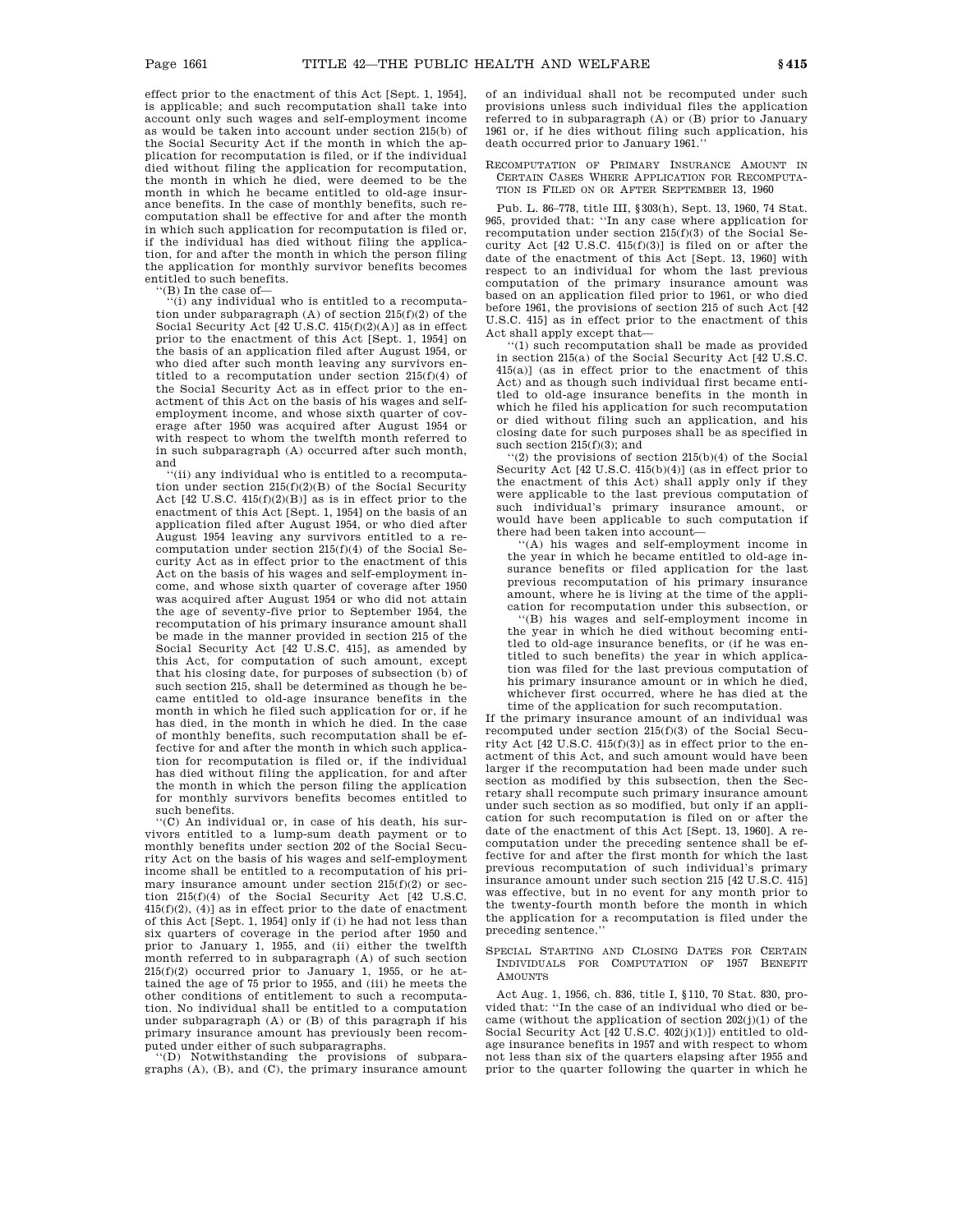effect prior to the enactment of this Act [Sept. 1, 1954], is applicable; and such recomputation shall take into account only such wages and self-employment income as would be taken into account under section 215(b) of the Social Security Act if the month in which the application for recomputation is filed, or if the individual died without filing the application for recomputation, the month in which he died, were deemed to be the month in which he became entitled to old-age insurance benefits. In the case of monthly benefits, such recomputation shall be effective for and after the month in which such application for recomputation is filed or, if the individual has died without filing the application, for and after the month in which the person filing the application for monthly survivor benefits becomes entitled to such benefits.

'(B) In the case of-

''(i) any individual who is entitled to a recomputation under subparagraph  $({\mathbf A})$  of section 215(f)(2) of the Social Security Act [42 U.S.C. 415(f)(2)(A)] as in effect prior to the enactment of this Act [Sept. 1, 1954] on the basis of an application filed after August 1954, or who died after such month leaving any survivors entitled to a recomputation under section 215(f)(4) of the Social Security Act as in effect prior to the enactment of this Act on the basis of his wages and selfemployment income, and whose sixth quarter of coverage after 1950 was acquired after August 1954 or with respect to whom the twelfth month referred to in such subparagraph (A) occurred after such month, and

''(ii) any individual who is entitled to a recomputation under section 215(f)(2)(B) of the Social Security Act [42 U.S.C. 415(f)(2)(B)] as is in effect prior to the enactment of this Act [Sept. 1, 1954] on the basis of an application filed after August 1954, or who died after August 1954 leaving any survivors entitled to a recomputation under section 215(f)(4) of the Social Security Act as in effect prior to the enactment of this Act on the basis of his wages and self-employment income, and whose sixth quarter of coverage after 1950 was acquired after August 1954 or who did not attain the age of seventy-five prior to September 1954, the recomputation of his primary insurance amount shall be made in the manner provided in section 215 of the Social Security Act [42 U.S.C. 415], as amended by this Act, for computation of such amount, except that his closing date, for purposes of subsection (b) of such section 215, shall be determined as though he became entitled to old-age insurance benefits in the month in which he filed such application for or, if he has died, in the month in which he died. In the case of monthly benefits, such recomputation shall be effective for and after the month in which such application for recomputation is filed or, if the individual has died without filing the application, for and after the month in which the person filing the application for monthly survivors benefits becomes entitled to such benefits.

'(C) An individual or, in case of his death, his survivors entitled to a lump-sum death payment or to monthly benefits under section 202 of the Social Security Act on the basis of his wages and self-employment income shall be entitled to a recomputation of his primary insurance amount under section 215(f)(2) or section 215(f)(4) of the Social Security Act [42 U.S.C.  $415(f)(2)$ ,  $(4)$ ] as in effect prior to the date of enactment of this Act [Sept. 1, 1954] only if (i) he had not less than six quarters of coverage in the period after 1950 and prior to January 1, 1955, and (ii) either the twelfth month referred to in subparagraph (A) of such section 215(f)(2) occurred prior to January 1, 1955, or he attained the age of 75 prior to 1955, and (iii) he meets the other conditions of entitlement to such a recomputation. No individual shall be entitled to a computation under subparagraph (A) or (B) of this paragraph if his primary insurance amount has previously been recom-

puted under either of such subparagraphs. ''(D) Notwithstanding the provisions of subparagraphs (A), (B), and (C), the primary insurance amount of an individual shall not be recomputed under such provisions unless such individual files the application referred to in subparagraph (A) or (B) prior to January 1961 or, if he dies without filing such application, his death occurred prior to January 1961.''

#### RECOMPUTATION OF PRIMARY INSURANCE AMOUNT IN CERTAIN CASES WHERE APPLICATION FOR RECOMPUTA-TION IS FILED ON OR AFTER SEPTEMBER 13, 1960

Pub. L. 86–778, title III, §303(h), Sept. 13, 1960, 74 Stat. 965, provided that: ''In any case where application for recomputation under section 215(f)(3) of the Social Security Act [42 U.S.C. 415(f)(3)] is filed on or after the date of the enactment of this Act [Sept. 13, 1960] with respect to an individual for whom the last previous computation of the primary insurance amount was based on an application filed prior to 1961, or who died before 1961, the provisions of section 215 of such Act [42 U.S.C. 415] as in effect prior to the enactment of this Act shall apply except that—

 $(1)$  such recomputation shall be made as provided in section 215(a) of the Social Security Act [42 U.S.C. 415(a)] (as in effect prior to the enactment of this Act) and as though such individual first became entitled to old-age insurance benefits in the month in which he filed his application for such recomputation or died without filing such an application, and his closing date for such purposes shall be as specified in such section  $215(f)(3)$ ; and

''(2) the provisions of section 215(b)(4) of the Social Security Act [42 U.S.C. 415(b)(4)] (as in effect prior to the enactment of this Act) shall apply only if they were applicable to the last previous computation of such individual's primary insurance amount, or would have been applicable to such computation if there had been taken into account—

''(A) his wages and self-employment income in the year in which he became entitled to old-age insurance benefits or filed application for the last previous recomputation of his primary insurance amount, where he is living at the time of the application for recomputation under this subsection, or

''(B) his wages and self-employment income in the year in which he died without becoming entitled to old-age insurance benefits, or (if he was entitled to such benefits) the year in which application was filed for the last previous computation of his primary insurance amount or in which he died, whichever first occurred, where he has died at the time of the application for such recomputation.

If the primary insurance amount of an individual was recomputed under section 215(f)(3) of the Social Security Act [42 U.S.C. 415(f)(3)] as in effect prior to the enactment of this Act, and such amount would have been larger if the recomputation had been made under such section as modified by this subsection, then the Secretary shall recompute such primary insurance amount under such section as so modified, but only if an application for such recomputation is filed on or after the date of the enactment of this Act [Sept. 13, 1960]. A recomputation under the preceding sentence shall be effective for and after the first month for which the last previous recomputation of such individual's primary insurance amount under such section 215 [42 U.S.C. 415] was effective, but in no event for any month prior to the twenty-fourth month before the month in which the application for a recomputation is filed under the preceding sentence.''

SPECIAL STARTING AND CLOSING DATES FOR CERTAIN INDIVIDUALS FOR COMPUTATION OF 1957 BENEFIT AMOUNTS

Act Aug. 1, 1956, ch. 836, title I, §110, 70 Stat. 830, provided that: ''In the case of an individual who died or became (without the application of section  $202(i)(1)$  of the Social Security Act [42 U.S.C. 402(j)(1)]) entitled to oldage insurance benefits in 1957 and with respect to whom not less than six of the quarters elapsing after 1955 and prior to the quarter following the quarter in which he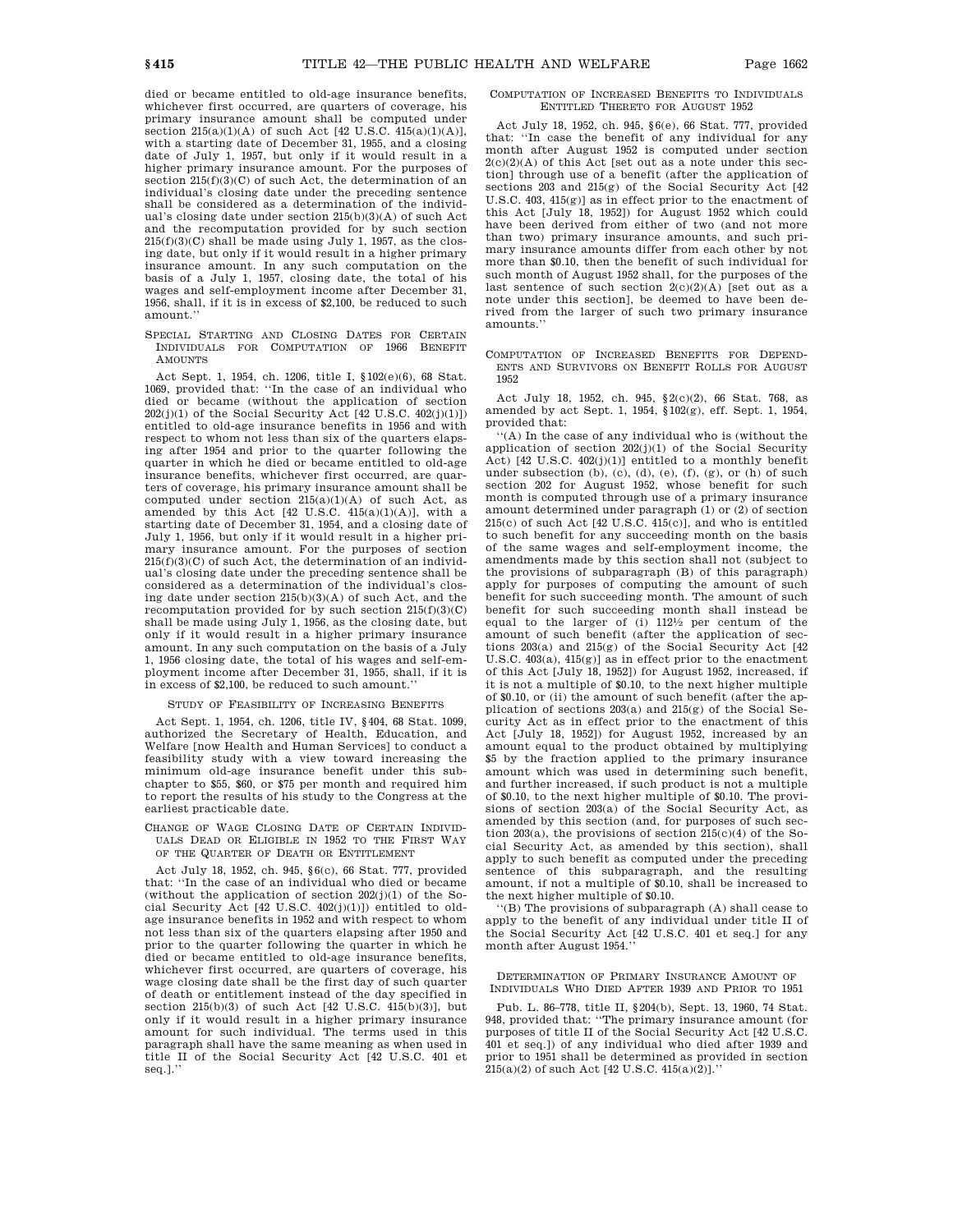died or became entitled to old-age insurance benefits, whichever first occurred, are quarters of coverage, his primary insurance amount shall be computed under section  $215(a)(1)(A)$  of such Act [42 U.S.C.  $415(a)(1)(A)$ ], with a starting date of December 31, 1955, and a closing date of July 1, 1957, but only if it would result in a higher primary insurance amount. For the purposes of section  $215(f)(3)(C)$  of such Act, the determination of an individual's closing date under the preceding sentence shall be considered as a determination of the individual's closing date under section 215(b)(3)(A) of such Act and the recomputation provided for by such section  $215(f)(3)(C)$  shall be made using July 1, 1957, as the closing date, but only if it would result in a higher primary insurance amount. In any such computation on the basis of a July 1, 1957, closing date, the total of his wages and self-employment income after December 31, 1956, shall, if it is in excess of \$2,100, be reduced to such amount.''

SPECIAL STARTING AND CLOSING DATES FOR CERTAIN INDIVIDUALS FOR COMPUTATION OF 1966 BENEFIT **AMOUNTS** 

Act Sept. 1, 1954, ch. 1206, title I, §102(e)(6), 68 Stat. 1069, provided that: ''In the case of an individual who died or became (without the application of section  $202(j)(1)$  of the Social Security Act  $[42 \text{ U.S.C. } 402(j)(1)]$ entitled to old-age insurance benefits in 1956 and with respect to whom not less than six of the quarters elapsing after 1954 and prior to the quarter following the quarter in which he died or became entitled to old-age insurance benefits, whichever first occurred, are quarters of coverage, his primary insurance amount shall be computed under section 215(a)(1)(A) of such Act, as amended by this Act [42 U.S.C. 415(a)(1)(A)], with a starting date of December 31, 1954, and a closing date of July 1, 1956, but only if it would result in a higher primary insurance amount. For the purposes of section  $215(f)(3)(C)$  of such Act, the determination of an individual's closing date under the preceding sentence shall be considered as a determination of the individual's closing date under section 215(b)(3)(A) of such Act, and the recomputation provided for by such section  $215(f)(3)(C)$ shall be made using July 1, 1956, as the closing date, but only if it would result in a higher primary insurance amount. In any such computation on the basis of a July 1, 1956 closing date, the total of his wages and self-employment income after December 31, 1955, shall, if it is in excess of \$2,100, be reduced to such amount.''

#### STUDY OF FEASIBILITY OF INCREASING BENEFITS

Act Sept. 1, 1954, ch. 1206, title IV, §404, 68 Stat. 1099, authorized the Secretary of Health, Education, and Welfare [now Health and Human Services] to conduct a feasibility study with a view toward increasing the minimum old-age insurance benefit under this subchapter to \$55, \$60, or \$75 per month and required him to report the results of his study to the Congress at the earliest practicable date.

### CHANGE OF WAGE CLOSING DATE OF CERTAIN INDIVID-UALS DEAD OR ELIGIBLE IN 1952 TO THE FIRST WAY OF THE QUARTER OF DEATH OR ENTITLEMENT

Act July 18, 1952, ch. 945, §6(c), 66 Stat. 777, provided that: ''In the case of an individual who died or became (without the application of section  $202(j)(1)$  of the Social Security Act [42 U.S.C. 402(j)(1)]) entitled to oldage insurance benefits in 1952 and with respect to whom not less than six of the quarters elapsing after 1950 and prior to the quarter following the quarter in which he died or became entitled to old-age insurance benefits, whichever first occurred, are quarters of coverage, his wage closing date shall be the first day of such quarter of death or entitlement instead of the day specified in section 215(b)(3) of such Act [42 U.S.C. 415(b)(3)], but only if it would result in a higher primary insurance amount for such individual. The terms used in this paragraph shall have the same meaning as when used in title II of the Social Security Act [42 U.S.C. 401 et seq.].''

### COMPUTATION OF INCREASED BENEFITS TO INDIVIDUALS ENTITLED THERETO FOR AUGUST 1952

Act July 18, 1952, ch. 945, §6(e), 66 Stat. 777, provided that: ''In case the benefit of any individual for any month after August 1952 is computed under section 2(c)(2)(A) of this Act [set out as a note under this section] through use of a benefit (after the application of sections 203 and 215(g) of the Social Security Act [42 U.S.C. 403, 415(g)] as in effect prior to the enactment of this Act [July 18, 1952]) for August 1952 which could have been derived from either of two (and not more than two) primary insurance amounts, and such primary insurance amounts differ from each other by not more than \$0.10, then the benefit of such individual for such month of August 1952 shall, for the purposes of the last sentence of such section 2(c)(2)(A) [set out as a note under this section], be deemed to have been derived from the larger of such two primary insurance amounts.''

COMPUTATION OF INCREASED BENEFITS FOR DEPEND-ENTS AND SURVIVORS ON BENEFIT ROLLS FOR AUGUST 1952

Act July 18, 1952, ch. 945, §2(c)(2), 66 Stat. 768, as amended by act Sept. 1, 1954, §102(g), eff. Sept. 1, 1954, provided that:

'(A) In the case of any individual who is (without the application of section  $202(j)(1)$  of the Social Security Act) [42 U.S.C. 402(j)(1)] entitled to a monthly benefit under subsection  $(b)$ ,  $(c)$ ,  $(d)$ ,  $(e)$ ,  $(f)$ ,  $(g)$ ,  $or$   $(h)$  of such section 202 for August 1952, whose benefit for such month is computed through use of a primary insurance amount determined under paragraph (1) or (2) of section 215(c) of such Act [42 U.S.C. 415(c)], and who is entitled to such benefit for any succeeding month on the basis of the same wages and self-employment income, the amendments made by this section shall not (subject to the provisions of subparagraph (B) of this paragraph) apply for purposes of computing the amount of such benefit for such succeeding month. The amount of such benefit for such succeeding month shall instead be equal to the larger of (i) 1121 ⁄2 per centum of the amount of such benefit (after the application of sections 203(a) and 215(g) of the Social Security Act [42 U.S.C. 403(a), 415(g)] as in effect prior to the enactment of this Act [July 18, 1952]) for August 1952, increased, if it is not a multiple of \$0.10, to the next higher multiple of \$0.10, or (ii) the amount of such benefit (after the application of sections 203(a) and 215(g) of the Social Security Act as in effect prior to the enactment of this Act [July 18, 1952]) for August 1952, increased by an amount equal to the product obtained by multiplying \$5 by the fraction applied to the primary insurance amount which was used in determining such benefit, and further increased, if such product is not a multiple of \$0.10, to the next higher multiple of \$0.10. The provisions of section 203(a) of the Social Security Act, as amended by this section (and, for purposes of such section 203(a), the provisions of section 215(c)(4) of the Social Security Act, as amended by this section), shall apply to such benefit as computed under the preceding sentence of this subparagraph, and the resulting amount, if not a multiple of \$0.10, shall be increased to the next higher multiple of \$0.10.

''(B) The provisions of subparagraph (A) shall cease to apply to the benefit of any individual under title II of the Social Security Act [42 U.S.C. 401 et seq.] for any month after August 1954.''

#### DETERMINATION OF PRIMARY INSURANCE AMOUNT OF INDIVIDUALS WHO DIED AFTER 1939 AND PRIOR TO 1951

Pub. L. 86–778, title II, §204(b), Sept. 13, 1960, 74 Stat. 948, provided that: ''The primary insurance amount (for purposes of title II of the Social Security Act [42 U.S.C. 401 et seq.]) of any individual who died after 1939 and prior to 1951 shall be determined as provided in section 215(a)(2) of such Act [42 U.S.C. 415(a)(2)].''